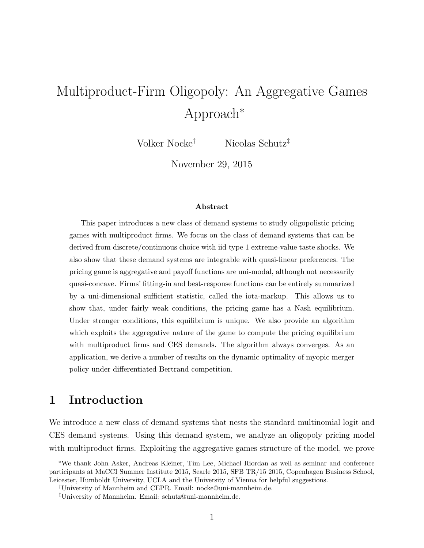# Multiproduct-Firm Oligopoly: An Aggregative Games Approach<sup>∗</sup>

Volker Nocke† Nicolas Schutz‡

November 29, 2015

#### Abstract

This paper introduces a new class of demand systems to study oligopolistic pricing games with multiproduct firms. We focus on the class of demand systems that can be derived from discrete/continuous choice with iid type 1 extreme-value taste shocks. We also show that these demand systems are integrable with quasi-linear preferences. The pricing game is aggregative and payoff functions are uni-modal, although not necessarily quasi-concave. Firms' fitting-in and best-response functions can be entirely summarized by a uni-dimensional sufficient statistic, called the iota-markup. This allows us to show that, under fairly weak conditions, the pricing game has a Nash equilibrium. Under stronger conditions, this equilibrium is unique. We also provide an algorithm which exploits the aggregative nature of the game to compute the pricing equilibrium with multiproduct firms and CES demands. The algorithm always converges. As an application, we derive a number of results on the dynamic optimality of myopic merger policy under differentiated Bertrand competition.

## 1 Introduction

We introduce a new class of demand systems that nests the standard multinomial logit and CES demand systems. Using this demand system, we analyze an oligopoly pricing model with multiproduct firms. Exploiting the aggregative games structure of the model, we prove

<sup>∗</sup>We thank John Asker, Andreas Kleiner, Tim Lee, Michael Riordan as well as seminar and conference participants at MaCCI Summer Institute 2015, Searle 2015, SFB TR/15 2015, Copenhagen Business School, Leicester, Humboldt University, UCLA and the University of Vienna for helpful suggestions.

<sup>†</sup>University of Mannheim and CEPR. Email: nocke@uni-mannheim.de.

<sup>‡</sup>University of Mannheim. Email: schutz@uni-mannheim.de.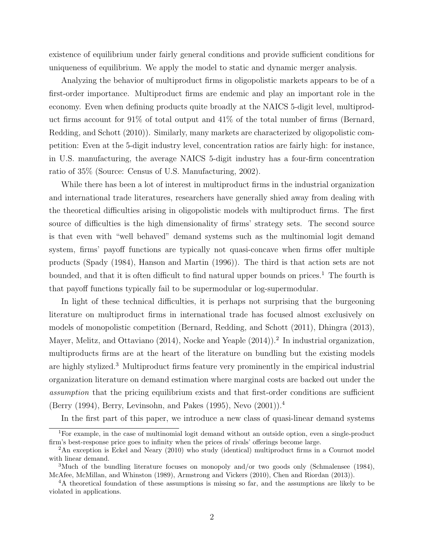existence of equilibrium under fairly general conditions and provide sufficient conditions for uniqueness of equilibrium. We apply the model to static and dynamic merger analysis.

Analyzing the behavior of multiproduct firms in oligopolistic markets appears to be of a first-order importance. Multiproduct firms are endemic and play an important role in the economy. Even when defining products quite broadly at the NAICS 5-digit level, multiproduct firms account for 91% of total output and 41% of the total number of firms (Bernard, Redding, and Schott (2010)). Similarly, many markets are characterized by oligopolistic competition: Even at the 5-digit industry level, concentration ratios are fairly high: for instance, in U.S. manufacturing, the average NAICS 5-digit industry has a four-firm concentration ratio of 35% (Source: Census of U.S. Manufacturing, 2002).

While there has been a lot of interest in multiproduct firms in the industrial organization and international trade literatures, researchers have generally shied away from dealing with the theoretical difficulties arising in oligopolistic models with multiproduct firms. The first source of difficulties is the high dimensionality of firms' strategy sets. The second source is that even with "well behaved" demand systems such as the multinomial logit demand system, firms' payoff functions are typically not quasi-concave when firms offer multiple products (Spady (1984), Hanson and Martin (1996)). The third is that action sets are not bounded, and that it is often difficult to find natural upper bounds on prices.<sup>1</sup> The fourth is that payoff functions typically fail to be supermodular or log-supermodular.

In light of these technical difficulties, it is perhaps not surprising that the burgeoning literature on multiproduct firms in international trade has focused almost exclusively on models of monopolistic competition (Bernard, Redding, and Schott (2011), Dhingra (2013), Mayer, Melitz, and Ottaviano (2014), Nocke and Yeaple (2014)).<sup>2</sup> In industrial organization, multiproducts firms are at the heart of the literature on bundling but the existing models are highly stylized.<sup>3</sup> Multiproduct firms feature very prominently in the empirical industrial organization literature on demand estimation where marginal costs are backed out under the assumption that the pricing equilibrium exists and that first-order conditions are sufficient (Berry (1994), Berry, Levinsohn, and Pakes (1995), Nevo (2001)).<sup>4</sup>

In the first part of this paper, we introduce a new class of quasi-linear demand systems

<sup>1</sup>For example, in the case of multinomial logit demand without an outside option, even a single-product firm's best-response price goes to infinity when the prices of rivals' offerings become large.

<sup>&</sup>lt;sup>2</sup>An exception is Eckel and Neary (2010) who study (identical) multiproduct firms in a Cournot model with linear demand.

<sup>&</sup>lt;sup>3</sup>Much of the bundling literature focuses on monopoly and/or two goods only (Schmalensee (1984), McAfee, McMillan, and Whinston (1989), Armstrong and Vickers (2010), Chen and Riordan (2013)).

<sup>4</sup>A theoretical foundation of these assumptions is missing so far, and the assumptions are likely to be violated in applications.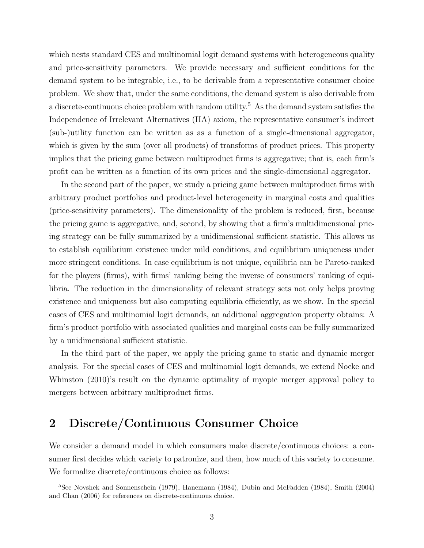which nests standard CES and multinomial logit demand systems with heterogeneous quality and price-sensitivity parameters. We provide necessary and sufficient conditions for the demand system to be integrable, i.e., to be derivable from a representative consumer choice problem. We show that, under the same conditions, the demand system is also derivable from a discrete-continuous choice problem with random utility.<sup>5</sup> As the demand system satisfies the Independence of Irrelevant Alternatives (IIA) axiom, the representative consumer's indirect (sub-)utility function can be written as as a function of a single-dimensional aggregator, which is given by the sum (over all products) of transforms of product prices. This property implies that the pricing game between multiproduct firms is aggregative; that is, each firm's profit can be written as a function of its own prices and the single-dimensional aggregator.

In the second part of the paper, we study a pricing game between multiproduct firms with arbitrary product portfolios and product-level heterogeneity in marginal costs and qualities (price-sensitivity parameters). The dimensionality of the problem is reduced, first, because the pricing game is aggregative, and, second, by showing that a firm's multidimensional pricing strategy can be fully summarized by a unidimensional sufficient statistic. This allows us to establish equilibrium existence under mild conditions, and equilibrium uniqueness under more stringent conditions. In case equilibrium is not unique, equilibria can be Pareto-ranked for the players (firms), with firms' ranking being the inverse of consumers' ranking of equilibria. The reduction in the dimensionality of relevant strategy sets not only helps proving existence and uniqueness but also computing equilibria efficiently, as we show. In the special cases of CES and multinomial logit demands, an additional aggregation property obtains: A firm's product portfolio with associated qualities and marginal costs can be fully summarized by a unidimensional sufficient statistic.

In the third part of the paper, we apply the pricing game to static and dynamic merger analysis. For the special cases of CES and multinomial logit demands, we extend Nocke and Whinston (2010)'s result on the dynamic optimality of myopic merger approval policy to mergers between arbitrary multiproduct firms.

## 2 Discrete/Continuous Consumer Choice

We consider a demand model in which consumers make discrete/continuous choices: a consumer first decides which variety to patronize, and then, how much of this variety to consume. We formalize discrete/continuous choice as follows:

<sup>5</sup>See Novshek and Sonnenschein (1979), Hanemann (1984), Dubin and McFadden (1984), Smith (2004) and Chan (2006) for references on discrete-continuous choice.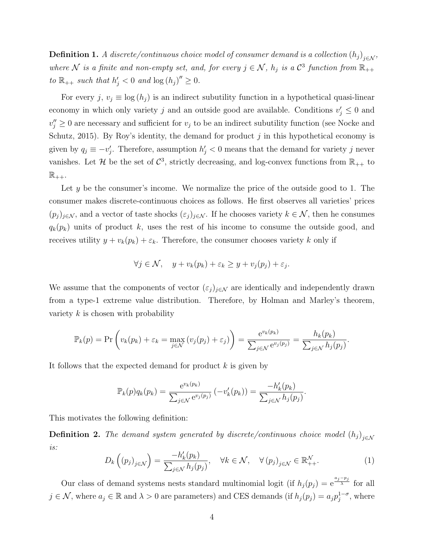**Definition 1.** A discrete/continuous choice model of consumer demand is a collection  $(h_j)_{j \in \mathcal{N}}$ , where N is a finite and non-empty set, and, for every  $j \in \mathcal{N}$ ,  $h_j$  is a  $\mathcal{C}^3$  function from  $\mathbb{R}_{++}$ to  $\mathbb{R}_{++}$  such that  $h'_j < 0$  and  $\log(h_j)'' \geq 0$ .

For every j,  $v_j \equiv \log(h_j)$  is an indirect subutility function in a hypothetical quasi-linear economy in which only variety j and an outside good are available. Conditions  $v'_j \leq 0$  and  $v''_j \geq 0$  are necessary and sufficient for  $v_j$  to be an indirect subutility function (see Nocke and Schutz, 2015). By Roy's identity, the demand for product  $j$  in this hypothetical economy is given by  $q_j \equiv -v'_j$ . Therefore, assumption  $h'_j < 0$  means that the demand for variety j never vanishes. Let H be the set of  $\mathcal{C}^3$ , strictly decreasing, and log-convex functions from  $\mathbb{R}_{++}$  to  $\mathbb{R}_{++}$ .

Let y be the consumer's income. We normalize the price of the outside good to 1. The consumer makes discrete-continuous choices as follows. He first observes all varieties' prices  $(p_j)_{j\in\mathcal{N}}$ , and a vector of taste shocks  $(\varepsilon_j)_{j\in\mathcal{N}}$ . If he chooses variety  $k\in\mathcal{N}$ , then he consumes  $q_k(p_k)$  units of product k, uses the rest of his income to consume the outside good, and receives utility  $y + v_k(p_k) + \varepsilon_k$ . Therefore, the consumer chooses variety k only if

$$
\forall j \in \mathcal{N}, \quad y + v_k(p_k) + \varepsilon_k \ge y + v_j(p_j) + \varepsilon_j.
$$

We assume that the components of vector  $(\varepsilon_j)_{j\in\mathcal{N}}$  are identically and independently drawn from a type-1 extreme value distribution. Therefore, by Holman and Marley's theorem, variety  $k$  is chosen with probability

$$
\mathbb{P}_k(p) = \Pr\left(v_k(p_k) + \varepsilon_k = \max_{j \in \mathcal{N}} \left(v_j(p_j) + \varepsilon_j\right)\right) = \frac{e^{v_k(p_k)}}{\sum_{j \in \mathcal{N}} e^{v_j(p_j)}} = \frac{h_k(p_k)}{\sum_{j \in \mathcal{N}} h_j(p_j)}.
$$

It follows that the expected demand for product  $k$  is given by

$$
\mathbb{P}_k(p)q_k(p_k) = \frac{e^{v_k(p_k)}}{\sum_{j \in \mathcal{N}} e^{v_j(p_j)}} \left( -v'_k(p_k) \right) = \frac{-h'_k(p_k)}{\sum_{j \in \mathcal{N}} h_j(p_j)}.
$$

This motivates the following definition:

**Definition 2.** The demand system generated by discrete/continuous choice model  $(h_j)_{j \in \mathcal{N}}$ is:

$$
D_k\left((p_j)_{j\in\mathcal{N}}\right) = \frac{-h'_k(p_k)}{\sum_{j\in\mathcal{N}} h_j(p_j)}, \quad \forall k \in \mathcal{N}, \quad \forall (p_j)_{j\in\mathcal{N}} \in \mathbb{R}_{++}^{\mathcal{N}}.
$$
 (1)

Our class of demand systems nests standard multinomial logit (if  $h_j(p_j) = e^{\frac{a_j-p_j}{\lambda}}$  for all  $j \in \mathcal{N}$ , where  $a_j \in \mathbb{R}$  and  $\lambda > 0$  are parameters) and CES demands (if  $h_j(p_j) = a_j p_j^{1-\sigma}$  $j^{1-\sigma}$ , where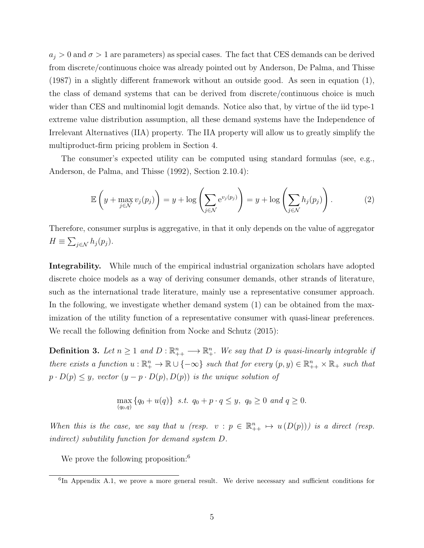$a_j > 0$  and  $\sigma > 1$  are parameters) as special cases. The fact that CES demands can be derived from discrete/continuous choice was already pointed out by Anderson, De Palma, and Thisse (1987) in a slightly different framework without an outside good. As seen in equation (1), the class of demand systems that can be derived from discrete/continuous choice is much wider than CES and multinomial logit demands. Notice also that, by virtue of the iid type-1 extreme value distribution assumption, all these demand systems have the Independence of Irrelevant Alternatives (IIA) property. The IIA property will allow us to greatly simplify the multiproduct-firm pricing problem in Section 4.

The consumer's expected utility can be computed using standard formulas (see, e.g., Anderson, de Palma, and Thisse (1992), Section 2.10.4):

$$
\mathbb{E}\left(y + \max_{j \in \mathcal{N}} v_j(p_j)\right) = y + \log\left(\sum_{j \in \mathcal{N}} e^{v_j(p_j)}\right) = y + \log\left(\sum_{j \in \mathcal{N}} h_j(p_j)\right). \tag{2}
$$

Therefore, consumer surplus is aggregative, in that it only depends on the value of aggregator  $H \equiv \sum_{j \in \mathcal{N}} h_j(p_j).$ 

**Integrability.** While much of the empirical industrial organization scholars have adopted discrete choice models as a way of deriving consumer demands, other strands of literature, such as the international trade literature, mainly use a representative consumer approach. In the following, we investigate whether demand system (1) can be obtained from the maximization of the utility function of a representative consumer with quasi-linear preferences. We recall the following definition from Nocke and Schutz (2015):

**Definition 3.** Let  $n \geq 1$  and  $D: \mathbb{R}_{++}^n \longrightarrow \mathbb{R}_+^n$ . We say that D is quasi-linearly integrable if there exists a function  $u : \mathbb{R}^n_+ \to \mathbb{R} \cup \{-\infty\}$  such that for every  $(p, y) \in \mathbb{R}^n_{++} \times \mathbb{R}_+$  such that  $p \cdot D(p) \leq y$ , vector  $(y - p \cdot D(p), D(p))$  is the unique solution of

$$
\max_{(q_0,q)} \{q_0 + u(q)\} \text{ s.t. } q_0 + p \cdot q \leq y, \ q_0 \geq 0 \text{ and } q \geq 0.
$$

When this is the case, we say that u (resp.  $v : p \in \mathbb{R}_{++}^n \mapsto u(D(p)))$  is a direct (resp. indirect) subutility function for demand system D.

We prove the following proposition:<sup>6</sup>

<sup>&</sup>lt;sup>6</sup>In Appendix A.1, we prove a more general result. We derive necessary and sufficient conditions for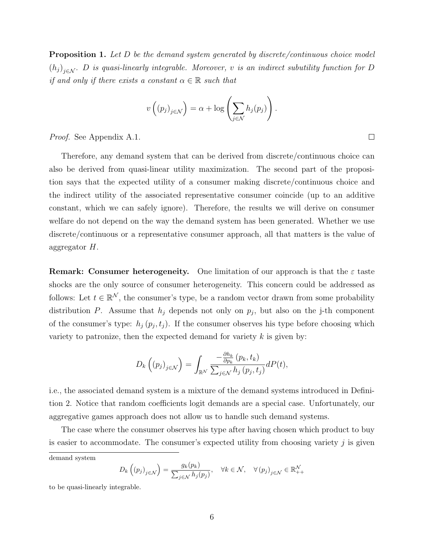**Proposition 1.** Let D be the demand system generated by discrete/continuous choice model  $(h_j)_{j \in \mathcal{N}}$ . D is quasi-linearly integrable. Moreover, v is an indirect subutility function for D if and only if there exists a constant  $\alpha \in \mathbb{R}$  such that

$$
v\left((p_j)_{j\in\mathcal{N}}\right) = \alpha + \log\left(\sum_{j\in\mathcal{N}} h_j(p_j)\right).
$$

Proof. See Appendix A.1.

Therefore, any demand system that can be derived from discrete/continuous choice can also be derived from quasi-linear utility maximization. The second part of the proposition says that the expected utility of a consumer making discrete/continuous choice and the indirect utility of the associated representative consumer coincide (up to an additive constant, which we can safely ignore). Therefore, the results we will derive on consumer welfare do not depend on the way the demand system has been generated. Whether we use discrete/continuous or a representative consumer approach, all that matters is the value of aggregator H.

**Remark: Consumer heterogeneity.** One limitation of our approach is that the  $\varepsilon$  taste shocks are the only source of consumer heterogeneity. This concern could be addressed as follows: Let  $t \in \mathbb{R}^N$ , the consumer's type, be a random vector drawn from some probability distribution P. Assume that  $h_j$  depends not only on  $p_j$ , but also on the j-th component of the consumer's type:  $h_j(p_j, t_j)$ . If the consumer observes his type before choosing which variety to patronize, then the expected demand for variety  $k$  is given by:

$$
D_k\left((p_j)_{j\in\mathcal{N}}\right) = \int_{\mathbb{R}^{\mathcal{N}}} \frac{-\frac{\partial h_k}{\partial p_k}(p_k, t_k)}{\sum_{j\in\mathcal{N}} h_j(p_j, t_j)} dP(t),
$$

i.e., the associated demand system is a mixture of the demand systems introduced in Definition 2. Notice that random coefficients logit demands are a special case. Unfortunately, our aggregative games approach does not allow us to handle such demand systems.

The case where the consumer observes his type after having chosen which product to buy is easier to accommodate. The consumer's expected utility from choosing variety  $j$  is given

demand system

$$
D_k\left((p_j)_{j\in\mathcal{N}}\right) = \frac{g_k(p_k)}{\sum_{j\in\mathcal{N}} h_j(p_j)}, \quad \forall k \in \mathcal{N}, \quad \forall (p_j)_{j\in\mathcal{N}} \in \mathbb{R}_{++}^{\mathcal{N}}
$$

to be quasi-linearly integrable.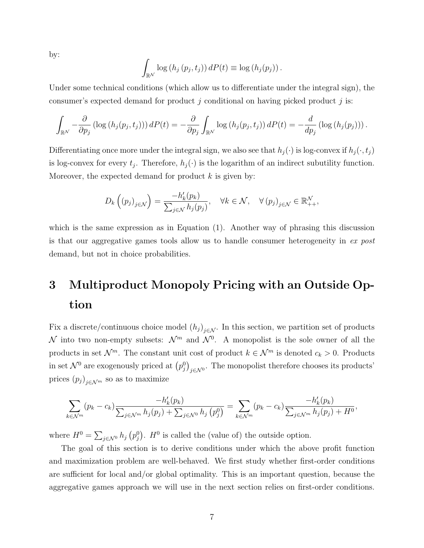by:

$$
\int_{\mathbb{R}^N} \log (h_j(p_j, t_j)) dP(t) \equiv \log (h_j(p_j)).
$$

Under some technical conditions (which allow us to differentiate under the integral sign), the consumer's expected demand for product  $j$  conditional on having picked product  $j$  is:

$$
\int_{\mathbb{R}^N} -\frac{\partial}{\partial p_j} \left( \log \left( h_j(p_j, t_j) \right) \right) dP(t) = -\frac{\partial}{\partial p_j} \int_{\mathbb{R}^N} \log \left( h_j(p_j, t_j) \right) dP(t) = -\frac{d}{dp_j} \left( \log \left( h_j(p_j) \right) \right).
$$

Differentiating once more under the integral sign, we also see that  $h_j(\cdot)$  is log-convex if  $h_j(\cdot, t_j)$ is log-convex for every  $t_j$ . Therefore,  $h_j(\cdot)$  is the logarithm of an indirect subutility function. Moreover, the expected demand for product  $k$  is given by:

$$
D_k\left((p_j)_{j\in\mathcal{N}}\right) = \frac{-h'_k(p_k)}{\sum_{j\in\mathcal{N}}h_j(p_j)}, \quad \forall k \in \mathcal{N}, \quad \forall (p_j)_{j\in\mathcal{N}} \in \mathbb{R}^{\mathcal{N}}_{++},
$$

which is the same expression as in Equation  $(1)$ . Another way of phrasing this discussion is that our aggregative games tools allow us to handle consumer heterogeneity in ex post demand, but not in choice probabilities.

## 3 Multiproduct Monopoly Pricing with an Outside Option

Fix a discrete/continuous choice model  $(h_j)_{j \in \mathcal{N}}$ . In this section, we partition set of products N into two non-empty subsets:  $\mathcal{N}^m$  and  $\mathcal{N}^0$ . A monopolist is the sole owner of all the products in set  $\mathcal{N}^m$ . The constant unit cost of product  $k \in \mathcal{N}^m$  is denoted  $c_k > 0$ . Products in set  $\mathcal{N}^0$  are exogenously priced at  $(p_j^0)_{j \in \mathcal{N}^0}$ . The monopolist therefore chooses its products' prices  $(p_j)_{j \in \mathcal{N}^m}$  so as to maximize

$$
\sum_{k \in \mathcal{N}^m} (p_k - c_k) \frac{-h'_k(p_k)}{\sum_{j \in \mathcal{N}^m} h_j(p_j) + \sum_{j \in \mathcal{N}^0} h_j(p_j^0)} = \sum_{k \in \mathcal{N}^m} (p_k - c_k) \frac{-h'_k(p_k)}{\sum_{j \in \mathcal{N}^m} h_j(p_j) + H^0},
$$

where  $H^0 = \sum_{j \in \mathcal{N}^0} h_j(p_j^0)$ .  $H^0$  is called the (value of) the outside option.

The goal of this section is to derive conditions under which the above profit function and maximization problem are well-behaved. We first study whether first-order conditions are sufficient for local and/or global optimality. This is an important question, because the aggregative games approach we will use in the next section relies on first-order conditions.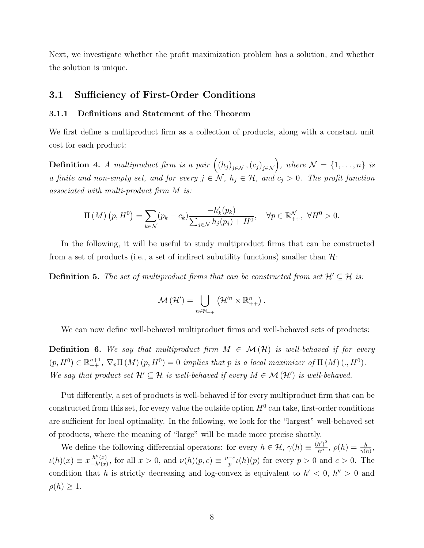Next, we investigate whether the profit maximization problem has a solution, and whether the solution is unique.

#### 3.1 Sufficiency of First-Order Conditions

#### 3.1.1 Definitions and Statement of the Theorem

We first define a multiproduct firm as a collection of products, along with a constant unit cost for each product:

**Definition 4.** A multiproduct firm is a pair  $((h_j)_{j \in \mathcal{N}}, (c_j)_{j \in \mathcal{N}})$ , where  $\mathcal{N} = \{1, \ldots, n\}$  is a finite and non-empty set, and for every  $j \in \mathcal{N}$ ,  $h_j \in \mathcal{H}$ , and  $c_j > 0$ . The profit function associated with multi-product firm M is:

$$
\Pi\left(M\right)\left(p,H^{0}\right) = \sum_{k \in \mathcal{N}} (p_k - c_k) \frac{-h'_k(p_k)}{\sum_{j \in \mathcal{N}} h_j(p_j) + H^0}, \quad \forall p \in \mathbb{R}_{++}^{\mathcal{N}}, \ \forall H^{0} > 0.
$$

In the following, it will be useful to study multiproduct firms that can be constructed from a set of products (i.e., a set of indirect subutility functions) smaller than  $\mathcal{H}$ :

**Definition 5.** The set of multiproduct firms that can be constructed from set  $\mathcal{H}' \subseteq \mathcal{H}$  is:

$$
\mathcal{M}\left(\mathcal{H}^{\prime}\right)=\bigcup_{n\in\mathbb{N}_{++}}\left(\mathcal{H}^{\prime n}\times\mathbb{R}^{n}_{++}\right).
$$

We can now define well-behaved multiproduct firms and well-behaved sets of products:

**Definition 6.** We say that multiproduct firm  $M \in \mathcal{M}(\mathcal{H})$  is well-behaved if for every  $(p, H^0) \in \mathbb{R}^{n+1}_{++}$ ,  $\nabla_p \Pi(M) (p, H^0) = 0$  implies that p is a local maximizer of  $\Pi(M) (., H^0)$ . We say that product set  $\mathcal{H}' \subseteq \mathcal{H}$  is well-behaved if every  $M \in \mathcal{M}(\mathcal{H}')$  is well-behaved.

Put differently, a set of products is well-behaved if for every multiproduct firm that can be constructed from this set, for every value the outside option  $H^0$  can take, first-order conditions are sufficient for local optimality. In the following, we look for the "largest" well-behaved set of products, where the meaning of "large" will be made more precise shortly.

We define the following differential operators: for every  $h \in \mathcal{H}$ ,  $\gamma(h) \equiv \frac{(h')^2}{h''}$ ,  $\rho(h) = \frac{h}{\gamma(h)}$ ,  $u(h)(x) \equiv x \frac{h''(x)}{-h'(x)}$  $\frac{h''(x)}{-h'(x)}$ , for all  $x > 0$ , and  $\nu(h)(p, c) \equiv \frac{p-c}{p}$  $\frac{-c}{p}\iota(h)(p)$  for every  $p > 0$  and  $c > 0$ . The condition that h is strictly decreasing and log-convex is equivalent to  $h' < 0$ ,  $h'' > 0$  and  $\rho(h) \geq 1$ .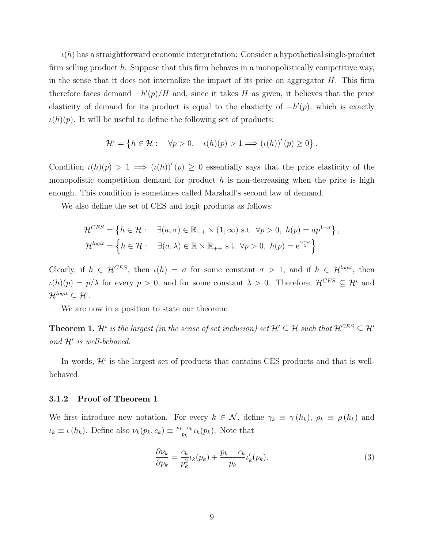$\iota(h)$  has a straightforward economic interpretation: Consider a hypothetical single-product firm selling product  $h$ . Suppose that this firm behaves in a monopolistically competitive way, in the sense that it does not internalize the impact of its price on aggregator  $H$ . This firm therefore faces demand  $-h'(p)/H$  and, since it takes H as given, it believes that the price elasticity of demand for its product is equal to the elasticity of  $-h'(p)$ , which is exactly  $\iota(h)(p)$ . It will be useful to define the following set of products:

$$
\mathcal{H}^{\iota} = \left\{ h \in \mathcal{H} : \quad \forall p > 0, \quad \iota(h)(p) > 1 \Longrightarrow (\iota(h))'(p) \ge 0 \right\}.
$$

Condition  $\iota(h)(p) > 1 \implies (\iota(h))'(p) \geq 0$  essentially says that the price elasticity of the monopolistic competition demand for product  $h$  is non-decreasing when the price is high enough. This condition is sometimes called Marshall's second law of demand.

We also define the set of CES and logit products as follows:

$$
\mathcal{H}^{CES} = \left\{ h \in \mathcal{H} : \quad \exists (a, \sigma) \in \mathbb{R}_{++} \times (1, \infty) \text{ s.t. } \forall p > 0, \ h(p) = ap^{1-\sigma} \right\},
$$
  

$$
\mathcal{H}^{logit} = \left\{ h \in \mathcal{H} : \quad \exists (a, \lambda) \in \mathbb{R} \times \mathbb{R}_{++} \text{ s.t. } \forall p > 0, \ h(p) = e^{\frac{a-p}{\lambda}} \right\}.
$$

Clearly, if  $h \in \mathcal{H}^{CES}$ , then  $\iota(h) = \sigma$  for some constant  $\sigma > 1$ , and if  $h \in \mathcal{H}^{logit}$ , then  $u(h)(p) = p/\lambda$  for every  $p > 0$ , and for some constant  $\lambda > 0$ . Therefore,  $\mathcal{H}^{CES} \subseteq \mathcal{H}^i$  and  $\mathcal{H}^{logit} \subseteq \mathcal{H}^{\iota}.$ 

We are now in a position to state our theorem:

**Theorem 1.**  $\mathcal{H}^i$  is the largest (in the sense of set inclusion) set  $\mathcal{H}' \subseteq \mathcal{H}$  such that  $\mathcal{H}^{CES} \subseteq \mathcal{H}'$ and  $\mathcal{H}'$  is well-behaved.

In words,  $\mathcal{H}^{\iota}$  is the largest set of products that contains CES products and that is wellbehaved.

#### 3.1.2 Proof of Theorem 1

We first introduce new notation. For every  $k \in \mathcal{N}$ , define  $\gamma_k \equiv \gamma(h_k)$ ,  $\rho_k \equiv \rho(h_k)$  and  $u_k \equiv \iota(h_k)$ . Define also  $\nu_k(p_k, c_k) \equiv \frac{p_k - c_k}{p_k}$  $\frac{e^{-c_k}}{p_k} \iota_k(p_k)$ . Note that

$$
\frac{\partial \nu_k}{\partial p_k} = \frac{c_k}{p_k^2} \iota_k(p_k) + \frac{p_k - c_k}{p_k} \iota'_k(p_k). \tag{3}
$$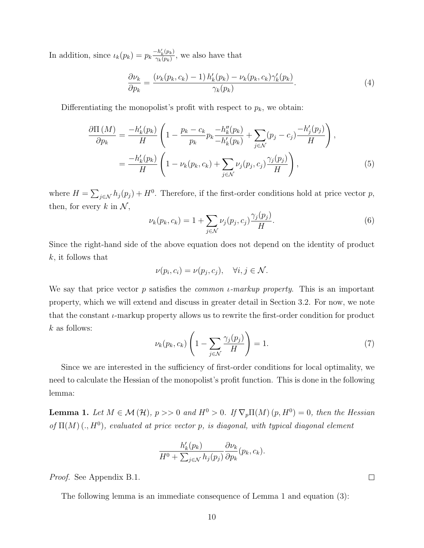In addition, since  $\iota_k(p_k) = p_k \frac{-h'_k(p_k)}{\gamma_k(p_k)}$  $\frac{-n_k(p_k)}{\gamma_k(p_k)}$ , we also have that

$$
\frac{\partial \nu_k}{\partial p_k} = \frac{(\nu_k(p_k, c_k) - 1) h'_k(p_k) - \nu_k(p_k, c_k) \gamma'_k(p_k)}{\gamma_k(p_k)}.
$$
\n(4)

Differentiating the monopolist's profit with respect to  $p_k$ , we obtain:

$$
\frac{\partial \Pi\left(M\right)}{\partial p_k} = \frac{-h'_k(p_k)}{H} \left(1 - \frac{p_k - c_k}{p_k} p_k \frac{-h''_k(p_k)}{-h'_k(p_k)} + \sum_{j \in \mathcal{N}} (p_j - c_j) \frac{-h'_j(p_j)}{H}\right),
$$
\n
$$
= \frac{-h'_k(p_k)}{H} \left(1 - \nu_k(p_k, c_k) + \sum_{j \in \mathcal{N}} \nu_j(p_j, c_j) \frac{\gamma_j(p_j)}{H}\right),\tag{5}
$$

where  $H = \sum_{j \in \mathcal{N}} h_j(p_j) + H^0$ . Therefore, if the first-order conditions hold at price vector p, then, for every k in  $\mathcal{N}$ ,

$$
\nu_k(p_k, c_k) = 1 + \sum_{j \in \mathcal{N}} \nu_j(p_j, c_j) \frac{\gamma_j(p_j)}{H}.
$$
\n
$$
(6)
$$

Since the right-hand side of the above equation does not depend on the identity of product k, it follows that

$$
\nu(p_i, c_i) = \nu(p_j, c_j), \quad \forall i, j \in \mathcal{N}.
$$

We say that price vector p satisfies the *common i-markup property*. This is an important property, which we will extend and discuss in greater detail in Section 3.2. For now, we note that the constant  $\iota$ -markup property allows us to rewrite the first-order condition for product  $k$  as follows:

$$
\nu_k(p_k, c_k) \left(1 - \sum_{j \in \mathcal{N}} \frac{\gamma_j(p_j)}{H}\right) = 1. \tag{7}
$$

Since we are interested in the sufficiency of first-order conditions for local optimality, we need to calculate the Hessian of the monopolist's profit function. This is done in the following lemma:

**Lemma 1.** Let  $M \in \mathcal{M}(\mathcal{H})$ ,  $p >> 0$  and  $H^0 > 0$ . If  $\nabla_p \Pi(M)(p, H^0) = 0$ , then the Hessian of  $\Pi(M)$  (.,  $H^0$ ), evaluated at price vector p, is diagonal, with typical diagonal element

$$
\frac{h'_k(p_k)}{H^0 + \sum_{j \in \mathcal{N}} h_j(p_j)} \frac{\partial \nu_k}{\partial p_k}(p_k, c_k).
$$

Proof. See Appendix B.1.

The following lemma is an immediate consequence of Lemma 1 and equation (3):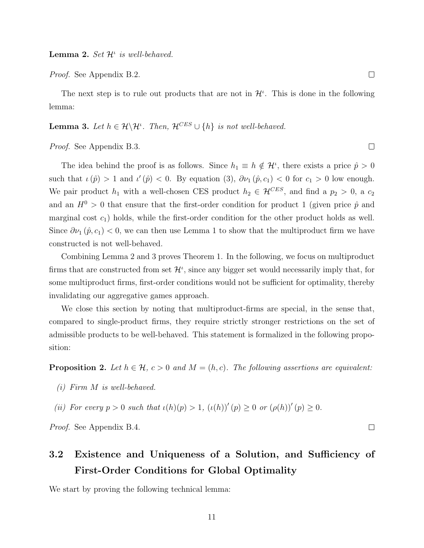*Proof.* See Appendix B.2.

The next step is to rule out products that are not in  $\mathcal{H}^{\iota}$ . This is done in the following lemma:

**Lemma 3.** Let  $h \in \mathcal{H} \backslash \mathcal{H}^{\iota}$ . Then,  $\mathcal{H}^{CES} \cup \{h\}$  is not well-behaved.

Proof. See Appendix B.3.

The idea behind the proof is as follows. Since  $h_1 \equiv h \notin \mathcal{H}^i$ , there exists a price  $\hat{p} > 0$ such that  $\iota(\hat{p}) > 1$  and  $\iota'(\hat{p}) < 0$ . By equation (3),  $\partial \nu_1(\hat{p}, c_1) < 0$  for  $c_1 > 0$  low enough. We pair product  $h_1$  with a well-chosen CES product  $h_2 \in \mathcal{H}^{CES}$ , and find a  $p_2 > 0$ , a  $c_2$ and an  $H^0 > 0$  that ensure that the first-order condition for product 1 (given price  $\hat{p}$  and marginal cost  $c_1$ ) holds, while the first-order condition for the other product holds as well. Since  $\partial \nu_1(\hat{p}, c_1)$  < 0, we can then use Lemma 1 to show that the multiproduct firm we have constructed is not well-behaved.

Combining Lemma 2 and 3 proves Theorem 1. In the following, we focus on multiproduct firms that are constructed from set  $\mathcal{H}^i$ , since any bigger set would necessarily imply that, for some multiproduct firms, first-order conditions would not be sufficient for optimality, thereby invalidating our aggregative games approach.

We close this section by noting that multiproduct-firms are special, in the sense that, compared to single-product firms, they require strictly stronger restrictions on the set of admissible products to be well-behaved. This statement is formalized in the following proposition:

**Proposition 2.** Let  $h \in \mathcal{H}$ ,  $c > 0$  and  $M = (h, c)$ . The following assertions are equivalent:

- (i) Firm M is well-behaved.
- (ii) For every  $p > 0$  such that  $\iota(h)(p) > 1$ ,  $(\iota(h))'(p) \geq 0$  or  $(\rho(h))'(p) \geq 0$ .

Proof. See Appendix B.4.

## 3.2 Existence and Uniqueness of a Solution, and Sufficiency of First-Order Conditions for Global Optimality

We start by proving the following technical lemma:

 $\Box$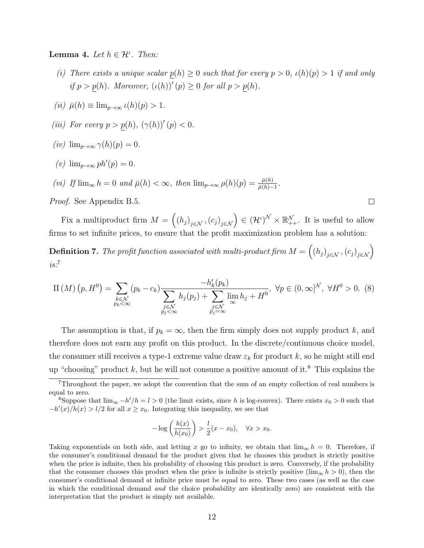Lemma 4. Let  $h \in \mathcal{H}^i$ . Then:

- (i) There exists a unique scalar  $p(h) \geq 0$  such that for every  $p > 0$ ,  $\iota(h)(p) > 1$  if and only if  $p > p(h)$ . Moreover,  $(\iota(h))'(p) \geq 0$  for all  $p > p(h)$ .
- (ii)  $\bar{\mu}(h) \equiv \lim_{p \to \infty} \iota(h)(p) > 1.$
- (iii) For every  $p > p(h)$ ,  $(\gamma(h))'(p) < 0$ .
- (iv)  $\lim_{p\to\infty} \gamma(h)(p) = 0.$
- (v)  $\lim_{p\to\infty} ph'(p) = 0.$
- (vi) If  $\lim_{\infty} h = 0$  and  $\bar{\mu}(h) < \infty$ , then  $\lim_{p \to \infty} \rho(h)(p) = \frac{\bar{\mu}(h)}{\bar{\mu}(h)-1}$ .

Proof. See Appendix B.5.

Fix a multiproduct firm  $M = ((h_j)_{j \in \mathcal{N}}, (c_j)_{j \in \mathcal{N}}) \in (\mathcal{H}^{\iota})^{\mathcal{N}} \times \mathbb{R}^{\mathcal{N}}_{++}$ . It is useful to allow firms to set infinite prices, to ensure that the profit maximization problem has a solution:

**Definition 7.** The profit function associated with multi-product firm  $M = ((h_j)_{j \in \mathcal{N}}, (c_j)_{j \in \mathcal{N}})$  $is.^7$ 

$$
\Pi\left(M\right)\left(p,H^{0}\right) = \sum_{\substack{k \in \mathcal{N} \\ p_{k} < \infty}} \left(p_{k} - c_{k}\right) \frac{-h_{k}'(p_{k})}{\sum_{\substack{j \in \mathcal{N} \\ p_{j} < \infty}} h_{j}(p_{j}) + \sum_{\substack{j \in \mathcal{N} \\ p_{j} = \infty}} \lim_{h_{j} + H^{0}} h_{j} + H^{0}}, \ \forall p \in (0,\infty]^{\mathcal{N}}, \ \forall H^{0} > 0. \tag{8}
$$

The assumption is that, if  $p_k = \infty$ , then the firm simply does not supply product k, and therefore does not earn any profit on this product. In the discrete/continuous choice model, the consumer still receives a type-1 extreme value draw  $\varepsilon_k$  for product k, so he might still end up "choosing" product  $k$ , but he will not consume a positive amount of it.<sup>8</sup> This explains the

$$
-\log\left(\frac{h(x)}{h(x_0)}\right) > \frac{l}{2}(x - x_0), \quad \forall x > x_0.
$$

Taking exponentials on both side, and letting x go to infinity, we obtain that  $\lim_{\infty} h = 0$ . Therefore, if the consumer's conditional demand for the product given that he chooses this product is strictly positive when the price is infinite, then his probability of choosing this product is zero. Conversely, if the probability that the consumer chooses this product when the price is infinite is strictly positive ( $\lim_{\infty} h > 0$ ), then the consumer's conditional demand at infinite price must be equal to zero. These two cases (as well as the case in which the conditional demand and the choice probability are identically zero) are consistent with the interpretation that the product is simply not available.

 $7$ Throughout the paper, we adopt the convention that the sum of an empty collection of real numbers is equal to zero.

<sup>&</sup>lt;sup>8</sup>Suppose that  $\lim_{\infty} -h'/h = l > 0$  (the limit exists, since h is log-convex). There exists  $x_0 > 0$  such that  $-h'(x)/h(x) > l/2$  for all  $x \ge x_0$ . Integrating this inequality, we see that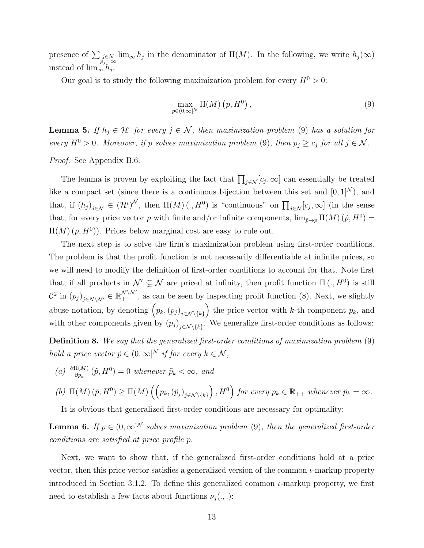presence of  $\sum_{\substack{j\in\mathcal{N} \ p_j=\infty}} \lim_{\infty} h_j$  in the denominator of  $\Pi(M)$ . In the following, we write  $h_j(\infty)$ instead of  $\lim_{\infty} h_j$ .

Our goal is to study the following maximization problem for every  $H^0 > 0$ :

$$
\max_{p \in (0,\infty]^{\mathcal{N}}} \Pi(M) \left( p, H^0 \right), \tag{9}
$$

**Lemma 5.** If  $h_j \in \mathcal{H}^i$  for every  $j \in \mathcal{N}$ , then maximization problem (9) has a solution for every  $H^0 > 0$ . Moreover, if p solves maximization problem (9), then  $p_j \ge c_j$  for all  $j \in \mathcal{N}$ .

Proof. See Appendix B.6.

The lemma is proven by exploiting the fact that  $\prod_{j\in\mathcal{N}}[c_j,\infty]$  can essentially be treated like a compact set (since there is a continuous bijection between this set and  $[0, 1]^{\mathcal{N}}$ ), and that, if  $(h_j)_{j\in\mathcal{N}}\in(\mathcal{H}^i)^{\mathcal{N}}$ , then  $\Pi(M)(., H^0)$  is "continuous" on  $\prod_{j\in\mathcal{N}}[c_j,\infty]$  (in the sense that, for every price vector p with finite and/or infinite components,  $\lim_{\tilde{p}\to p} \Pi(M)(\tilde{p}, H^0) =$  $\Pi(M)(p, H^0)$ . Prices below marginal cost are easy to rule out.

The next step is to solve the firm's maximization problem using first-order conditions. The problem is that the profit function is not necessarily differentiable at infinite prices, so we will need to modify the definition of first-order conditions to account for that. Note first that, if all products in  $\mathcal{N}' \subsetneq \mathcal{N}$  are priced at infinity, then profit function  $\Pi(.)$ ,  $H^0$ ) is still  $\mathcal{C}^2$  in  $(p_j)_{j \in N \setminus \mathcal{N}'} \in \mathbb{R}_{++}^{\mathcal{N} \setminus \mathcal{N}'}$ , as can be seen by inspecting profit function (8). Next, we slightly abuse notation, by denoting  $(p_k,(p_j)_{j\in\mathcal{N}\setminus\{k\}})$  the price vector with k-th component  $p_k$ , and with other components given by  $(p_j)_{j \in \mathcal{N} \setminus \{k\}}$ . We generalize first-order conditions as follows:

Definition 8. We say that the generalized first-order conditions of maximization problem (9) hold a price vector  $\tilde{p} \in (0, \infty]^{\mathcal{N}}$  if for every  $k \in \mathcal{N}$ ,

(a)  $\frac{\partial \Pi(M)}{\partial p_k}(\tilde{p}, H^0) = 0$  whenever  $\tilde{p}_k < \infty$ , and

(b) 
$$
\Pi(M) (\tilde{p}, H^0) \ge \Pi(M) \left( \left( p_k, (\tilde{p}_j)_{j \in \mathcal{N} \setminus \{k\}} \right), H^0 \right)
$$
 for every  $p_k \in \mathbb{R}_{++}$  whenever  $\tilde{p}_k = \infty$ .

It is obvious that generalized first-order conditions are necessary for optimality:

**Lemma 6.** If  $p \in (0,\infty)^N$  solves maximization problem (9), then the generalized first-order conditions are satisfied at price profile p.

Next, we want to show that, if the generalized first-order conditions hold at a price vector, then this price vector satisfies a generalized version of the common  $\iota$ -markup property introduced in Section 3.1.2. To define this generalized common  $\iota$ -markup property, we first need to establish a few facts about functions  $\nu_j(.,.)$ :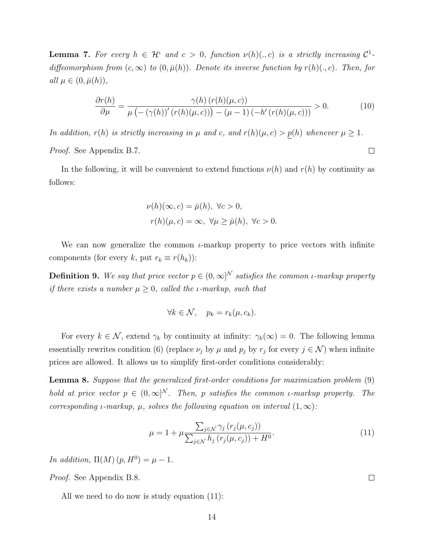**Lemma 7.** For every  $h \in \mathcal{H}^{\iota}$  and  $c > 0$ , function  $\nu(h)(., c)$  is a strictly increasing  $\mathcal{C}^1$ diffeomorphism from  $(c, \infty)$  to  $(0, \bar{\mu}(h))$ . Denote its inverse function by  $r(h)(., c)$ . Then, for all  $\mu \in (0, \bar{\mu}(h)),$ 

$$
\frac{\partial r(h)}{\partial \mu} = \frac{\gamma(h) (r(h)(\mu, c))}{\mu \left( -(\gamma(h))'(r(h)(\mu, c)) \right) - (\mu - 1) (-h'(r(h)(\mu, c)))} > 0.
$$
\n(10)

 $\Box$ 

 $\Box$ 

In addition,  $r(h)$  is strictly increasing in  $\mu$  and c, and  $r(h)(\mu, c) > p(h)$  whenever  $\mu \geq 1$ . Proof. See Appendix B.7.

In the following, it will be convenient to extend functions  $\nu(h)$  and  $r(h)$  by continuity as follows:

$$
\nu(h)(\infty, c) = \bar{\mu}(h), \ \forall c > 0,
$$
  

$$
r(h)(\mu, c) = \infty, \ \forall \mu \ge \bar{\mu}(h), \ \forall c > 0.
$$

We can now generalize the common  $\iota$ -markup property to price vectors with infinite components (for every k, put  $r_k \equiv r(h_k)$ ):

**Definition 9.** We say that price vector  $p \in (0, \infty)^N$  satisfies the common *i*-markup property if there exists a number  $\mu \geq 0$ , called the *ι*-markup, such that

$$
\forall k \in \mathcal{N}, \quad p_k = r_k(\mu, c_k).
$$

For every  $k \in \mathcal{N}$ , extend  $\gamma_k$  by continuity at infinity:  $\gamma_k(\infty) = 0$ . The following lemma essentially rewrites condition (6) (replace  $\nu_j$  by  $\mu$  and  $p_j$  by  $r_j$  for every  $j \in \mathcal{N}$ ) when infinite prices are allowed. It allows us to simplify first-order conditions considerably:

Lemma 8. Suppose that the generalized first-order conditions for maximization problem (9) hold at price vector  $p \in (0,\infty]^N$ . Then, p satisfies the common *i*-markup property. The corresponding *ι*-markup,  $\mu$ , solves the following equation on interval  $(1,\infty)$ :

$$
\mu = 1 + \mu \frac{\sum_{j \in \mathcal{N}} \gamma_j (r_j(\mu, c_j))}{\sum_{j \in \mathcal{N}} h_j (r_j(\mu, c_j)) + H^0}.
$$
\n(11)

In addition,  $\Pi(M)(p,H^0) = \mu - 1$ .

Proof. See Appendix B.8.

All we need to do now is study equation (11):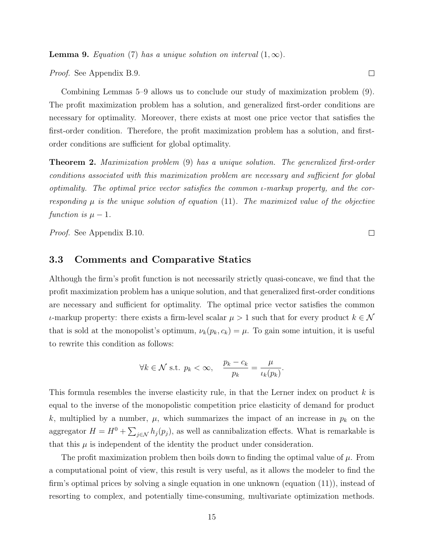**Lemma 9.** Equation (7) has a unique solution on interval  $(1, \infty)$ .

Proof. See Appendix B.9.

Combining Lemmas 5–9 allows us to conclude our study of maximization problem (9). The profit maximization problem has a solution, and generalized first-order conditions are necessary for optimality. Moreover, there exists at most one price vector that satisfies the first-order condition. Therefore, the profit maximization problem has a solution, and firstorder conditions are sufficient for global optimality.

**Theorem 2.** Maximization problem (9) has a unique solution. The generalized first-order conditions associated with this maximization problem are necessary and sufficient for global optimality. The optimal price vector satisfies the common  $\iota$ -markup property, and the corresponding  $\mu$  is the unique solution of equation (11). The maximized value of the objective function is  $\mu - 1$ .

Proof. See Appendix B.10.

#### 3.3 Comments and Comparative Statics

Although the firm's profit function is not necessarily strictly quasi-concave, we find that the profit maximization problem has a unique solution, and that generalized first-order conditions are necessary and sufficient for optimality. The optimal price vector satisfies the common *ι*-markup property: there exists a firm-level scalar  $\mu > 1$  such that for every product  $k ∈ N$ that is sold at the monopolist's optimum,  $\nu_k(p_k, c_k) = \mu$ . To gain some intuition, it is useful to rewrite this condition as follows:

$$
\forall k \in \mathcal{N} \text{ s.t. } p_k < \infty, \quad \frac{p_k - c_k}{p_k} = \frac{\mu}{\iota_k(p_k)}.
$$

This formula resembles the inverse elasticity rule, in that the Lerner index on product k is equal to the inverse of the monopolistic competition price elasticity of demand for product k, multiplied by a number,  $\mu$ , which summarizes the impact of an increase in  $p_k$  on the aggregator  $H = H^0 + \sum_{j \in \mathcal{N}} h_j(p_j)$ , as well as cannibalization effects. What is remarkable is that this  $\mu$  is independent of the identity the product under consideration.

The profit maximization problem then boils down to finding the optimal value of  $\mu$ . From a computational point of view, this result is very useful, as it allows the modeler to find the firm's optimal prices by solving a single equation in one unknown (equation (11)), instead of resorting to complex, and potentially time-consuming, multivariate optimization methods.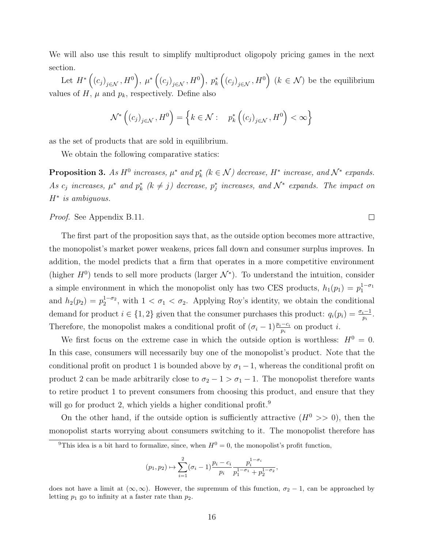We will also use this result to simplify multiproduct oligopoly pricing games in the next section.

Let  $H^*\left(\left(c_j\right)_{j\in\mathcal{N}},H^0\right)$ ,  $\mu^*\left(\left(c_j\right)_{j\in\mathcal{N}},H^0\right)$ ,  $p_k^*\left(\left(c_j\right)_{j\in\mathcal{N}},H^0\right)$   $(k\in\mathcal{N})$  be the equilibrium values of  $H$ ,  $\mu$  and  $p_k$ , respectively. Define also

$$
\mathcal{N}^*\left((c_j)_{j\in\mathcal{N}}, H^0\right) = \left\{k \in \mathcal{N} : p_k^*\left((c_j)_{j\in\mathcal{N}}, H^0\right) < \infty\right\}
$$

as the set of products that are sold in equilibrium.

We obtain the following comparative statics:

**Proposition 3.** As  $H^0$  increases,  $\mu^*$  and  $p_k^*$  ( $k \in \mathcal{N}$ ) decrease,  $H^*$  increase, and  $\mathcal{N}^*$  expands. As  $c_j$  increases,  $\mu^*$  and  $p_k^*$  ( $k \neq j$ ) decrease,  $p_j^*$  increases, and  $\mathcal{N}^*$  expands. The impact on H<sup>∗</sup> is ambiguous.

 $\Box$ 

Proof. See Appendix B.11.

The first part of the proposition says that, as the outside option becomes more attractive, the monopolist's market power weakens, prices fall down and consumer surplus improves. In addition, the model predicts that a firm that operates in a more competitive environment (higher  $H^0$ ) tends to sell more products (larger  $\mathcal{N}^*$ ). To understand the intuition, consider a simple environment in which the monopolist only has two CES products,  $h_1(p_1) = p_1^{1-\sigma_1}$ and  $h_2(p_2) = p_2^{1-\sigma_2}$ , with  $1 < \sigma_1 < \sigma_2$ . Applying Roy's identity, we obtain the conditional demand for product  $i \in \{1,2\}$  given that the consumer purchases this product:  $q_i(p_i) = \frac{\sigma_i - 1}{p_i}$ . Therefore, the monopolist makes a conditional profit of  $(\sigma_i - 1) \frac{p_i - c_i}{p_i}$  on product *i*.

We first focus on the extreme case in which the outside option is worthless:  $H^0 = 0$ . In this case, consumers will necessarily buy one of the monopolist's product. Note that the conditional profit on product 1 is bounded above by  $\sigma_1 - 1$ , whereas the conditional profit on product 2 can be made arbitrarily close to  $\sigma_2 - 1 > \sigma_1 - 1$ . The monopolist therefore wants to retire product 1 to prevent consumers from choosing this product, and ensure that they will go for product 2, which yields a higher conditional profit.<sup>9</sup>

On the other hand, if the outside option is sufficiently attractive  $(H^0 \gg 0)$ , then the monopolist starts worrying about consumers switching to it. The monopolist therefore has

$$
(p_1, p_2) \mapsto \sum_{i=1}^2 (\sigma_i - 1) \frac{p_i - c_i}{p_i} \frac{p_i^{1-\sigma_i}}{p_1^{1-\sigma_1} + p_2^{1-\sigma_2}},
$$

<sup>&</sup>lt;sup>9</sup>This idea is a bit hard to formalize, since, when  $H^0 = 0$ , the monopolist's profit function,

does not have a limit at  $(\infty, \infty)$ . However, the supremum of this function,  $\sigma_2 - 1$ , can be approached by letting  $p_1$  go to infinity at a faster rate than  $p_2$ .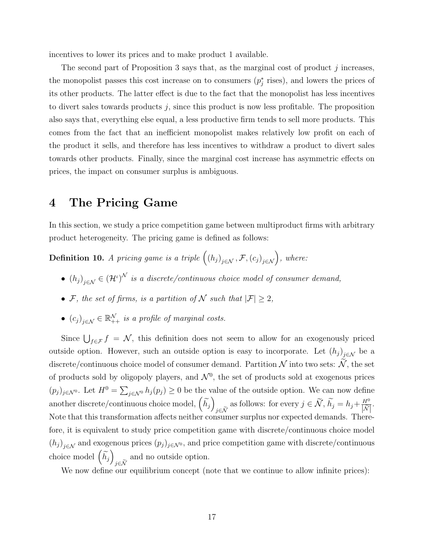incentives to lower its prices and to make product 1 available.

The second part of Proposition 3 says that, as the marginal cost of product  $j$  increases, the monopolist passes this cost increase on to consumers  $(p_j^*$  rises), and lowers the prices of its other products. The latter effect is due to the fact that the monopolist has less incentives to divert sales towards products  $j$ , since this product is now less profitable. The proposition also says that, everything else equal, a less productive firm tends to sell more products. This comes from the fact that an inefficient monopolist makes relatively low profit on each of the product it sells, and therefore has less incentives to withdraw a product to divert sales towards other products. Finally, since the marginal cost increase has asymmetric effects on prices, the impact on consumer surplus is ambiguous.

### 4 The Pricing Game

In this section, we study a price competition game between multiproduct firms with arbitrary product heterogeneity. The pricing game is defined as follows:

**Definition 10.** A pricing game is a triple  $((h_j)_{j \in \mathcal{N}}, \mathcal{F}, (c_j)_{j \in \mathcal{N}})$ , where:

- $(h_j)_{j \in \mathcal{N}} \in (\mathcal{H}^i)^{\mathcal{N}}$  is a discrete/continuous choice model of consumer demand,
- F, the set of firms, is a partition of N such that  $|\mathcal{F}| \geq 2$ ,
- $(c_j)_{j \in \mathcal{N}} \in \mathbb{R}^{\mathcal{N}}_{++}$  is a profile of marginal costs.

Since  $\bigcup_{f \in \mathcal{F}} f = \mathcal{N}$ , this definition does not seem to allow for an exogenously priced outside option. However, such an outside option is easy to incorporate. Let  $(h_j)_{j \in \mathcal{N}}$  be a discrete/continuous choice model of consumer demand. Partition  $N$  into two sets:  $N$ , the set of products sold by oligopoly players, and  $\mathcal{N}^0$ , the set of products sold at exogenous prices  $(p_j)_{j\in\mathcal{N}^0}$ . Let  $H^0=\sum_{j\in\mathcal{N}^0}h_j(p_j)\geq 0$  be the value of the outside option. We can now define another discrete/continuous choice model,  $\left(\widetilde{h_{j}}\right)$ j∈ $\widetilde{N}$  as follows: for every  $j \in \widetilde{N}$ ,  $\widetilde{h}_j = h_j + \frac{H^0}{|\widetilde{N}|}$  $\frac{H^0}{\left|\widetilde{\mathcal{N}}\right|}$ . Note that this transformation affects neither consumer surplus nor expected demands. Therefore, it is equivalent to study price competition game with discrete/continuous choice model  $(h_j)_{j \in \mathcal{N}}$  and exogenous prices  $(p_j)_{j \in \mathcal{N}^0}$ , and price competition game with discrete/continuous choice model  $\left(\widetilde{h_{j}}\right)$  $j\in\mathcal{N}$ and no outside option.

We now define our equilibrium concept (note that we continue to allow infinite prices):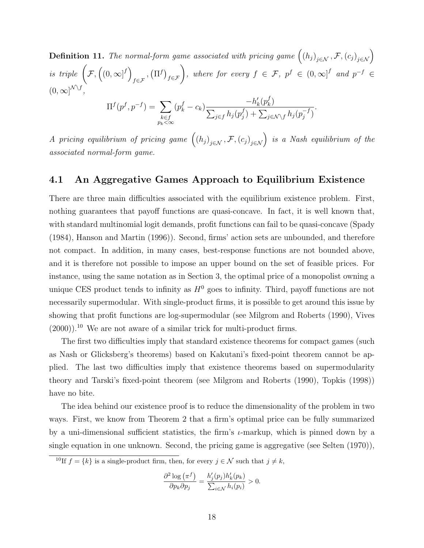**Definition 11.** The normal-form game associated with pricing game  $((h_j)_{j \in \mathcal{N}}, \mathcal{F}, (c_j)_{j \in \mathcal{N}})$ is triple  $\left(\mathcal{F}, \left((0,\infty]^f\right)\right)$  $\big(\Pi^f\big)_{f \in \mathcal{F}}$ , where for every  $f \in \mathcal{F}$ ,  $p^f \in (0, \infty]^f$  and  $p^{-f} \in$  $(0,\infty]^{\mathcal{N}\setminus f},$  $\Pi^f(p^f, p^{-f}) = \sum$  $k \in f \n p_k < \infty$  $(p_k^f - c_k)$  $-h'_k(p_k^f)$  $_{k}^{J})$  $\sum_{j\in f}h_j(p_j^f$  $j^{(f)}_j + \sum_{j \in \mathcal{N} \setminus f} h_j(p_j^{-f})$  $j^{-1}$ .

A pricing equilibrium of pricing game  $((h_j)_{j\in\mathcal{N}}, \mathcal{F}, (c_j)_{j\in\mathcal{N}})$  is a Nash equilibrium of the associated normal-form game.

#### 4.1 An Aggregative Games Approach to Equilibrium Existence

There are three main difficulties associated with the equilibrium existence problem. First, nothing guarantees that payoff functions are quasi-concave. In fact, it is well known that, with standard multinomial logit demands, profit functions can fail to be quasi-concave (Spady (1984), Hanson and Martin (1996)). Second, firms' action sets are unbounded, and therefore not compact. In addition, in many cases, best-response functions are not bounded above, and it is therefore not possible to impose an upper bound on the set of feasible prices. For instance, using the same notation as in Section 3, the optimal price of a monopolist owning a unique CES product tends to infinity as  $H^0$  goes to infinity. Third, payoff functions are not necessarily supermodular. With single-product firms, it is possible to get around this issue by showing that profit functions are log-supermodular (see Milgrom and Roberts (1990), Vives  $(2000)$ .<sup>10</sup> We are not aware of a similar trick for multi-product firms.

The first two difficulties imply that standard existence theorems for compact games (such as Nash or Glicksberg's theorems) based on Kakutani's fixed-point theorem cannot be applied. The last two difficulties imply that existence theorems based on supermodularity theory and Tarski's fixed-point theorem (see Milgrom and Roberts (1990), Topkis (1998)) have no bite.

The idea behind our existence proof is to reduce the dimensionality of the problem in two ways. First, we know from Theorem 2 that a firm's optimal price can be fully summarized by a uni-dimensional sufficient statistics, the firm's  $\iota$ -markup, which is pinned down by a single equation in one unknown. Second, the pricing game is aggregative (see Selten (1970)),

<sup>10</sup>If  $f = \{k\}$  is a single-product firm, then, for every  $j \in \mathcal{N}$  such that  $j \neq k$ ,

$$
\frac{\partial^2 \log \left( \pi^f \right)}{\partial p_k \partial p_j} = \frac{h'_j(p_j) h'_k(p_k)}{\sum_{i \in \mathcal{N}} h_i(p_i)} > 0.
$$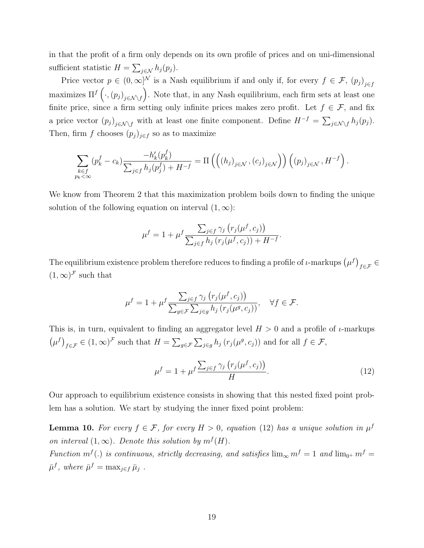in that the profit of a firm only depends on its own profile of prices and on uni-dimensional sufficient statistic  $H = \sum_{j \in \mathcal{N}} h_j(p_j)$ .

Price vector  $p \in (0,\infty]^{\mathcal{N}}$  is a Nash equilibrium if and only if, for every  $f \in \mathcal{F}$ ,  $(p_j)_{j \in f}$ maximizes  $\Pi^f\left(\cdot,(p_j)_{j\in\mathcal{N}\setminus f}\right)$ . Note that, in any Nash equilibrium, each firm sets at least one finite price, since a firm setting only infinite prices makes zero profit. Let  $f \in \mathcal{F}$ , and fix a price vector  $(p_j)_{j \in \mathcal{N} \setminus f}$  with at least one finite component. Define  $H^{-f} = \sum_{j \in \mathcal{N} \setminus f} h_j(p_j)$ . Then, firm f chooses  $(p_i)_{i \in f}$  so as to maximize

$$
\sum_{\substack{k \in f \\ p_k < \infty}} \left( p_k^f - c_k \right) \frac{-h'_k(p_k^f)}{\sum_{j \in f} h_j(p_j^f) + H^{-f}} = \Pi \left( \left( \left( h_j \right)_{j \in \mathcal{N}}, \left( c_j \right)_{j \in \mathcal{N}} \right) \right) \left( \left( p_j \right)_{j \in \mathcal{N}}, H^{-f} \right).
$$

We know from Theorem 2 that this maximization problem boils down to finding the unique solution of the following equation on interval  $(1, \infty)$ :

$$
\mu^{f} = 1 + \mu^{f} \frac{\sum_{j \in f} \gamma_{j} (r_{j}(\mu^{f}, c_{j}))}{\sum_{j \in f} h_{j} (r_{j}(\mu^{f}, c_{j})) + H^{-f}}.
$$

The equilibrium existence problem therefore reduces to finding a profile of  $\iota$ -markups  $(\mu^f)_{f \in \mathcal{F}} \in$  $(1,\infty)^{\mathcal{F}}$  such that

$$
\mu^{f} = 1 + \mu^{f} \frac{\sum_{j \in f} \gamma_{j} (r_{j}(\mu^{f}, c_{j}))}{\sum_{g \in \mathcal{F}} \sum_{j \in g} h_{j} (r_{j}(\mu^{g}, c_{j}))}, \quad \forall f \in \mathcal{F}.
$$

This is, in turn, equivalent to finding an aggregator level  $H > 0$  and a profile of *ι*-markups  $(\mu^f)_{f \in \mathcal{F}} \in (1, \infty)^{\mathcal{F}}$  such that  $H = \sum_{g \in \mathcal{F}} \sum_{j \in g} h_j(r_j(\mu^g, c_j))$  and for all  $f \in \mathcal{F}$ ,

$$
\mu^f = 1 + \mu^f \frac{\sum_{j \in f} \gamma_j \left( r_j(\mu^f, c_j) \right)}{H}.
$$
\n(12)

Our approach to equilibrium existence consists in showing that this nested fixed point problem has a solution. We start by studying the inner fixed point problem:

**Lemma 10.** For every  $f \in \mathcal{F}$ , for every  $H > 0$ , equation (12) has a unique solution in  $\mu^f$ on interval  $(1,\infty)$ . Denote this solution by  $m^{f}(H)$ .

Function  $m^f(.)$  is continuous, strictly decreasing, and satisfies  $\lim_{\infty} m^f = 1$  and  $\lim_{0^+} m^f =$  $\bar{\mu}^f$ , where  $\bar{\mu}^f = \max_{j \in f} \bar{\mu}_j$ .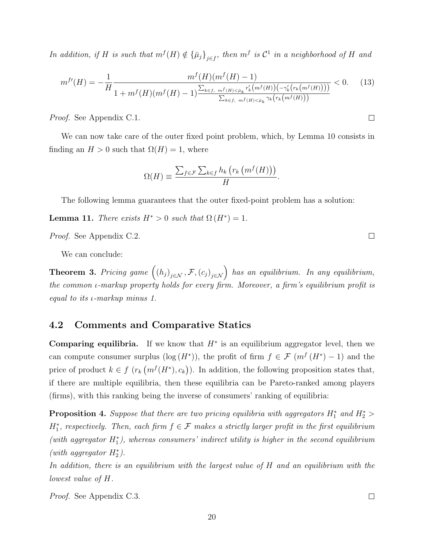In addition, if H is such that  $m^{f}(H) \notin {\{\bar{\mu}_j\}}_{j \in f}$ , then  $m^f$  is  $\mathcal{C}^1$  in a neighborhood of H and

$$
m^{f'}(H) = -\frac{1}{H} \frac{m^f(H)(m^f(H) - 1)}{1 + m^f(H)(m^f(H) - 1) \frac{\sum_{k \in f, m^f(H) < \bar{\mu}_k} r'_k(m^f(H))(-\gamma'_k(r_k(m^f(H))))}{\sum_{k \in f, m^f(H) < \bar{\mu}_k} \gamma_k(r_k(m^f(H)))}} < 0. \tag{13}
$$

Proof. See Appendix C.1.

We can now take care of the outer fixed point problem, which, by Lemma 10 consists in finding an  $H > 0$  such that  $\Omega(H) = 1$ , where

$$
\Omega(H) \equiv \frac{\sum_{f \in \mathcal{F}} \sum_{k \in f} h_k \left( r_k \left( m^f(H) \right) \right)}{H}.
$$

The following lemma guarantees that the outer fixed-point problem has a solution:

**Lemma 11.** There exists  $H^* > 0$  such that  $\Omega(H^*) = 1$ .

Proof. See Appendix C.2.

We can conclude:

**Theorem 3.** Pricing game  $((h_j)_{j \in \mathcal{N}}, \mathcal{F}, (c_j)_{j \in \mathcal{N}})$  has an equilibrium. In any equilibrium, the common ι-markup property holds for every firm. Moreover, a firm's equilibrium profit is equal to its ι-markup minus 1.

#### 4.2 Comments and Comparative Statics

**Comparing equilibria.** If we know that  $H^*$  is an equilibrium aggregator level, then we can compute consumer surplus ( $log(H^*)$ ), the profit of firm  $f \in \mathcal{F}(m^f(H^*)-1)$  and the price of product  $k \in f(r_k(m^f(H^*), c_k))$ . In addition, the following proposition states that, if there are multiple equilibria, then these equilibria can be Pareto-ranked among players (firms), with this ranking being the inverse of consumers' ranking of equilibria:

**Proposition 4.** Suppose that there are two pricing equilibria with aggregators  $H_1^*$  and  $H_2^*$  $H_1^*$ , respectively. Then, each firm  $f \in \mathcal{F}$  makes a strictly larger profit in the first equilibrium  $(with a gyregator H<sub>1</sub><sup>*</sup>), whereas consumers' indirect utility is higher in the second equilibrium$ (with aggregator  $H_2^*$ ).

In addition, there is an equilibrium with the largest value of H and an equilibrium with the lowest value of H.

Proof. See Appendix C.3.

 $\Box$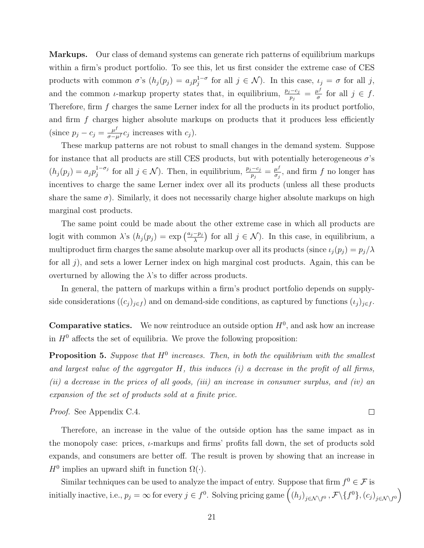Markups. Our class of demand systems can generate rich patterns of equilibrium markups within a firm's product portfolio. To see this, let us first consider the extreme case of CES products with common  $\sigma$ 's  $(h_j(p_j) = a_j p_j^{1-\sigma}$  $j_j^{-1-\sigma}$  for all  $j \in \mathcal{N}$ ). In this case,  $\iota_j = \sigma$  for all j, and the common *ι*-markup property states that, in equilibrium,  $\frac{p_j - c_j}{p_j} = \frac{\mu^f}{\sigma^2}$  $\frac{d^j}{\sigma}$  for all  $j \in f$ . Therefore, firm f charges the same Lerner index for all the products in its product portfolio, and firm  $f$  charges higher absolute markups on products that it produces less efficiently (since  $p_j - c_j = \frac{\mu^f}{\sigma - \mu^f} c_j$  increases with  $c_j$ ).

These markup patterns are not robust to small changes in the demand system. Suppose for instance that all products are still CES products, but with potentially heterogeneous  $\sigma$ 's  $(h_j(p_j) = a_j p_j^{1-\sigma_j})$  $j_j^{1-\sigma_j}$  for all  $j \in \mathcal{N}$ ). Then, in equilibrium,  $\frac{p_j-c_j}{p_j} = \frac{\mu^f}{\sigma_j}$  $\frac{\mu^j}{\sigma_j}$ , and firm f no longer has incentives to charge the same Lerner index over all its products (unless all these products share the same  $\sigma$ ). Similarly, it does not necessarily charge higher absolute markups on high marginal cost products.

The same point could be made about the other extreme case in which all products are logit with common  $\lambda$ 's  $(h_j(p_j) = \exp\left(\frac{a_j-p_j}{\lambda}\right)$  for all  $j \in \mathcal{N}$ ). In this case, in equilibrium, a multiproduct firm charges the same absolute markup over all its products (since  $\iota_j(p_j) = p_j/\lambda$ for all j), and sets a lower Lerner index on high marginal cost products. Again, this can be overturned by allowing the  $\lambda$ 's to differ across products.

In general, the pattern of markups within a firm's product portfolio depends on supplyside considerations  $((c_j)_{j\in f})$  and on demand-side conditions, as captured by functions  $(\iota_j)_{j\in f}$ .

**Comparative statics.** We now reintroduce an outside option  $H^0$ , and ask how an increase in  $H^0$  affects the set of equilibria. We prove the following proposition:

**Proposition 5.** Suppose that  $H^0$  increases. Then, in both the equilibrium with the smallest and largest value of the aggregator  $H$ , this induces  $(i)$  a decrease in the profit of all firms, (ii) a decrease in the prices of all goods, (iii) an increase in consumer surplus, and (iv) an expansion of the set of products sold at a finite price.

Proof. See Appendix C.4.

Therefore, an increase in the value of the outside option has the same impact as in the monopoly case: prices,  $\iota$ -markups and firms' profits fall down, the set of products sold expands, and consumers are better off. The result is proven by showing that an increase in  $H^0$  implies an upward shift in function  $\Omega(\cdot)$ .

Similar techniques can be used to analyze the impact of entry. Suppose that firm  $f^0 \in \mathcal{F}$  is initially inactive, i.e.,  $p_j = \infty$  for every  $j \in f^0$ . Solving pricing game  $((h_j)_{j \in \mathcal{N} \setminus f^0}, \mathcal{F} \setminus \{f^0\}, (c_j)_{j \in \mathcal{N} \setminus f^0})$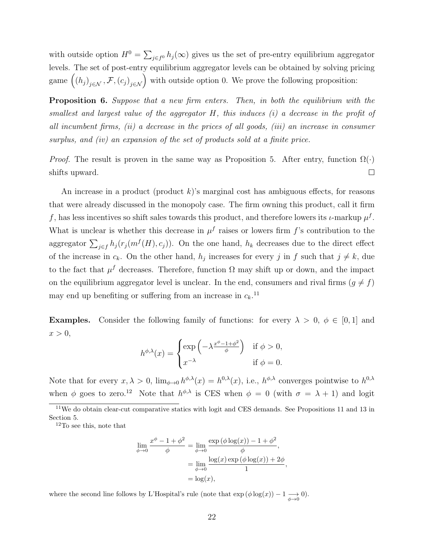with outside option  $H^0 = \sum_{j \in f^0} h_j(\infty)$  gives us the set of pre-entry equilibrium aggregator levels. The set of post-entry equilibrium aggregator levels can be obtained by solving pricing game  $((h_j)_{j\in\mathcal{N}}, \mathcal{F}, (c_j)_{j\in\mathcal{N}})$  with outside option 0. We prove the following proposition:

**Proposition 6.** Suppose that a new firm enters. Then, in both the equilibrium with the smallest and largest value of the aggregator  $H$ , this induces  $(i)$  a decrease in the profit of all incumbent firms, (ii) a decrease in the prices of all goods, (iii) an increase in consumer surplus, and (iv) an expansion of the set of products sold at a finite price.

*Proof.* The result is proven in the same way as Proposition 5. After entry, function  $\Omega(\cdot)$  $\Box$ shifts upward.

An increase in a product (product  $k$ )'s marginal cost has ambiguous effects, for reasons that were already discussed in the monopoly case. The firm owning this product, call it firm f, has less incentives so shift sales towards this product, and therefore lowers its  $\iota$ -markup  $\mu^f$ . What is unclear is whether this decrease in  $\mu^f$  raises or lowers firm f's contribution to the aggregator  $\sum_{j\in f} h_j(r_j(m^f(H), c_j))$ . On the one hand,  $h_k$  decreases due to the direct effect of the increase in  $c_k$ . On the other hand,  $h_j$  increases for every j in f such that  $j \neq k$ , due to the fact that  $\mu^f$  decreases. Therefore, function  $\Omega$  may shift up or down, and the impact on the equilibrium aggregator level is unclear. In the end, consumers and rival firms  $(g \neq f)$ may end up benefiting or suffering from an increase in  $c_k$ .<sup>11</sup>

**Examples.** Consider the following family of functions: for every  $\lambda > 0$ ,  $\phi \in [0,1]$  and  $x > 0$ ,

$$
h^{\phi,\lambda}(x) = \begin{cases} \exp\left(-\lambda \frac{x^{\phi}-1+\phi^2}{\phi}\right) & \text{if } \phi > 0, \\ x^{-\lambda} & \text{if } \phi = 0. \end{cases}
$$

Note that for every  $x, \lambda > 0$ ,  $\lim_{\phi \to 0} h^{\phi,\lambda}(x) = h^{0,\lambda}(x)$ , i.e.,  $h^{\phi,\lambda}$  converges pointwise to  $h^{0,\lambda}$ when  $\phi$  goes to zero.<sup>12</sup> Note that  $h^{\phi,\lambda}$  is CES when  $\phi = 0$  (with  $\sigma = \lambda + 1$ ) and logit

<sup>12</sup>To see this, note that

$$
\lim_{\phi \to 0} \frac{x^{\phi} - 1 + \phi^2}{\phi} = \lim_{\phi \to 0} \frac{\exp(\phi \log(x)) - 1 + \phi^2}{\phi},
$$
  
= 
$$
\lim_{\phi \to 0} \frac{\log(x) \exp(\phi \log(x)) + 2\phi}{1}
$$
  
= 
$$
\log(x),
$$

,

where the second line follows by L'Hospital's rule (note that  $\exp(\phi \log(x)) - 1 \underset{\phi \to 0}{\longrightarrow} 0$ ).

<sup>11</sup>We do obtain clear-cut comparative statics with logit and CES demands. See Propositions 11 and 13 in Section 5.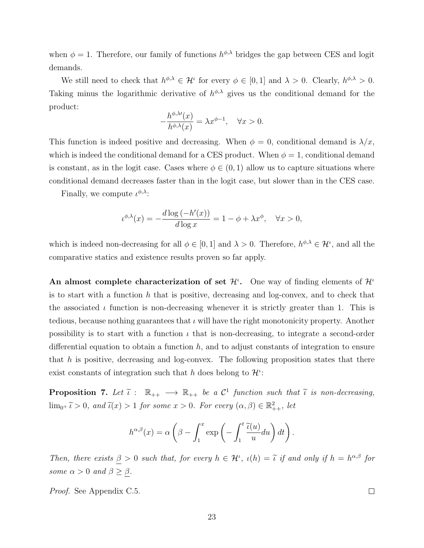when  $\phi = 1$ . Therefore, our family of functions  $h^{\phi,\lambda}$  bridges the gap between CES and logit demands.

We still need to check that  $h^{\phi,\lambda} \in \mathcal{H}^{\iota}$  for every  $\phi \in [0,1]$  and  $\lambda > 0$ . Clearly,  $h^{\phi,\lambda} > 0$ . Taking minus the logarithmic derivative of  $h^{\phi,\lambda}$  gives us the conditional demand for the product:

$$
-\frac{h^{\phi,\lambda\prime}(x)}{h^{\phi,\lambda}(x)} = \lambda x^{\phi-1}, \quad \forall x > 0.
$$

This function is indeed positive and decreasing. When  $\phi = 0$ , conditional demand is  $\lambda/x$ , which is indeed the conditional demand for a CES product. When  $\phi = 1$ , conditional demand is constant, as in the logit case. Cases where  $\phi \in (0,1)$  allow us to capture situations where conditional demand decreases faster than in the logit case, but slower than in the CES case.

Finally, we compute  $\iota^{\phi,\lambda}$ :

$$
\iota^{\phi,\lambda}(x) = -\frac{d \log(-h'(x))}{d \log x} = 1 - \phi + \lambda x^{\phi}, \quad \forall x > 0,
$$

which is indeed non-decreasing for all  $\phi \in [0,1]$  and  $\lambda > 0$ . Therefore,  $h^{\phi,\lambda} \in \mathcal{H}^{\iota}$ , and all the comparative statics and existence results proven so far apply.

An almost complete characterization of set  $\mathcal{H}^i$ . One way of finding elements of  $\mathcal{H}^i$ is to start with a function  $h$  that is positive, decreasing and log-convex, and to check that the associated  $\iota$  function is non-decreasing whenever it is strictly greater than 1. This is tedious, because nothing guarantees that  $\iota$  will have the right monotonicity property. Another possibility is to start with a function  $\iota$  that is non-decreasing, to integrate a second-order differential equation to obtain a function  $h$ , and to adjust constants of integration to ensure that h is positive, decreasing and log-convex. The following proposition states that there exist constants of integration such that h does belong to  $\mathcal{H}^i$ :

**Proposition 7.** Let  $\tilde{\iota}: \mathbb{R}_{++} \longrightarrow \mathbb{R}_{++}$  be a  $\mathcal{C}^1$  function such that  $\tilde{\iota}$  is non-decreasing,  $\lim_{0^+} \tilde{\iota} > 0$ , and  $\tilde{\iota}(x) > 1$  for some  $x > 0$ . For every  $(\alpha, \beta) \in \mathbb{R}^2_{++}$ , let

$$
h^{\alpha,\beta}(x) = \alpha \left(\beta - \int_1^x \exp\left(-\int_1^t \frac{\widetilde{\iota}(u)}{u} du\right) dt\right).
$$

Then, there exists  $\beta > 0$  such that, for every  $h \in \mathcal{H}^{\iota}$ ,  $\iota(h) = \tilde{\iota}$  if and only if  $h = h^{\alpha,\beta}$  for some  $\alpha > 0$  and  $\beta \geq \beta$ .

Proof. See Appendix C.5.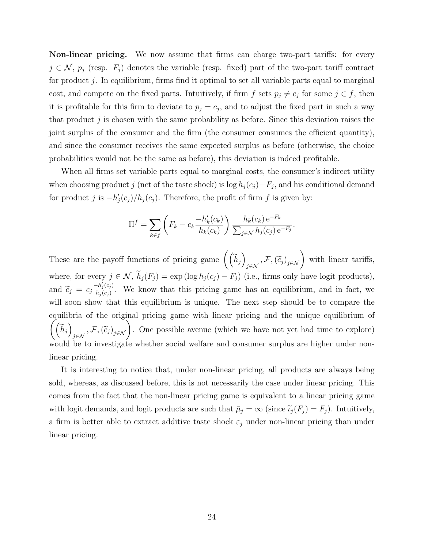Non-linear pricing. We now assume that firms can charge two-part tariffs: for every  $j \in \mathcal{N}$ ,  $p_j$  (resp.  $F_j$ ) denotes the variable (resp. fixed) part of the two-part tariff contract for product  $j$ . In equilibrium, firms find it optimal to set all variable parts equal to marginal cost, and compete on the fixed parts. Intuitively, if firm f sets  $p_j \neq c_j$  for some  $j \in f$ , then it is profitable for this firm to deviate to  $p_j = c_j$ , and to adjust the fixed part in such a way that product  $j$  is chosen with the same probability as before. Since this deviation raises the joint surplus of the consumer and the firm (the consumer consumes the efficient quantity), and since the consumer receives the same expected surplus as before (otherwise, the choice probabilities would not be the same as before), this deviation is indeed profitable.

When all firms set variable parts equal to marginal costs, the consumer's indirect utility when choosing product j (net of the taste shock) is  $\log h_j(c_j) - F_j$ , and his conditional demand for product j is  $-h'_j(c_j)/h_j(c_j)$ . Therefore, the profit of firm f is given by:

$$
\Pi^{f} = \sum_{k \in f} \left( F_k - c_k \frac{-h'_k(c_k)}{h_k(c_k)} \right) \frac{h_k(c_k) e^{-F_k}}{\sum_{j \in \mathcal{N}} h_j(c_j) e^{-F_j}}.
$$

These are the payoff functions of pricing game  $((\tilde{h}_j))$  $j \in \mathcal{N}, \left(\widetilde{c}_j\right)_{j \in \mathcal{N}}$  with linear tariffs, where, for every  $j \in \mathcal{N}$ ,  $\widetilde{h}_j(F_j) = \exp(\log h_j(c_j) - F_j)$  (i.e., firms only have logit products), and  $\widetilde{c}_j = c_j \frac{-h'_j(c_j)}{h_j(c_j)}$  $\frac{n_j(c_j)}{h_j(c_j)}$ . We know that this pricing game has an equilibrium, and in fact, we will soon show that this equilibrium is unique. The next step should be to compare the equilibria of the original pricing game with linear pricing and the unique equilibrium of  $\frac{1}{2}$  $\left(\widetilde{h}_j\right)$  $\left(\mathcal{F},\mathcal{F},\left(\widetilde{c}_j\right)_{j\in\mathcal{N}}\right)$ . One possible avenue (which we have not yet had time to explore) would be to investigate whether social welfare and consumer surplus are higher under nonlinear pricing.

It is interesting to notice that, under non-linear pricing, all products are always being sold, whereas, as discussed before, this is not necessarily the case under linear pricing. This comes from the fact that the non-linear pricing game is equivalent to a linear pricing game with logit demands, and logit products are such that  $\bar{\mu}_j = \infty$  (since  $\tilde{\iota}_j(F_j) = F_j$ ). Intuitively, a firm is better able to extract additive taste shock  $\varepsilon_j$  under non-linear pricing than under linear pricing.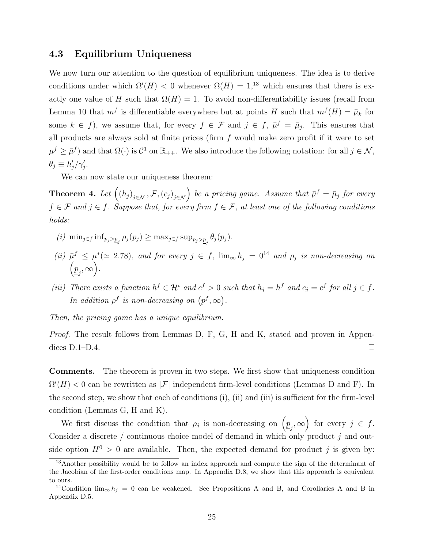#### 4.3 Equilibrium Uniqueness

We now turn our attention to the question of equilibrium uniqueness. The idea is to derive conditions under which  $\Omega(H) < 0$  whenever  $\Omega(H) = 1$ ,<sup>13</sup> which ensures that there is exactly one value of H such that  $\Omega(H) = 1$ . To avoid non-differentiability issues (recall from Lemma 10 that  $m<sup>f</sup>$  is differentiable everywhere but at points H such that  $m<sup>f</sup>(H) = \bar{\mu}<sub>k</sub>$  for some  $k \in f$ , we assume that, for every  $f \in \mathcal{F}$  and  $j \in f$ ,  $\bar{\mu}^f = \bar{\mu}_j$ . This ensures that all products are always sold at finite prices (firm  $f$  would make zero profit if it were to set  $\mu^f \ge \bar{\mu}^f$  and that  $\Omega(\cdot)$  is  $\mathcal{C}^1$  on  $\mathbb{R}_{++}$ . We also introduce the following notation: for all  $j \in \mathcal{N}$ ,  $\theta_j \equiv h'_j / \gamma'_j.$ 

We can now state our uniqueness theorem:

**Theorem 4.** Let  $((h_j)_{j \in \mathcal{N}}, \mathcal{F}, (c_j)_{j \in \mathcal{N}})$  be a pricing game. Assume that  $\bar{\mu}^f = \bar{\mu}_j$  for every  $f \in \mathcal{F}$  and  $j \in f$ . Suppose that, for every firm  $f \in \mathcal{F}$ , at least one of the following conditions holds:

- (i)  $\min_{j \in f} \inf_{p_j > p_j} \rho_j(p_j) \geq \max_{j \in f} \sup_{p_j > p_j} \theta_j(p_j)$ .
- (ii)  $\bar{\mu}^f \leq \mu^*(\approx 2.78)$ , and for every  $j \in f$ ,  $\lim_{\infty} h_j = 0^{14}$  and  $\rho_j$  is non-decreasing on  $(p_{j}, \infty).$
- (iii) There exists a function  $h^f \in \mathcal{H}^{\iota}$  and  $c^f > 0$  such that  $h_j = h^f$  and  $c_j = c^f$  for all  $j \in f$ . In addition  $\rho^f$  is non-decreasing on  $(p^f, \infty)$ .

Then, the pricing game has a unique equilibrium.

*Proof.* The result follows from Lemmas D, F, G, H and K, stated and proven in Appendices D.1–D.4.  $\Box$ 

Comments. The theorem is proven in two steps. We first show that uniqueness condition  $\Omega'(H) < 0$  can be rewritten as  $|\mathcal{F}|$  independent firm-level conditions (Lemmas D and F). In the second step, we show that each of conditions (i), (ii) and (iii) is sufficient for the firm-level condition (Lemmas G, H and K).

We first discuss the condition that  $\rho_j$  is non-decreasing on  $\left(\underline{p}_j,\infty\right)$  for every  $j \in f$ . Consider a discrete  $/$  continuous choice model of demand in which only product  $j$  and outside option  $H^0 > 0$  are available. Then, the expected demand for product j is given by:

<sup>&</sup>lt;sup>13</sup>Another possibility would be to follow an index approach and compute the sign of the determinant of the Jacobian of the first-order conditions map. In Appendix D.8, we show that this approach is equivalent to ours.

<sup>&</sup>lt;sup>14</sup>Condition  $\lim_{\infty} h_j = 0$  can be weakened. See Propositions A and B, and Corollaries A and B in Appendix D.5.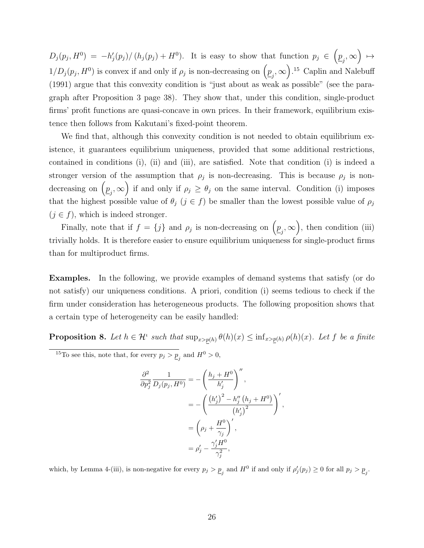$D_j(p_j, H^0) = -h'_j(p_j)/\left(h_j(p_j) + H^0\right)$ . It is easy to show that function  $p_j \in \left(p_j, \infty\right) \mapsto$  $1/D_j(p_j, H^0)$  is convex if and only if  $\rho_j$  is non-decreasing on  $\left(\underline{p}_j, \infty\right)$ .<sup>15</sup> Caplin and Nalebuff (1991) argue that this convexity condition is "just about as weak as possible" (see the paragraph after Proposition 3 page 38). They show that, under this condition, single-product firms' profit functions are quasi-concave in own prices. In their framework, equilibrium existence then follows from Kakutani's fixed-point theorem.

We find that, although this convexity condition is not needed to obtain equilibrium existence, it guarantees equilibrium uniqueness, provided that some additional restrictions, contained in conditions (i), (ii) and (iii), are satisfied. Note that condition (i) is indeed a stronger version of the assumption that  $\rho_j$  is non-decreasing. This is because  $\rho_j$  is nondecreasing on  $(p_j, \infty)$  if and only if  $\rho_j \ge \theta_j$  on the same interval. Condition (i) imposes that the highest possible value of  $\theta_j$  ( $j \in f$ ) be smaller than the lowest possible value of  $\rho_j$  $(j \in f)$ , which is indeed stronger.

Finally, note that if  $f = \{j\}$  and  $\rho_j$  is non-decreasing on  $\left(\underline{p}_j, \infty\right)$ , then condition (iii) trivially holds. It is therefore easier to ensure equilibrium uniqueness for single-product firms than for multiproduct firms.

Examples. In the following, we provide examples of demand systems that satisfy (or do not satisfy) our uniqueness conditions. A priori, condition (i) seems tedious to check if the firm under consideration has heterogeneous products. The following proposition shows that a certain type of heterogeneity can be easily handled:

**Proposition 8.** Let  $h \in \mathcal{H}^i$  such that  $\sup_{x>p(h)} \theta(h)(x) \leq \inf_{x>p(h)} \rho(h)(x)$ . Let f be a finite

<sup>15</sup>To see this, note that, for every  $p_j > \underline{p}_j$  and  $H^0 > 0$ ,

$$
\frac{\partial^2}{\partial p_j^2} \frac{1}{D_j(p_j, H^0)} = -\left(\frac{h_j + H^0}{h'_j}\right)''
$$
\n
$$
= -\left(\frac{\left(h'_j\right)^2 - h''_j \left(h_j + H^0\right)}{\left(h'_j\right)^2}\right)',
$$
\n
$$
= \left(\rho_j + \frac{H^0}{\gamma_j}\right)',
$$
\n
$$
= \rho'_j - \frac{\gamma'_j H^0}{\gamma_j^2},
$$

which, by Lemma 4-(iii), is non-negative for every  $p_j > p_j$  and  $H^0$  if and only if  $\rho'_j(p_j) \ge 0$  for all  $p_j > p_j$ .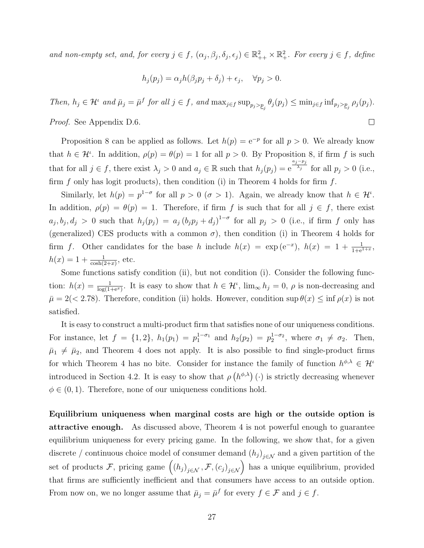and non-empty set, and, for every  $j \in f$ ,  $(\alpha_j, \beta_j, \delta_j, \epsilon_j) \in \mathbb{R}^2_{++} \times \mathbb{R}^2_+$ . For every  $j \in f$ , define

$$
h_j(p_j) = \alpha_j h(\beta_j p_j + \delta_j) + \epsilon_j, \quad \forall p_j > 0.
$$

Then,  $h_j \in \mathcal{H}^{\iota}$  and  $\bar{\mu}_j = \bar{\mu}^f$  for all  $j \in f$ , and  $\max_{j \in f} \sup_{p_j > p_j} \theta_j(p_j) \leq \min_{j \in f} \inf_{p_j > p_j} \rho_j(p_j)$ . Proof. See Appendix D.6.  $\Box$ 

Proposition 8 can be applied as follows. Let  $h(p) = e^{-p}$  for all  $p > 0$ . We already know that  $h \in \mathcal{H}^i$ . In addition,  $\rho(p) = \theta(p) = 1$  for all  $p > 0$ . By Proposition 8, if firm f is such that for all  $j \in f$ , there exist  $\lambda_j > 0$  and  $a_j \in \mathbb{R}$  such that  $h_j(p_j) = e^{\frac{a_j - p_j}{\lambda_j}}$  $\overline{\lambda_j}$  for all  $p_j > 0$  (i.e., firm  $f$  only has logit products), then condition (i) in Theorem 4 holds for firm  $f$ .

Similarly, let  $h(p) = p^{1-\sigma}$  for all  $p > 0$  ( $\sigma > 1$ ). Again, we already know that  $h \in \mathcal{H}^i$ . In addition,  $\rho(p) = \theta(p) = 1$ . Therefore, if firm f is such that for all  $j \in f$ , there exist  $a_j, b_j, d_j > 0$  such that  $h_j(p_j) = a_j (b_j p_j + d_j)^{1-\sigma}$  for all  $p_j > 0$  (i.e., if firm f only has (generalized) CES products with a common  $\sigma$ ), then condition (i) in Theorem 4 holds for firm f. Other candidates for the base h include  $h(x) = \exp(e^{-x}), h(x) = 1 + \frac{1}{1 + e^{1 + x}},$  $h(x) = 1 + \frac{1}{\cosh(2+x)}, \text{ etc.}$ 

Some functions satisfy condition (ii), but not condition (i). Consider the following function:  $h(x) = \frac{1}{\log(1+e^x)}$ . It is easy to show that  $h \in \mathcal{H}^i$ ,  $\lim_{\infty} h_j = 0$ ,  $\rho$  is non-decreasing and  $\bar{\mu} = 2(< 2.78)$ . Therefore, condition (ii) holds. However, condition sup  $\theta(x) \leq \inf \rho(x)$  is not satisfied.

It is easy to construct a multi-product firm that satisfies none of our uniqueness conditions. For instance, let  $f = \{1, 2\}$ ,  $h_1(p_1) = p_1^{1-\sigma_1}$  and  $h_2(p_2) = p_2^{1-\sigma_2}$ , where  $\sigma_1 \neq \sigma_2$ . Then,  $\bar{\mu}_1 \neq \bar{\mu}_2$ , and Theorem 4 does not apply. It is also possible to find single-product firms for which Theorem 4 has no bite. Consider for instance the family of function  $h^{\phi,\lambda} \in \mathcal{H}^{\iota}$ introduced in Section 4.2. It is easy to show that  $\rho(h^{\phi,\lambda})(\cdot)$  is strictly decreasing whenever  $\phi \in (0, 1)$ . Therefore, none of our uniqueness conditions hold.

Equilibrium uniqueness when marginal costs are high or the outside option is attractive enough. As discussed above, Theorem 4 is not powerful enough to guarantee equilibrium uniqueness for every pricing game. In the following, we show that, for a given discrete / continuous choice model of consumer demand  $(h_j)_{j \in \mathcal{N}}$  and a given partition of the set of products F, pricing game  $((h_j)_{j \in \mathcal{N}}, \mathcal{F}, (c_j)_{j \in \mathcal{N}})$  has a unique equilibrium, provided that firms are sufficiently inefficient and that consumers have access to an outside option. From now on, we no longer assume that  $\bar{\mu}_j = \bar{\mu}^f$  for every  $f \in \mathcal{F}$  and  $j \in f$ .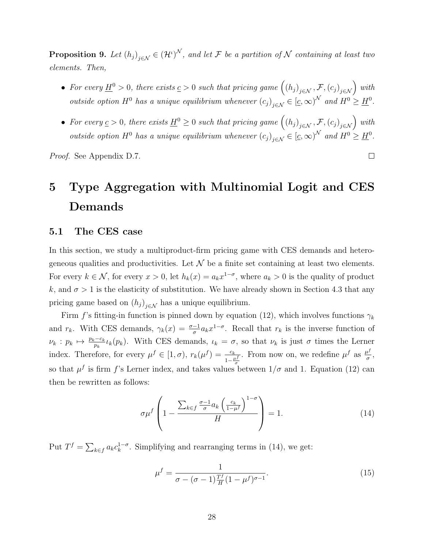**Proposition 9.** Let  $(h_j)_{j \in \mathcal{N}} \in (\mathcal{H}^{\iota})^{\mathcal{N}}$ , and let F be a partition of N containing at least two elements. Then,

- For every  $\underline{H}^0 > 0$ , there exists  $\underline{c} > 0$  such that pricing game  $((h_j)_{j \in \mathcal{N}}, \mathcal{F}, (c_j)_{j \in \mathcal{N}})$  with outside option  $H^0$  has a unique equilibrium whenever  $(c_j)_{j \in \mathcal{N}} \in [\underline{c}, \infty)^{\mathcal{N}}$  and  $H^0 \geq \underline{H}^0$ .
- For every  $\underline{c} > 0$ , there exists  $\underline{H}^0 \geq 0$  such that pricing game  $((h_j)_{j \in \mathcal{N}}, \mathcal{F}, (c_j)_{j \in \mathcal{N}})$  with outside option  $H^0$  has a unique equilibrium whenever  $(c_j)_{j \in \mathcal{N}} \in [\underline{c}, \infty)^{\mathcal{N}}$  and  $H^0 \geq \underline{H}^0$ .

 $\Box$ 

Proof. See Appendix D.7.

## 5 Type Aggregation with Multinomial Logit and CES Demands

#### 5.1 The CES case

In this section, we study a multiproduct-firm pricing game with CES demands and heterogeneous qualities and productivities. Let  $\mathcal N$  be a finite set containing at least two elements. For every  $k \in \mathcal{N}$ , for every  $x > 0$ , let  $h_k(x) = a_k x^{1-\sigma}$ , where  $a_k > 0$  is the quality of product k, and  $\sigma > 1$  is the elasticity of substitution. We have already shown in Section 4.3 that any pricing game based on  $(h_j)_{j \in \mathcal{N}}$  has a unique equilibrium.

Firm f's fitting-in function is pinned down by equation (12), which involves functions  $\gamma_k$ and  $r_k$ . With CES demands,  $\gamma_k(x) = \frac{\sigma-1}{\sigma} a_k x^{1-\sigma}$ . Recall that  $r_k$  is the inverse function of  $\nu_k : p_k \mapsto \frac{p_k-c_k}{p_k} \iota_k(p_k)$ . With CES demands,  $\iota_k = \sigma$ , so that  $\nu_k$  is just  $\sigma$  times the Lerner index. Therefore, for every  $\mu^f \in [1, \sigma)$ ,  $r_k(\mu^f) = \frac{c_k}{1 - \frac{\mu^f}{\sigma^f}}$ . From now on, we redefine  $\mu^f$  as  $\frac{\mu^f}{g}$  $\frac{\iota^{\jmath}}{\sigma}$ , so that  $\mu^f$  is firm f's Lerner index, and takes values between  $1/\sigma$  and 1. Equation (12) can then be rewritten as follows:

$$
\sigma \mu^{f} \left( 1 - \frac{\sum_{k \in f} \frac{\sigma - 1}{\sigma} a_{k} \left( \frac{c_{k}}{1 - \mu^{f}} \right)^{1 - \sigma}}{H} \right) = 1. \tag{14}
$$

Put  $T^f = \sum_{k \in f} a_k c_k^{1-\sigma}$  $\int_{k}^{1-\sigma}$ . Simplifying and rearranging terms in (14), we get:

$$
\mu^{f} = \frac{1}{\sigma - (\sigma - 1)\frac{T^{f}}{H}(1 - \mu^{f})^{\sigma - 1}}.
$$
\n(15)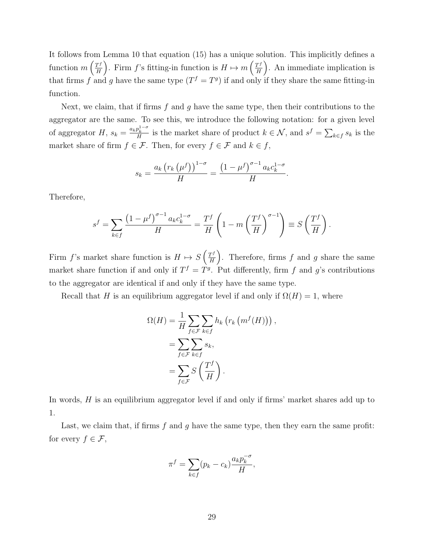It follows from Lemma 10 that equation (15) has a unique solution. This implicitly defines a function  $m\left(\frac{T^f}{H}\right)$  $\frac{T^f}{H}$ . Firm f's fitting-in function is  $H \mapsto m\left(\frac{T^f}{H}\right)$ .  $\frac{T^f}{H}$ . An immediate implication is that firms f and g have the same type  $(T^f = T^g)$  if and only if they share the same fitting-in function.

Next, we claim, that if firms f and q have the same type, then their contributions to the aggregator are the same. To see this, we introduce the following notation: for a given level of aggregator H,  $s_k = \frac{a_k p_k^{1-\sigma}}{H}$  is the market share of product  $k \in \mathcal{N}$ , and  $s^f = \sum_{k \in f} s_k$  is the market share of firm  $f \in \mathcal{F}$ . Then, for every  $f \in \mathcal{F}$  and  $k \in f$ ,

$$
s_k = \frac{a_k \left(r_k \left(\mu^f\right)\right)^{1-\sigma}}{H} = \frac{\left(1 - \mu^f\right)^{\sigma-1} a_k c_k^{1-\sigma}}{H}.
$$

Therefore,

$$
s^f = \sum_{k \in f} \frac{\left(1 - \mu^f\right)^{\sigma - 1} a_k c_k^{1 - \sigma}}{H} = \frac{T^f}{H} \left(1 - m \left(\frac{T^f}{H}\right)^{\sigma - 1}\right) \equiv S\left(\frac{T^f}{H}\right).
$$

Firm f's market share function is  $H \mapsto S\left(\frac{T^f}{H}\right)$  $\frac{T^f}{H}$ . Therefore, firms f and g share the same market share function if and only if  $T^f = T^g$ . Put differently, firm f and g's contributions to the aggregator are identical if and only if they have the same type.

Recall that H is an equilibrium aggregator level if and only if  $\Omega(H) = 1$ , where

$$
\Omega(H) = \frac{1}{H} \sum_{f \in \mathcal{F}} \sum_{k \in f} h_k \left( r_k \left( m^f(H) \right) \right),
$$
  
= 
$$
\sum_{f \in \mathcal{F}} \sum_{k \in f} s_k,
$$
  
= 
$$
\sum_{f \in \mathcal{F}} S \left( \frac{T^f}{H} \right).
$$

In words, H is an equilibrium aggregator level if and only if firms' market shares add up to 1.

Last, we claim that, if firms  $f$  and  $g$  have the same type, then they earn the same profit: for every  $f \in \mathcal{F}$ ,

$$
\pi^f = \sum_{k \in f} (p_k - c_k) \frac{a_k p_k^{-\sigma}}{H},
$$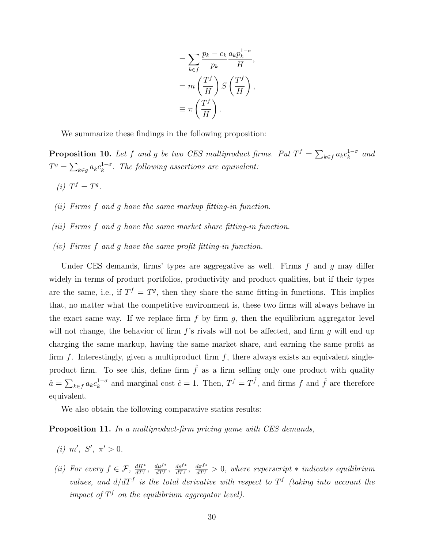$$
= \sum_{k \in f} \frac{p_k - c_k}{p_k} \frac{a_k p_k^{1-\sigma}}{H},
$$

$$
= m \left( \frac{T^f}{H} \right) S \left( \frac{T^f}{H} \right),
$$

$$
\equiv \pi \left( \frac{T^f}{H} \right).
$$

We summarize these findings in the following proposition:

**Proposition 10.** Let f and g be two CES multiproduct firms. Put  $T^f = \sum_{k \in f} a_k c_k^{1-\sigma}$  $\int_k^{1-\sigma}$  and  $T^g = \sum_{k \in g} a_k c_k^{1-\sigma}$  $\frac{1-\sigma}{k}$ . The following assertions are equivalent:

- (i)  $T^f = T^g$ .
- (ii) Firms f and g have the same markup fitting-in function.
- (iii) Firms f and g have the same market share fitting-in function.
- (iv) Firms f and g have the same profit fitting-in function.

Under CES demands, firms' types are aggregative as well. Firms  $f$  and  $g$  may differ widely in terms of product portfolios, productivity and product qualities, but if their types are the same, i.e., if  $T^f = T^g$ , then they share the same fitting-in functions. This implies that, no matter what the competitive environment is, these two firms will always behave in the exact same way. If we replace firm  $f$  by firm  $g$ , then the equilibrium aggregator level will not change, the behavior of firm  $f$ 's rivals will not be affected, and firm q will end up charging the same markup, having the same market share, and earning the same profit as firm  $f$ . Interestingly, given a multiproduct firm  $f$ , there always exists an equivalent singleproduct firm. To see this, define firm  $\hat{f}$  as a firm selling only one product with quality  $\hat{a} = \sum_{k \in f} a_k c_k^{1-\sigma}$  $k^{1-\sigma}$  and marginal cost  $\hat{c} = 1$ . Then,  $T^f = T^{\hat{f}}$ , and firms f and  $\hat{f}$  are therefore equivalent.

We also obtain the following comparative statics results:

**Proposition 11.** In a multiproduct-firm pricing game with CES demands,

- (i) m', S',  $\pi' > 0$ .
- (ii) For every  $f \in \mathcal{F}$ ,  $\frac{dH^*}{dTf}$  $\frac{dH^*}{dT^f}$ ,  $\frac{d\mu^{f*}}{dT^f}$  $\frac{d\mu^{f*}}{dT^f}, \frac{ds^{f*}}{dT^f}$  $\frac{ds^{f*}}{dT^f}$ ,  $\frac{d\pi^{f*}}{dT^f} > 0$ , where superscript  $*$  indicates equilibrium values, and  $d/dT<sup>f</sup>$  is the total derivative with respect to  $T<sup>f</sup>$  (taking into account the impact of  $T^f$  on the equilibrium aggregator level).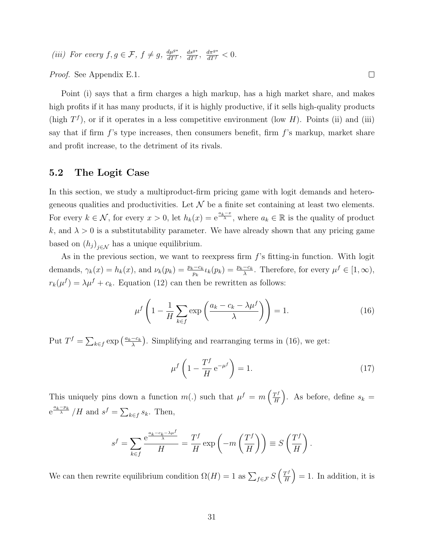(iii) For every  $f, g \in \mathcal{F}, f \neq g, \frac{d\mu^{g*}}{d\mathcal{F}f}$  $\frac{d\mu^{g*}}{dT^f}$ ,  $\frac{ds^{g*}}{dT^f}$  $\frac{ds^{g*}}{dT^f}$ ,  $\frac{d\pi^{g*}}{dT^f} < 0$ .

Proof. See Appendix E.1.

Point (i) says that a firm charges a high markup, has a high market share, and makes high profits if it has many products, if it is highly productive, if it sells high-quality products (high  $T<sup>f</sup>$ ), or if it operates in a less competitive environment (low H). Points (ii) and (iii) say that if firm  $f$ 's type increases, then consumers benefit, firm  $f$ 's markup, market share and profit increase, to the detriment of its rivals.

#### 5.2 The Logit Case

In this section, we study a multiproduct-firm pricing game with logit demands and heterogeneous qualities and productivities. Let  $\mathcal N$  be a finite set containing at least two elements. For every  $k \in \mathcal{N}$ , for every  $x > 0$ , let  $h_k(x) = e^{\frac{a_k - x}{\lambda}}$ , where  $a_k \in \mathbb{R}$  is the quality of product k, and  $\lambda > 0$  is a substitutability parameter. We have already shown that any pricing game based on  $(h_j)_{j \in \mathcal{N}}$  has a unique equilibrium.

As in the previous section, we want to reexpress firm  $f$ 's fitting-in function. With logit demands,  $\gamma_k(x) = h_k(x)$ , and  $\nu_k(p_k) = \frac{p_k - c_k}{p_k} \iota_k(p_k) = \frac{p_k - c_k}{\lambda}$ . Therefore, for every  $\mu^f \in [1, \infty)$ ,  $r_k(\mu^f) = \lambda \mu^f + c_k$ . Equation (12) can then be rewritten as follows:

$$
\mu^f \left( 1 - \frac{1}{H} \sum_{k \in f} \exp\left(\frac{a_k - c_k - \lambda \mu^f}{\lambda}\right) \right) = 1. \tag{16}
$$

Put  $T^f = \sum_{k \in f} \exp\left(\frac{a_k - c_k}{\lambda}\right)$  $\frac{-c_k}{\lambda}$ ). Simplifying and rearranging terms in (16), we get:

$$
\mu^f \left( 1 - \frac{T^f}{H} e^{-\mu^f} \right) = 1. \tag{17}
$$

This uniquely pins down a function  $m(.)$  such that  $\mu^f = m\left(\frac{T^f}{H}\right)$  $\left(\frac{T^f}{H}\right)$ . As before, define  $s_k =$  $e^{\frac{a_k-p_k}{\lambda}}/H$  and  $s^f = \sum_{k \in f} s_k$ . Then,

$$
s^{f} = \sum_{k \in f} \frac{e^{\frac{a_k - c_k - \lambda \mu^{f}}{\lambda}}}{H} = \frac{T^{f}}{H} \exp\left(-m\left(\frac{T^{f}}{H}\right)\right) \equiv S\left(\frac{T^{f}}{H}\right).
$$

We can then rewrite equilibrium condition  $\Omega(H) = 1$  as  $\sum_{f \in \mathcal{F}} S\left(\frac{T^f}{H}\right)$  $\left(\frac{\Gamma^f}{H}\right) = 1$ . In addition, it is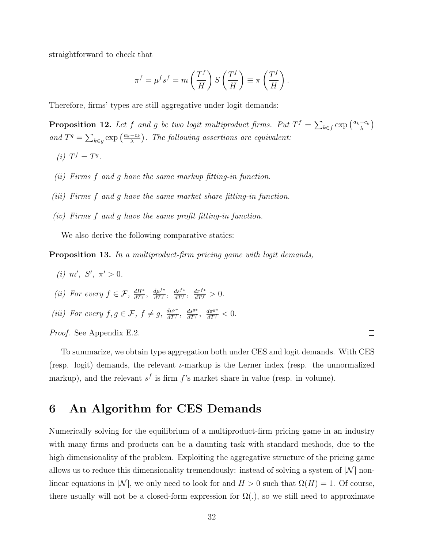straightforward to check that

$$
\pi^f = \mu^f s^f = m\left(\frac{T^f}{H}\right) S\left(\frac{T^f}{H}\right) \equiv \pi \left(\frac{T^f}{H}\right).
$$

Therefore, firms' types are still aggregative under logit demands:

**Proposition 12.** Let f and g be two logit multiproduct firms. Put  $T^f = \sum_{k \in f} \exp\left(\frac{a_k - c_k}{\lambda}\right)$  $\frac{-c_k}{\lambda}\Big)$ and  $T^g = \sum_{k \in g} \exp\left(\frac{a_k - c_k}{\lambda}\right)$  $\frac{-c_k}{\lambda}$ ). The following assertions are equivalent:

- (i)  $T^f = T^g$ .
- (ii) Firms f and g have the same markup fitting-in function.
- (iii) Firms f and g have the same market share fitting-in function.
- (iv) Firms f and g have the same profit fitting-in function.

We also derive the following comparative statics:

Proposition 13. In a multiproduct-firm pricing game with logit demands,

- (i) m', S',  $\pi' > 0$ .
- (ii) For every  $f \in \mathcal{F}$ ,  $\frac{dH^*}{dT}$  $\frac{dH^*}{dT^f}$ ,  $\frac{d\mu^{f*}}{dT^f}$  $\frac{d\mu^{f*}}{dT^f}$ ,  $\frac{ds^{f*}}{dT^f}$  $\frac{ds^{f*}}{dT^f}, \frac{d\pi^{f*}}{dT^f} > 0.$
- (iii) For every  $f, g \in \mathcal{F}, f \neq g, \frac{d\mu^{g*}}{d\mathcal{F}f}$  $\frac{d\mu^{g*}}{dT^f}$ ,  $\frac{ds^{g*}}{dT^f}$  $\frac{ds^{g*}}{dT^f}$ ,  $\frac{d\pi^{g*}}{dT^f}$  < 0.

Proof. See Appendix E.2.

To summarize, we obtain type aggregation both under CES and logit demands. With CES (resp. logit) demands, the relevant  $\iota$ -markup is the Lerner index (resp. the unnormalized markup), and the relevant  $s<sup>f</sup>$  is firm f's market share in value (resp. in volume).

### 6 An Algorithm for CES Demands

Numerically solving for the equilibrium of a multiproduct-firm pricing game in an industry with many firms and products can be a daunting task with standard methods, due to the high dimensionality of the problem. Exploiting the aggregative structure of the pricing game allows us to reduce this dimensionality tremendously: instead of solving a system of  $|\mathcal{N}|$  nonlinear equations in |N|, we only need to look for and  $H > 0$  such that  $\Omega(H) = 1$ . Of course, there usually will not be a closed-form expression for  $\Omega(.)$ , so we still need to approximate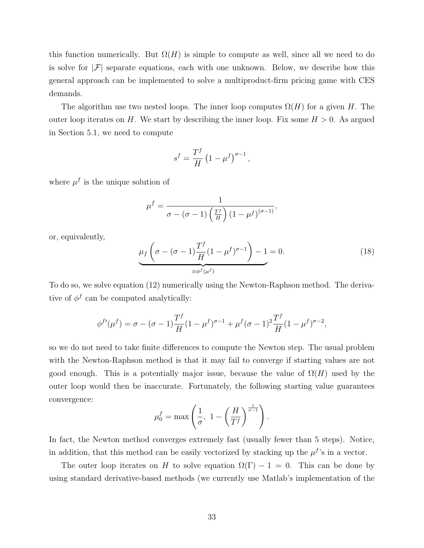this function numerically. But  $\Omega(H)$  is simple to compute as well, since all we need to do is solve for  $|\mathcal{F}|$  separate equations, each with one unknown. Below, we describe how this general approach can be implemented to solve a multiproduct-firm pricing game with CES demands.

The algorithm use two nested loops. The inner loop computes  $\Omega(H)$  for a given H. The outer loop iterates on H. We start by describing the inner loop. Fix some  $H > 0$ . As argued in Section 5.1, we need to compute

$$
s^f = \frac{T^f}{H} \left( 1 - \mu^f \right)^{\sigma - 1},
$$

where  $\mu^f$  is the unique solution of

$$
\mu^{f} = \frac{1}{\sigma - (\sigma - 1) \left(\frac{T^{f}}{H}\right) (1 - \mu^{f})^{(\sigma - 1)}},
$$

or, equivalently,

$$
\underbrace{\mu_f\left(\sigma - (\sigma - 1)\frac{T^f}{H}(1 - \mu^f)^{\sigma - 1}\right) - 1}_{\equiv \phi^f(\mu^f)} = 0. \tag{18}
$$

To do so, we solve equation (12) numerically using the Newton-Raphson method. The derivative of  $\phi^f$  can be computed analytically:

$$
\phi^{f'}(\mu^f) = \sigma - (\sigma - 1)\frac{T^f}{H}(1 - \mu^f)^{\sigma - 1} + \mu^f(\sigma - 1)^2 \frac{T^f}{H}(1 - \mu^f)^{\sigma - 2},
$$

so we do not need to take finite differences to compute the Newton step. The usual problem with the Newton-Raphson method is that it may fail to converge if starting values are not good enough. This is a potentially major issue, because the value of  $\Omega(H)$  used by the outer loop would then be inaccurate. Fortunately, the following starting value guarantees convergence:

$$
\mu_0^f = \max\left(\frac{1}{\sigma}, \ 1 - \left(\frac{H}{T^f}\right)^{\frac{1}{\sigma - 1}}\right).
$$

In fact, the Newton method converges extremely fast (usually fewer than 5 steps). Notice, in addition, that this method can be easily vectorized by stacking up the  $\mu^f$ 's in a vector.

The outer loop iterates on H to solve equation  $\Omega(\Gamma) - 1 = 0$ . This can be done by using standard derivative-based methods (we currently use Matlab's implementation of the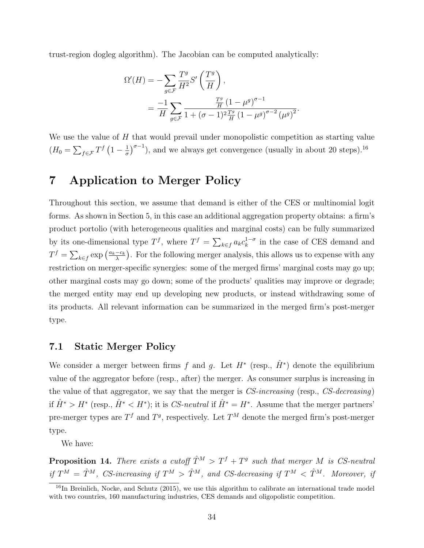trust-region dogleg algorithm). The Jacobian can be computed analytically:

$$
\Omega'(H) = -\sum_{g \in \mathcal{F}} \frac{T^g}{H^2} S' \left(\frac{T^g}{H}\right),
$$
  
= 
$$
\frac{-1}{H} \sum_{g \in \mathcal{F}} \frac{\frac{T^g}{H} (1 - \mu^g)^{\sigma - 1}}{1 + (\sigma - 1)^2 \frac{T^g}{H} (1 - \mu^g)^{\sigma - 2} (\mu^g)^2}.
$$

We use the value of H that would prevail under monopolistic competition as starting value  $(H_0 = \sum_{f \in \mathcal{F}} T^f \left(1 - \frac{1}{\sigma}\right)$  $\frac{1}{\sigma}$ , and we always get convergence (usually in about 20 steps).<sup>16</sup>

## 7 Application to Merger Policy

Throughout this section, we assume that demand is either of the CES or multinomial logit forms. As shown in Section 5, in this case an additional aggregation property obtains: a firm's product portolio (with heterogeneous qualities and marginal costs) can be fully summarized by its one-dimensional type  $T^f$ , where  $T^f = \sum_{k \in f} a_k c_k^{1-\sigma}$  $\int_{k}^{1-\sigma}$  in the case of CES demand and  $T^f = \sum_{k \in f} \exp\left(\frac{a_k - c_k}{\lambda}\right)$  $\frac{-c_k}{\lambda}$ ). For the following merger analysis, this allows us to expense with any restriction on merger-specific synergies: some of the merged firms' marginal costs may go up; other marginal costs may go down; some of the products' qualities may improve or degrade; the merged entity may end up developing new products, or instead withdrawing some of its products. All relevant information can be summarized in the merged firm's post-merger type.

#### 7.1 Static Merger Policy

We consider a merger between firms f and g. Let  $H^*$  (resp.,  $\hat{H}^*$ ) denote the equilibrium value of the aggregator before (resp., after) the merger. As consumer surplus is increasing in the value of that aggregator, we say that the merger is  $CS\text{-}increasing$  (resp.,  $CS\text{-}decreasing$ ) if  $\hat{H}^* > H^*$  (resp.,  $\hat{H}^* < H^*$ ); it is CS-neutral if  $\hat{H}^* = H^*$ . Assume that the merger partners' pre-merger types are  $T^f$  and  $T^g$ , respectively. Let  $T^M$  denote the merged firm's post-merger type.

We have:

**Proposition 14.** There exists a cutoff  $\hat{T}^M > T^f + T^g$  such that merger M is CS-neutral if  $T^M = \hat{T}^M$ , CS-increasing if  $T^M > \hat{T}^M$ , and CS-decreasing if  $T^M < \hat{T}^M$ . Moreover, if

<sup>&</sup>lt;sup>16</sup>In Breinlich, Nocke, and Schutz (2015), we use this algorithm to calibrate an international trade model with two countries, 160 manufacturing industries, CES demands and oligopolistic competition.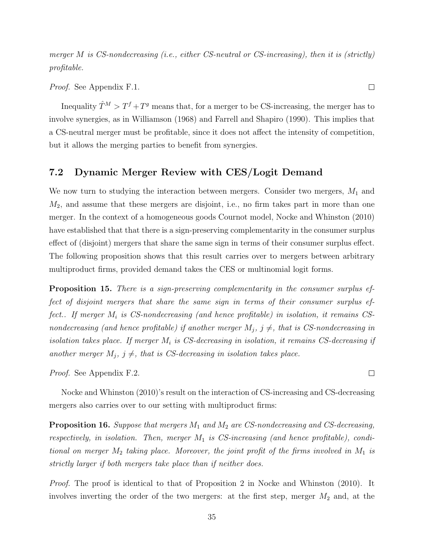merger M is CS-nondecreasing (i.e., either CS-neutral or CS-increasing), then it is (strictly) profitable.

Proof. See Appendix F.1.

Inequality  $\hat{T}^M > T^f + T^g$  means that, for a merger to be CS-increasing, the merger has to involve synergies, as in Williamson (1968) and Farrell and Shapiro (1990). This implies that a CS-neutral merger must be profitable, since it does not affect the intensity of competition, but it allows the merging parties to benefit from synergies.

#### 7.2 Dynamic Merger Review with CES/Logit Demand

We now turn to studying the interaction between mergers. Consider two mergers,  $M_1$  and  $M_2$ , and assume that these mergers are disjoint, i.e., no firm takes part in more than one merger. In the context of a homogeneous goods Cournot model, Nocke and Whinston (2010) have established that that there is a sign-preserving complementarity in the consumer surplus effect of (disjoint) mergers that share the same sign in terms of their consumer surplus effect. The following proposition shows that this result carries over to mergers between arbitrary multiproduct firms, provided demand takes the CES or multinomial logit forms.

Proposition 15. There is a sign-preserving complementarity in the consumer surplus effect of disjoint mergers that share the same sign in terms of their consumer surplus effect.. If merger  $M_i$  is CS-nondecreasing (and hence profitable) in isolation, it remains CSnondecreasing (and hence profitable) if another merger  $M_j$ ,  $j \neq j$ , that is CS-nondecreasing in isolation takes place. If merger  $M_i$  is CS-decreasing in isolation, it remains CS-decreasing if another merger  $M_j$ ,  $j \neq j$ , that is CS-decreasing in isolation takes place.

Proof. See Appendix F.2.

Nocke and Whinston (2010)'s result on the interaction of CS-increasing and CS-decreasing mergers also carries over to our setting with multiproduct firms:

**Proposition 16.** Suppose that mergers  $M_1$  and  $M_2$  are CS-nondecreasing and CS-decreasing, respectively, in isolation. Then, merger  $M_1$  is CS-increasing (and hence profitable), conditional on merger  $M_2$  taking place. Moreover, the joint profit of the firms involved in  $M_1$  is strictly larger if both mergers take place than if neither does.

*Proof.* The proof is identical to that of Proposition 2 in Nocke and Whinston (2010). It involves inverting the order of the two mergers: at the first step, merger  $M_2$  and, at the

 $\Box$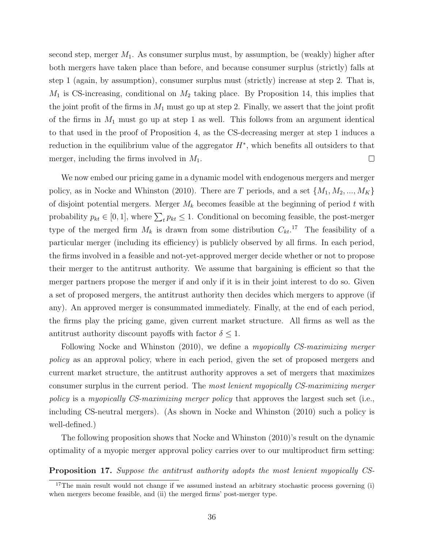second step, merger  $M_1$ . As consumer surplus must, by assumption, be (weakly) higher after both mergers have taken place than before, and because consumer surplus (strictly) falls at step 1 (again, by assumption), consumer surplus must (strictly) increase at step 2. That is,  $M_1$  is CS-increasing, conditional on  $M_2$  taking place. By Proposition 14, this implies that the joint profit of the firms in  $M_1$  must go up at step 2. Finally, we assert that the joint profit of the firms in  $M_1$  must go up at step 1 as well. This follows from an argument identical to that used in the proof of Proposition 4, as the CS-decreasing merger at step 1 induces a reduction in the equilibrium value of the aggregator  $H^*$ , which benefits all outsiders to that merger, including the firms involved in  $M_1$ .  $\Box$ 

We now embed our pricing game in a dynamic model with endogenous mergers and merger policy, as in Nocke and Whinston (2010). There are T periods, and a set  $\{M_1, M_2, ..., M_K\}$ of disjoint potential mergers. Merger  $M_k$  becomes feasible at the beginning of period t with probability  $p_{kt} \in [0, 1]$ , where  $\sum_t p_{kt} \leq 1$ . Conditional on becoming feasible, the post-merger type of the merged firm  $M_k$  is drawn from some distribution  $C_{kt}$ <sup>17</sup>. The feasibility of a particular merger (including its efficiency) is publicly observed by all firms. In each period, the firms involved in a feasible and not-yet-approved merger decide whether or not to propose their merger to the antitrust authority. We assume that bargaining is efficient so that the merger partners propose the merger if and only if it is in their joint interest to do so. Given a set of proposed mergers, the antitrust authority then decides which mergers to approve (if any). An approved merger is consummated immediately. Finally, at the end of each period, the firms play the pricing game, given current market structure. All firms as well as the antitrust authority discount payoffs with factor  $\delta \leq 1$ .

Following Nocke and Whinston (2010), we define a myopically CS-maximizing merger policy as an approval policy, where in each period, given the set of proposed mergers and current market structure, the antitrust authority approves a set of mergers that maximizes consumer surplus in the current period. The most lenient myopically CS-maximizing merger policy is a myopically CS-maximizing merger policy that approves the largest such set (i.e., including CS-neutral mergers). (As shown in Nocke and Whinston (2010) such a policy is well-defined.)

The following proposition shows that Nocke and Whinston (2010)'s result on the dynamic optimality of a myopic merger approval policy carries over to our multiproduct firm setting:

Proposition 17. Suppose the antitrust authority adopts the most lenient myopically CS-

<sup>&</sup>lt;sup>17</sup>The main result would not change if we assumed instead an arbitrary stochastic process governing (i) when mergers become feasible, and (ii) the merged firms' post-merger type.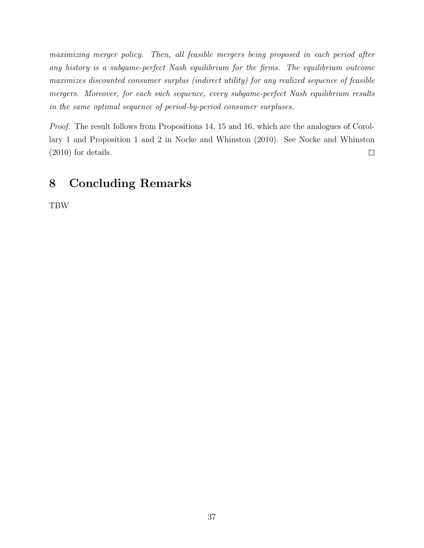maximizing merger policy. Then, all feasible mergers being proposed in each period after any history is a subgame-perfect Nash equilibrium for the firms. The equilibrium outcome maximizes discounted consumer surplus (indirect utility) for any realized sequence of feasible mergers. Moreover, for each such sequence, every subgame-perfect Nash equilibrium results in the same optimal sequence of period-by-period consumer surpluses.

Proof. The result follows from Propositions 14, 15 and 16, which are the analogues of Corollary 1 and Proposition 1 and 2 in Nocke and Whinston (2010). See Nocke and Whinston (2010) for details.  $\Box$ 

# 8 Concluding Remarks

TBW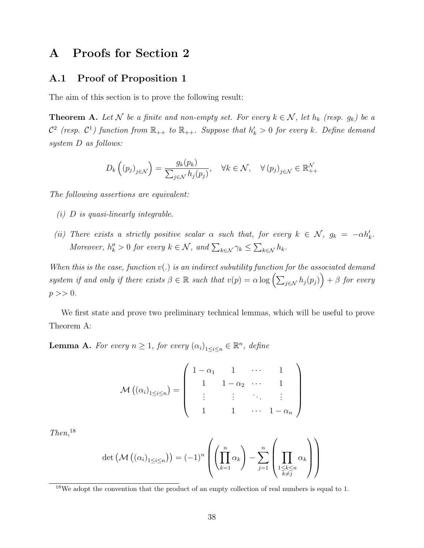## A Proofs for Section 2

## A.1 Proof of Proposition 1

The aim of this section is to prove the following result:

**Theorem A.** Let N be a finite and non-empty set. For every  $k \in \mathcal{N}$ , let  $h_k$  (resp.  $g_k$ ) be a  $\mathcal{C}^2$  (resp.  $\mathcal{C}^1$ ) function from  $\mathbb{R}_{++}$  to  $\mathbb{R}_{++}$ . Suppose that  $h'_k > 0$  for every k. Define demand system D as follows:

$$
D_k\left((p_j)_{j\in\mathcal{N}}\right) = \frac{g_k(p_k)}{\sum_{j\in\mathcal{N}} h_j(p_j)}, \quad \forall k \in \mathcal{N}, \quad \forall (p_j)_{j\in\mathcal{N}} \in \mathbb{R}_{++}^{\mathcal{N}}
$$

The following assertions are equivalent:

- (i) D is quasi-linearly integrable.
- (ii) There exists a strictly positive scalar  $\alpha$  such that, for every  $k \in \mathcal{N}$ ,  $g_k = -\alpha h'_k$ . Moreover,  $h''_k > 0$  for every  $k \in \mathcal{N}$ , and  $\sum_{k \in \mathcal{N}} \gamma_k \leq \sum_{k \in \mathcal{N}} h_k$ .

When this is the case, function  $v(.)$  is an indirect subutility function for the associated demand system if and only if there exists  $\beta \in \mathbb{R}$  such that  $v(p) = \alpha \log \left( \sum_{j \in \mathcal{N}} h_j(p_j) \right) + \beta$  for every  $p >> 0.$ 

We first state and prove two preliminary technical lemmas, which will be useful to prove Theorem A:

**Lemma A.** For every  $n \geq 1$ , for every  $(\alpha_i)_{1 \leq i \leq n} \in \mathbb{R}^n$ , define

$$
\mathcal{M}((\alpha_i)_{1 \leq i \leq n}) = \left( \begin{array}{cccc} 1 - \alpha_1 & 1 & \cdots & 1 \\ 1 & 1 - \alpha_2 & \cdots & 1 \\ \vdots & \vdots & \ddots & \vdots \\ 1 & 1 & \cdots & 1 - \alpha_n \end{array} \right)
$$

 $Then, <sup>18</sup>$ 

$$
\det\left(\mathcal{M}\left(\left(\alpha_i\right)_{1\leq i\leq n}\right)\right) = (-1)^n \left(\left(\prod_{k=1}^n \alpha_k\right) - \sum_{j=1}^n \left(\prod_{\substack{1\leq k\leq n\\k\neq j}} \alpha_k\right)\right)
$$

<sup>&</sup>lt;sup>18</sup>We adopt the convention that the product of an empty collection of real numbers is equal to 1.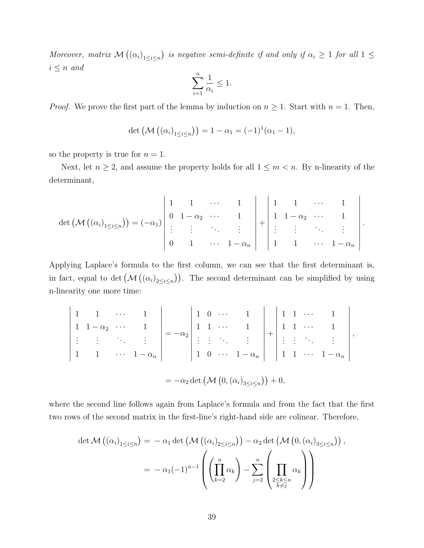Moreover, matrix  $\mathcal{M}(\{\alpha_i\}_{1\leq i\leq n})$  is negative semi-definite if and only if  $\alpha_i \geq 1$  for all  $1 \leq$  $i \leq n$  and

$$
\sum_{i=1}^{n} \frac{1}{\alpha_i} \le 1.
$$

*Proof.* We prove the first part of the lemma by induction on  $n \geq 1$ . Start with  $n = 1$ . Then,

$$
\det (\mathcal{M} ((\alpha_i)_{1 \leq i \leq n})) = 1 - \alpha_1 = (-1)^1 (\alpha_1 - 1),
$$

so the property is true for  $n = 1$ .

 $\overline{\phantom{a}}$  $\Big\}$  $\overline{\phantom{a}}$  $\overline{\phantom{a}}$  $\overline{\phantom{a}}$  $\overline{\phantom{a}}$  $\overline{\phantom{a}}$  $\overline{\phantom{a}}$  $\Big\}$  $\Big\}$  $\vert$ 

Next, let  $n \geq 2$ , and assume the property holds for all  $1 \leq m < n$ . By n-linearity of the determinant,

$$
\det (\mathcal{M}((\alpha_i)_{1 \leq i \leq n})) = (-\alpha_1) \begin{vmatrix} 1 & 1 & \cdots & 1 \\ 0 & 1 - \alpha_2 & \cdots & 1 \\ \vdots & \vdots & \ddots & \vdots \\ 0 & 1 & \cdots & 1 - \alpha_n \end{vmatrix} + \begin{vmatrix} 1 & 1 & \cdots & 1 \\ 1 & 1 - \alpha_2 & \cdots & 1 \\ \vdots & \vdots & \ddots & \vdots \\ 1 & 1 & \cdots & 1 - \alpha_n \end{vmatrix}.
$$

Applying Laplace's formula to the first column, we can see that the first determinant is, in fact, equal to det  $(\mathcal{M}((\alpha_i)_{2 \leq i \leq n}))$ . The second determinant can be simplified by using n-linearity one more time:

$$
\begin{array}{ccccccccc}\n1 & 1 & \cdots & 1 & \cdots & 1 \\
1 & 1 - \alpha_2 & \cdots & 1 & \cdots & 1 \\
\vdots & \vdots & \ddots & \vdots & \vdots & \vdots \\
1 & 1 & \cdots & 1 - \alpha_n & \cdots & 1 - \alpha_n & \cdots & 1 - \alpha_n\n\end{array}\n\begin{array}{c}\n1 & 0 & \cdots & 1 & \cdots & 1 \\
1 & 1 & \cdots & 1 & \cdots & 1 \\
\vdots & \vdots & \ddots & \vdots & \vdots & \vdots \\
1 & 0 & \cdots & 1 - \alpha_n & \cdots & 1 - \alpha_n\n\end{array}\n\begin{array}{c}\n1 & 1 & \cdots & 1 & \cdots & 1 \\
\vdots & \vdots & \ddots & \vdots & \vdots & \vdots \\
1 & 1 & \cdots & 1 - \alpha_n & \cdots & 1 - \alpha_n\n\end{array}
$$

where the second line follows again from Laplace's formula and from the fact that the first two rows of the second matrix in the first-line's right-hand side are colinear. Therefore,

$$
\det \mathcal{M} \left( (\alpha_i)_{1 \leq i \leq n} \right) = -\alpha_1 \det \left( \mathcal{M} \left( (\alpha_i)_{2 \leq i \leq n} \right) \right) - \alpha_2 \det \left( \mathcal{M} \left( 0, (\alpha_i)_{3 \leq i \leq n} \right) \right),
$$

$$
= -\alpha_1 (-1)^{n-1} \left( \left( \prod_{k=2}^n \alpha_k \right) - \sum_{j=2}^n \left( \prod_{\substack{2 \leq k \leq n \\ k \neq j}}^n \alpha_k \right) \right)
$$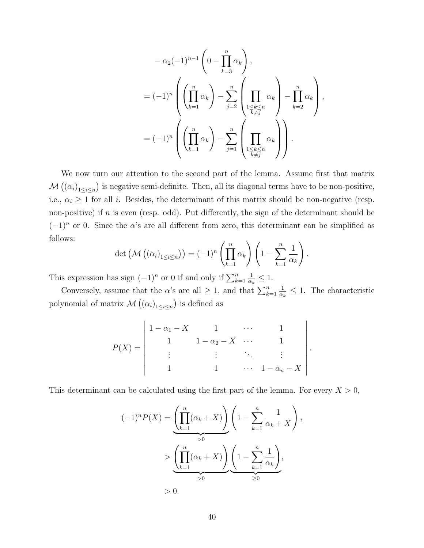$$
-\alpha_2(-1)^{n-1}\left(0-\prod_{k=3}^n\alpha_k\right),
$$
  
=  $(-1)^n\left(\left(\prod_{k=1}^n\alpha_k\right)-\sum_{j=2}^n\left(\prod_{\substack{1\le k\le n\\k\ne j}}\alpha_k\right)-\prod_{k=2}^n\alpha_k\right),$   
=  $(-1)^n\left(\left(\prod_{k=1}^n\alpha_k\right)-\sum_{j=1}^n\left(\prod_{\substack{1\le k\le n\\k\ne j}}\alpha_k\right)\right).$ 

We now turn our attention to the second part of the lemma. Assume first that matrix  $\mathcal{M}(\alpha_i)_{1 \leq i \leq n})$  is negative semi-definite. Then, all its diagonal terms have to be non-positive, i.e.,  $\alpha_i \geq 1$  for all i. Besides, the determinant of this matrix should be non-negative (resp. non-positive) if  $n$  is even (resp. odd). Put differently, the sign of the determinant should be  $(-1)^n$  or 0. Since the  $\alpha$ 's are all different from zero, this determinant can be simplified as follows:

$$
\det\left(\mathcal{M}\left(\left(\alpha_i\right)_{1\leq i\leq n}\right)\right) = (-1)^n \left(\prod_{k=1}^n \alpha_k\right) \left(1 - \sum_{k=1}^n \frac{1}{\alpha_k}\right).
$$

This expression has sign  $(-1)^n$  or 0 if and only if  $\sum_{k=1}^n$ 1  $\frac{1}{\alpha_k} \leq 1.$ 

Conversely, assume that the  $\alpha$ 's are all  $\geq 1$ , and that  $\sum_{k=1}^{n}$ 1  $\frac{1}{\alpha_k} \leq 1$ . The characteristic polynomial of matrix  $\mathcal{M}(\left(\alpha_i\right)_{1\leq i\leq n})$  is defined as

$$
P(X) = \begin{vmatrix} 1 - \alpha_1 - X & 1 & \cdots & 1 \\ 1 & 1 - \alpha_2 - X & \cdots & 1 \\ \vdots & \vdots & \ddots & \vdots \\ 1 & 1 & \cdots & 1 - \alpha_n - X \end{vmatrix}
$$

.

This determinant can be calculated using the first part of the lemma. For every  $X > 0$ ,

$$
(-1)^n P(X) = \underbrace{\left(\prod_{k=1}^n (\alpha_k + X)\right)}_{>0} \left(1 - \sum_{k=1}^n \frac{1}{\alpha_k + X}\right),
$$
  
\n
$$
>\underbrace{\left(\prod_{k=1}^n (\alpha_k + X)\right)}_{>0} \underbrace{\left(1 - \sum_{k=1}^n \frac{1}{\alpha_k}\right)}_{\geq 0},
$$
  
\n
$$
> 0.
$$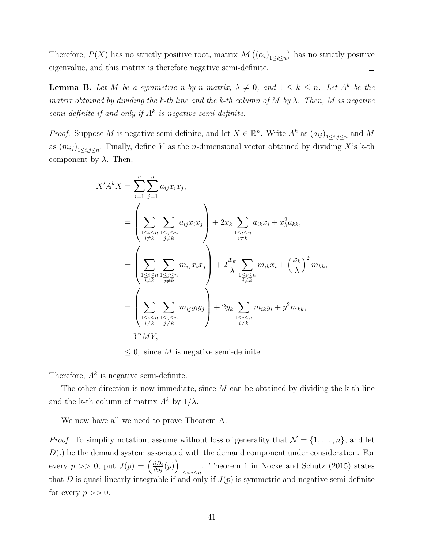Therefore,  $P(X)$  has no strictly positive root, matrix  $\mathcal{M}(\alpha_i)_{1\leq i\leq n}$  has no strictly positive eigenvalue, and this matrix is therefore negative semi-definite.  $\Box$ 

**Lemma B.** Let M be a symmetric n-by-n matrix,  $\lambda \neq 0$ , and  $1 \leq k \leq n$ . Let  $A^k$  be the matrix obtained by dividing the k-th line and the k-th column of M by  $\lambda$ . Then, M is negative semi-definite if and only if  $A^k$  is negative semi-definite.

*Proof.* Suppose M is negative semi-definite, and let  $X \in \mathbb{R}^n$ . Write  $A^k$  as  $(a_{ij})_{1 \le i,j \le n}$  and M as  $(m_{ij})_{1 \le i,j \le n}$ . Finally, define Y as the *n*-dimensional vector obtained by dividing X's k-th component by  $\lambda$ . Then,

$$
X'A^{k}X = \sum_{i=1}^{n} \sum_{j=1}^{n} a_{ij}x_{i}x_{j},
$$
  
\n
$$
= \left(\sum_{\substack{1 \leq i \leq n \\ i \neq k}} \sum_{\substack{1 \leq j \leq n \\ j \neq k}} a_{ij}x_{i}x_{j}\right) + 2x_{k} \sum_{\substack{1 \leq i \leq n \\ i \neq k}} a_{ik}x_{i} + x_{k}^{2}a_{kk},
$$
  
\n
$$
= \left(\sum_{\substack{1 \leq i \leq n \\ i \neq k}} \sum_{\substack{1 \leq j \leq n \\ j \neq k}} m_{ij}x_{i}x_{j}\right) + 2\frac{x_{k}}{\lambda} \sum_{\substack{1 \leq i \leq n \\ i \neq k}} m_{ik}x_{i} + \left(\frac{x_{k}}{\lambda}\right)^{2} m_{kk},
$$
  
\n
$$
= \left(\sum_{\substack{1 \leq i \leq n \\ i \neq k}} \sum_{\substack{1 \leq j \leq n \\ j \neq k}} m_{ij}y_{i}y_{j}\right) + 2y_{k} \sum_{\substack{1 \leq i \leq n \\ i \neq k}} m_{ik}y_{i} + y^{2}m_{kk},
$$
  
\n
$$
= Y'MY,
$$

 $\leq 0$ , since M is negative semi-definite.

Therefore,  $A^k$  is negative semi-definite.

The other direction is now immediate, since  $M$  can be obtained by dividing the k-th line and the k-th column of matrix  $A^k$  by  $1/\lambda$ .  $\Box$ 

We now have all we need to prove Theorem A:

*Proof.* To simplify notation, assume without loss of generality that  $\mathcal{N} = \{1, \ldots, n\}$ , and let  $D(.)$  be the demand system associated with the demand component under consideration. For every  $p \gg 0$ , put  $J(p) = \left(\frac{\partial D_i}{\partial p_j}\right)$  $\frac{\partial D_i}{\partial p_j}(p)\Big)$ . Theorem 1 in Nocke and Schutz (2015) states  $1 \le i,j \le n$ that D is quasi-linearly integrable if and only if  $J(p)$  is symmetric and negative semi-definite for every  $p >> 0$ .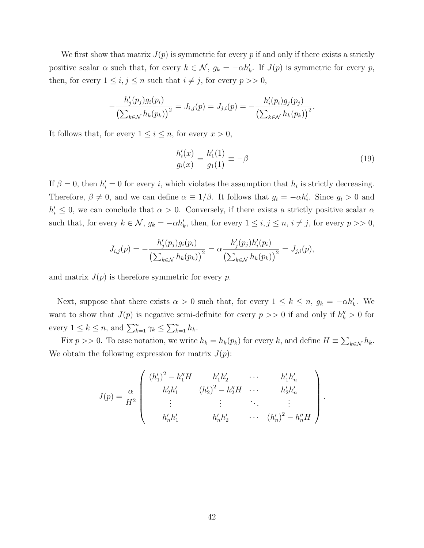We first show that matrix  $J(p)$  is symmetric for every p if and only if there exists a strictly positive scalar  $\alpha$  such that, for every  $k \in \mathcal{N}$ ,  $g_k = -\alpha h'_k$ . If  $J(p)$  is symmetric for every p, then, for every  $1 \leq i, j \leq n$  such that  $i \neq j$ , for every  $p >> 0$ ,

$$
-\frac{h'_j(p_j)g_i(p_i)}{\left(\sum_{k\in\mathcal{N}}h_k(p_k)\right)^2}=J_{i,j}(p)=J_{j,i}(p)=-\frac{h'_i(p_i)g_j(p_j)}{\left(\sum_{k\in\mathcal{N}}h_k(p_k)\right)^2}.
$$

It follows that, for every  $1 \leq i \leq n$ , for every  $x > 0$ ,

$$
\frac{h_i'(x)}{g_i(x)} = \frac{h_1'(1)}{g_1(1)} \equiv -\beta \tag{19}
$$

If  $\beta = 0$ , then  $h'_i = 0$  for every i, which violates the assumption that  $h_i$  is strictly decreasing. Therefore,  $\beta \neq 0$ , and we can define  $\alpha \equiv 1/\beta$ . It follows that  $g_i = -\alpha h'_i$ . Since  $g_i > 0$  and  $h'_i \leq 0$ , we can conclude that  $\alpha > 0$ . Conversely, if there exists a strictly positive scalar  $\alpha$ such that, for every  $k \in \mathcal{N}$ ,  $g_k = -\alpha h'_k$ , then, for every  $1 \leq i, j \leq n$ ,  $i \neq j$ , for every  $p >> 0$ ,

$$
J_{i,j}(p) = -\frac{h'_j(p_j)g_i(p_i)}{\left(\sum_{k \in \mathcal{N}} h_k(p_k)\right)^2} = \alpha \frac{h'_j(p_j)h'_i(p_i)}{\left(\sum_{k \in \mathcal{N}} h_k(p_k)\right)^2} = J_{j,i}(p),
$$

and matrix  $J(p)$  is therefore symmetric for every p.

Next, suppose that there exists  $\alpha > 0$  such that, for every  $1 \leq k \leq n$ ,  $g_k = -\alpha h'_k$ . We want to show that  $J(p)$  is negative semi-definite for every  $p \geq 0$  if and only if  $h''_k > 0$  for every  $1 \leq k \leq n$ , and  $\sum_{k=1}^{n} \gamma_k \leq \sum_{k=1}^{n} h_k$ .

Fix  $p \gg 0$ . To ease notation, we write  $h_k = h_k(p_k)$  for every k, and define  $H \equiv \sum_{k \in \mathcal{N}} h_k$ . We obtain the following expression for matrix  $J(p)$ :

$$
J(p) = \frac{\alpha}{H^2} \begin{pmatrix} (h'_1)^2 - h''_1 H & h'_1 h'_2 & \cdots & h'_1 h'_n \\ h'_2 h'_1 & (h'_2)^2 - h''_2 H & \cdots & h'_2 h'_n \\ \vdots & \vdots & \ddots & \vdots \\ h'_n h'_1 & h'_n h'_2 & \cdots & (h'_n)^2 - h''_n H \end{pmatrix}.
$$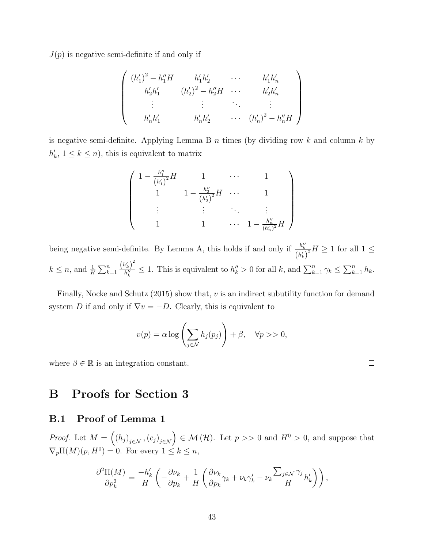$J(p)$  is negative semi-definite if and only if

$$
\begin{pmatrix}\n(h'_1)^2 - h''_1 H & h'_1 h'_2 & \cdots & h'_1 h'_n \\
h'_2 h'_1 & (h'_2)^2 - h''_2 H & \cdots & h'_2 h'_n \\
\vdots & \vdots & \ddots & \vdots \\
h'_n h'_1 & h'_n h'_2 & \cdots & (h'_n)^2 - h''_n H\n\end{pmatrix}
$$

is negative semi-definite. Applying Lemma B  $n$  times (by dividing row k and column k by  $h'_k$ ,  $1 \leq k \leq n$ , this is equivalent to matrix

$$
\begin{pmatrix}\n1 - \frac{h''_1}{(h'_1)^2} H & 1 & \cdots & 1 \\
1 & 1 - \frac{h''_2}{(h'_2)^2} H & \cdots & 1 \\
\vdots & \vdots & \ddots & \vdots \\
1 & 1 & \cdots & 1 - \frac{h''_n}{(h'_n)^2} H\n\end{pmatrix}
$$

being negative semi-definite. By Lemma A, this holds if and only if  $\frac{h''_k}{(h'_k)}$  $\frac{1}{2}H \geq 1$  for all  $1 \leq$  $k \leq n$ , and  $\frac{1}{H} \sum_{k=1}^{n}$  $(h'_k)^2$  $\frac{h_k^{(k)}}{h_k^{(k)}} \leq 1$ . This is equivalent to  $h_k^{(k)} > 0$  for all k, and  $\sum_{k=1}^n \gamma_k \leq \sum_{k=1}^n h_k$ .

Finally, Nocke and Schutz  $(2015)$  show that, v is an indirect subutility function for demand system D if and only if  $\nabla v = -D$ . Clearly, this is equivalent to

$$
v(p) = \alpha \log \left( \sum_{j \in \mathcal{N}} h_j(p_j) \right) + \beta, \quad \forall p >> 0,
$$

 $\Box$ 

where  $\beta \in \mathbb{R}$  is an integration constant.

B Proofs for Section 3

## B.1 Proof of Lemma 1

*Proof.* Let  $M = ((h_j)_{j \in \mathcal{N}}, (c_j)_{j \in \mathcal{N}}) \in \mathcal{M}(\mathcal{H})$ . Let  $p >> 0$  and  $H^0 > 0$ , and suppose that  $\nabla_p \Pi(M)(p, H^0) = 0.$  For every  $1 \leq k \leq n$ ,

$$
\frac{\partial^2 \Pi(M)}{\partial p_k^2} = \frac{-h'_k}{H} \left( -\frac{\partial \nu_k}{\partial p_k} + \frac{1}{H} \left( \frac{\partial \nu_k}{\partial p_k} \gamma_k + \nu_k \gamma'_k - \nu_k \frac{\sum_{j \in \mathcal{N}} \gamma_j}{H} h'_k \right) \right),
$$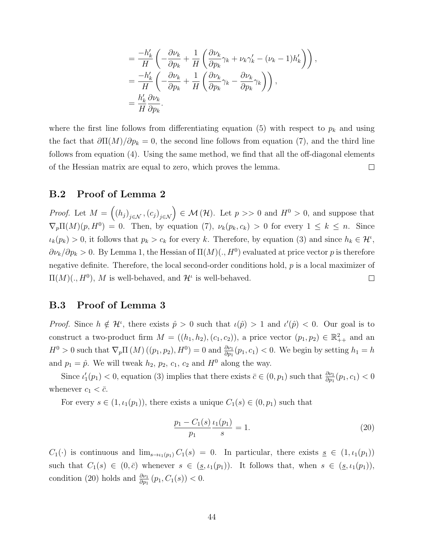$$
= \frac{-h'_k}{H} \left( -\frac{\partial \nu_k}{\partial p_k} + \frac{1}{H} \left( \frac{\partial \nu_k}{\partial p_k} \gamma_k + \nu_k \gamma'_k - (\nu_k - 1) h'_k \right) \right),
$$
  

$$
= \frac{-h'_k}{H} \left( -\frac{\partial \nu_k}{\partial p_k} + \frac{1}{H} \left( \frac{\partial \nu_k}{\partial p_k} \gamma_k - \frac{\partial \nu_k}{\partial p_k} \gamma_k \right) \right),
$$
  

$$
= \frac{h'_k}{H} \frac{\partial \nu_k}{\partial p_k}.
$$

where the first line follows from differentiating equation (5) with respect to  $p_k$  and using the fact that  $\partial \Pi(M)/\partial p_k = 0$ , the second line follows from equation (7), and the third line follows from equation (4). Using the same method, we find that all the off-diagonal elements of the Hessian matrix are equal to zero, which proves the lemma.  $\Box$ 

#### B.2 Proof of Lemma 2

*Proof.* Let  $M = ((h_j)_{j \in \mathcal{N}}, (c_j)_{j \in \mathcal{N}}) \in \mathcal{M}(\mathcal{H})$ . Let  $p >> 0$  and  $H^0 > 0$ , and suppose that  $\nabla_p \Pi(M)(p, H^0) = 0$ . Then, by equation (7),  $\nu_k(p_k, c_k) > 0$  for every  $1 \leq k \leq n$ . Since  $\iota_k(p_k) > 0$ , it follows that  $p_k > c_k$  for every k. Therefore, by equation (3) and since  $h_k \in \mathcal{H}^i$ ,  $\partial \nu_k / \partial p_k > 0$ . By Lemma 1, the Hessian of  $\Pi(M)(., H^0)$  evaluated at price vector p is therefore negative definite. Therefore, the local second-order conditions hold,  $p$  is a local maximizer of  $\Pi(M)(., H^0), M$  is well-behaved, and  $\mathcal{H}^{\iota}$  is well-behaved.  $\Box$ 

### B.3 Proof of Lemma 3

*Proof.* Since  $h \notin \mathcal{H}^{\iota}$ , there exists  $\hat{p} > 0$  such that  $\iota(\hat{p}) > 1$  and  $\iota'(\hat{p}) < 0$ . Our goal is to construct a two-product firm  $M = ((h_1, h_2), (c_1, c_2))$ , a price vector  $(p_1, p_2) \in \mathbb{R}^2_{++}$  and an  $H^0 > 0$  such that  $\nabla_p \Pi(M) ((p_1, p_2), H^0) = 0$  and  $\frac{\partial \nu_1}{\partial p_1}(p_1, c_1) < 0$ . We begin by setting  $h_1 = h$ and  $p_1 = \hat{p}$ . We will tweak  $h_2$ ,  $p_2$ ,  $c_1$ ,  $c_2$  and  $H^0$  along the way.

Since  $\iota'_1(p_1) < 0$ , equation (3) implies that there exists  $\bar{c} \in (0, p_1)$  such that  $\frac{\partial \nu_1}{\partial p_1}(p_1, c_1) < 0$ whenever  $c_1 < \bar{c}$ .

For every  $s \in (1, \iota_1(p_1))$ , there exists a unique  $C_1(s) \in (0, p_1)$  such that

$$
\frac{p_1 - C_1(s)}{p_1} \frac{\iota_1(p_1)}{s} = 1.
$$
\n(20)

 $C_1(\cdot)$  is continuous and  $\lim_{s\to t_1(p_1)} C_1(s) = 0$ . In particular, there exists  $s \in (1, t_1(p_1))$ such that  $C_1(s) \in (0, \bar{c})$  whenever  $s \in (\underline{s}, \iota_1(p_1))$ . It follows that, when  $s \in (\underline{s}, \iota_1(p_1))$ , condition (20) holds and  $\frac{\partial \nu_1}{\partial p_1}(p_1, C_1(s)) < 0.$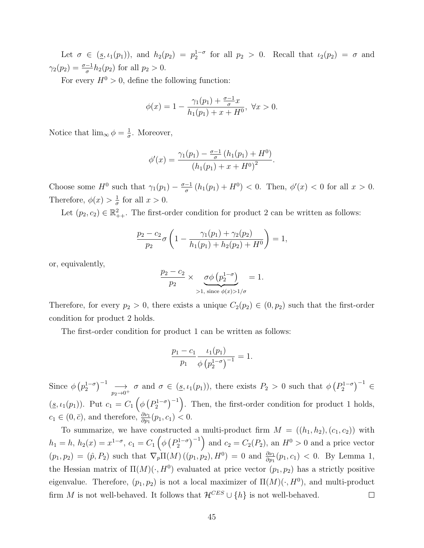Let  $\sigma \in (\underline{s}, \iota_1(p_1)),$  and  $h_2(p_2) = p_2^{1-\sigma}$  for all  $p_2 > 0$ . Recall that  $\iota_2(p_2) = \sigma$  and  $\gamma_2(p_2) = \frac{\sigma - 1}{\sigma} h_2(p_2)$  for all  $p_2 > 0$ .

For every  $H^0 > 0$ , define the following function:

$$
\phi(x) = 1 - \frac{\gamma_1(p_1) + \frac{\sigma - 1}{\sigma}x}{h_1(p_1) + x + H^0}, \ \forall x > 0.
$$

Notice that  $\lim_{\infty} \phi = \frac{1}{\sigma}$  $\frac{1}{\sigma}$ . Moreover,

$$
\phi'(x) = \frac{\gamma_1(p_1) - \frac{\sigma - 1}{\sigma} (h_1(p_1) + H^0)}{(h_1(p_1) + x + H^0)^2}.
$$

Choose some  $H^0$  such that  $\gamma_1(p_1) - \frac{\sigma-1}{\sigma}$  $\frac{-1}{\sigma}(h_1(p_1) + H^0) < 0$ . Then,  $\phi'(x) < 0$  for all  $x > 0$ . Therefore,  $\phi(x) > \frac{1}{a}$  $\frac{1}{\sigma}$  for all  $x > 0$ .

Let  $(p_2, c_2) \in \mathbb{R}^2_{++}$ . The first-order condition for product 2 can be written as follows:

$$
\frac{p_2 - c_2}{p_2} \sigma \left( 1 - \frac{\gamma_1(p_1) + \gamma_2(p_2)}{h_1(p_1) + h_2(p_2) + H^0} \right) = 1,
$$

or, equivalently,

$$
\frac{p_2 - c_2}{p_2} \times \underbrace{\sigma \phi \left( p_2^{1-\sigma} \right)}_{>1, \text{ since } \phi(x)>1/\sigma} = 1.
$$

Therefore, for every  $p_2 > 0$ , there exists a unique  $C_2(p_2) \in (0, p_2)$  such that the first-order condition for product 2 holds.

The first-order condition for product 1 can be written as follows:

$$
\frac{p_1 - c_1}{p_1} \frac{\iota_1(p_1)}{\phi (p_2^{1-\sigma})^{-1}} = 1.
$$

Since  $\phi(p_2^{1-\sigma})^{-1} \longrightarrow$  $\longrightarrow_{p_2 \to 0^+} \sigma$  and  $\sigma \in (\underline{s}, \iota_1(p_1)),$  there exists  $P_2 > 0$  such that  $\phi(P_2^{1-\sigma})^{-1} \in$  $(\underline{s}, \iota_1(p_1))$ . Put  $c_1 = C_1 \left( \phi \left( P_2^{1-\sigma} \right)^{-1} \right)$ . Then, the first-order condition for product 1 holds,  $c_1 \in (0, \bar{c}),$  and therefore,  $\frac{\partial \nu_1}{\partial p_1}(p_1, c_1) < 0.$ 

To summarize, we have constructed a multi-product firm  $M = ((h_1, h_2), (c_1, c_2))$  with  $h_1 = h, h_2(x) = x^{1-\sigma}, c_1 = C_1 \left( \phi \left( P_2^{1-\sigma} \right)^{-1} \right)$  and  $c_2 = C_2(P_2)$ , an  $H^0 > 0$  and a price vector  $(p_1, p_2) = (\hat{p}, P_2)$  such that  $\nabla_p \Pi(M) ((p_1, p_2), H^0) = 0$  and  $\frac{\partial \nu_1}{\partial p_1}(p_1, c_1) < 0$ . By Lemma 1, the Hessian matrix of  $\Pi(M)(\cdot, H^0)$  evaluated at price vector  $(p_1, p_2)$  has a strictly positive eigenvalue. Therefore,  $(p_1, p_2)$  is not a local maximizer of  $\Pi(M)(\cdot, H^0)$ , and multi-product firm M is not well-behaved. It follows that  $\mathcal{H}^{CES} \cup \{h\}$  is not well-behaved.  $\Box$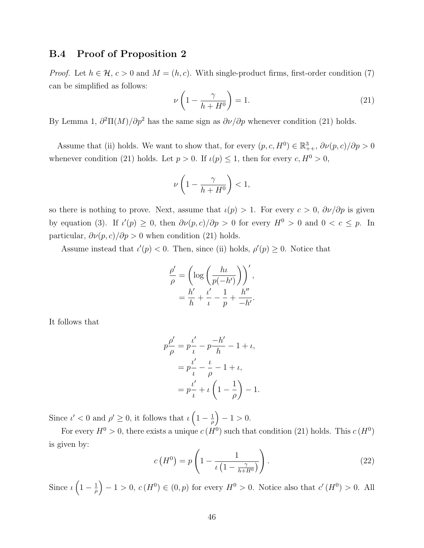#### B.4 Proof of Proposition 2

*Proof.* Let  $h \in \mathcal{H}$ ,  $c > 0$  and  $M = (h, c)$ . With single-product firms, first-order condition (7) can be simplified as follows:

$$
\nu\left(1 - \frac{\gamma}{h + H^0}\right) = 1.\tag{21}
$$

By Lemma 1,  $\partial^2\Pi(M)/\partial p^2$  has the same sign as  $\partial \nu/\partial p$  whenever condition (21) holds.

Assume that (ii) holds. We want to show that, for every  $(p, c, H^0) \in \mathbb{R}^3_{++}$ ,  $\partial \nu(p, c)/\partial p > 0$ whenever condition (21) holds. Let  $p > 0$ . If  $\iota(p) \leq 1$ , then for every  $c, H^0 > 0$ ,

$$
\nu\left(1-\frac{\gamma}{h+H^0}\right) < 1,
$$

so there is nothing to prove. Next, assume that  $\iota(p) > 1$ . For every  $c > 0$ ,  $\frac{\partial \nu}{\partial p}$  is given by equation (3). If  $\iota'(p) \geq 0$ , then  $\partial \nu(p,c)/\partial p > 0$  for every  $H^0 > 0$  and  $0 < c \leq p$ . In particular,  $\partial \nu(p,c)/\partial p > 0$  when condition (21) holds.

Assume instead that  $\iota'(p) < 0$ . Then, since (ii) holds,  $\rho'(p) \geq 0$ . Notice that

$$
\frac{\rho'}{\rho} = \left(\log\left(\frac{h\iota}{p(-h')}\right)\right)',
$$

$$
= \frac{h'}{h} + \frac{\iota'}{\iota} - \frac{1}{p} + \frac{h''}{-h'}.
$$

It follows that

$$
p\frac{\rho'}{\rho} = p\frac{t'}{t} - p\frac{-h'}{h} - 1 + t,
$$
  
=  $p\frac{t'}{t} - \frac{t}{\rho} - 1 + t,$   
=  $p\frac{t'}{t} + t\left(1 - \frac{1}{\rho}\right) - 1.$ 

Since  $\iota' < 0$  and  $\rho' \geq 0$ , it follows that  $\iota \left(1 - \frac{1}{a}\right)$  $\frac{1}{\rho}$  - 1 > 0.

For every  $H^0 > 0$ , there exists a unique  $c(H^0)$  such that condition (21) holds. This  $c(H^0)$ is given by:

$$
c\left(H^0\right) = p\left(1 - \frac{1}{\iota\left(1 - \frac{\gamma}{h + H^0}\right)}\right). \tag{22}
$$

Since  $\iota\left(1-\frac{1}{a}\right)$  $\frac{1}{\rho}$  - 1 > 0,  $c(H^0) \in (0, p)$  for every  $H^0 > 0$ . Notice also that  $c'(H^0) > 0$ . All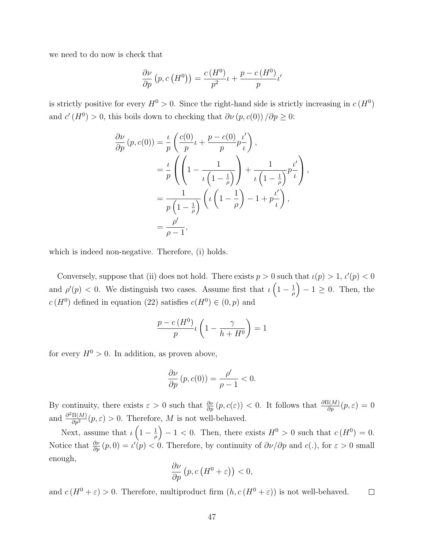we need to do now is check that

$$
\frac{\partial \nu}{\partial p} (p, c (H^0)) = \frac{c (H^0)}{p^2} \iota + \frac{p - c (H^0)}{p} \iota'
$$

is strictly positive for every  $H^0 > 0$ . Since the right-hand side is strictly increasing in  $c(H^0)$ and  $c'(H^0) > 0$ , this boils down to checking that  $\partial \nu (p, c(0)) / \partial p \geq 0$ :

$$
\frac{\partial \nu}{\partial p} (p, c(0)) = \frac{\iota}{p} \left( \frac{c(0)}{p} \iota + \frac{p - c(0)}{p} p \frac{\iota'}{\iota} \right),
$$
  

$$
= \frac{\iota}{p} \left( \left( 1 - \frac{1}{\iota \left( 1 - \frac{1}{\rho} \right)} \right) + \frac{1}{\iota \left( 1 - \frac{1}{\rho} \right)} p \frac{\iota'}{\iota} \right),
$$
  

$$
= \frac{1}{p \left( 1 - \frac{1}{\rho} \right)} \left( \iota \left( 1 - \frac{1}{\rho} \right) - 1 + p \frac{\iota'}{\iota} \right),
$$
  

$$
= \frac{\rho'}{\rho - 1},
$$

which is indeed non-negative. Therefore, (i) holds.

Conversely, suppose that (ii) does not hold. There exists  $p > 0$  such that  $\iota(p) > 1$ ,  $\iota'(p) < 0$ and  $\rho'(p) < 0$ . We distinguish two cases. Assume first that  $\iota\left(1-\frac{1}{a}\right)$  $\left(\frac{1}{\rho}\right) - 1 \geq 0$ . Then, the  $c(H^0)$  defined in equation (22) satisfies  $c(H^0) \in (0, p)$  and

$$
\frac{p - c(H^0)}{p} \iota\left(1 - \frac{\gamma}{h + H^0}\right) = 1
$$

for every  $H^0 > 0$ . In addition, as proven above,

$$
\frac{\partial \nu}{\partial p}(p, c(0)) = \frac{\rho'}{\rho - 1} < 0.
$$

By continuity, there exists  $\varepsilon > 0$  such that  $\frac{\partial \nu}{\partial p}(p, c(\varepsilon)) < 0$ . It follows that  $\frac{\partial \Pi(M)}{\partial p}(p, \varepsilon) = 0$ and  $\frac{\partial^2 \Pi(M)}{\partial p^2}(p,\varepsilon) > 0$ . Therefore, M is not well-behaved.

Next, assume that  $\iota \left(1 - \frac{1}{a}\right)$  $\left(\frac{1}{\rho}\right) - 1 < 0$ . Then, there exists  $H^0 > 0$  such that  $c(H^0) = 0$ . Notice that  $\frac{\partial \nu}{\partial p}(p,0) = \iota'(p) < 0$ . Therefore, by continuity of  $\partial \nu / \partial p$  and  $c(.)$ , for  $\varepsilon > 0$  small enough,

$$
\frac{\partial \nu}{\partial p} \left( p, c \left( H^0 + \varepsilon \right) \right) < 0,
$$

and  $c(H^0 + \varepsilon) > 0$ . Therefore, multiproduct firm  $(h, c(H^0 + \varepsilon))$  is not well-behaved.  $\Box$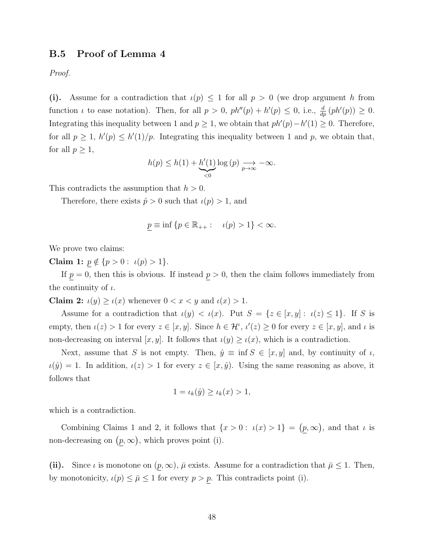### B.5 Proof of Lemma 4

Proof.

(i). Assume for a contradiction that  $\iota(p) \leq 1$  for all  $p > 0$  (we drop argument h from function *i* to ease notation). Then, for all  $p > 0$ ,  $ph''(p) + h'(p) \le 0$ , i.e.,  $\frac{d}{dp}(ph'(p)) \ge 0$ . Integrating this inequality between 1 and  $p \ge 1$ , we obtain that  $ph'(p) - h'(1) \ge 0$ . Therefore, for all  $p \geq 1$ ,  $h'(p) \leq h'(1)/p$ . Integrating this inequality between 1 and p, we obtain that, for all  $p \geq 1$ ,

$$
h(p) \le h(1) + \underbrace{h'(1)}_{<0} \log(p) \underset{p \to \infty}{\longrightarrow} -\infty.
$$

This contradicts the assumption that  $h > 0$ .

Therefore, there exists  $\hat{p} > 0$  such that  $\iota(p) > 1$ , and

$$
p \equiv \inf \left\{ p \in \mathbb{R}_{++} : \quad \iota(p) > 1 \right\} < \infty.
$$

We prove two claims:

Claim 1:  $p \notin \{p > 0 : \iota(p) > 1\}.$ 

If  $p = 0$ , then this is obvious. If instead  $p > 0$ , then the claim follows immediately from the continuity of  $\iota$ .

Claim 2:  $u(y) \ge u(x)$  whenever  $0 < x < y$  and  $u(x) > 1$ .

Assume for a contradiction that  $\iota(y) < \iota(x)$ . Put  $S = \{z \in [x, y]: \iota(z) \leq 1\}$ . If S is empty, then  $u(z) > 1$  for every  $z \in [x, y]$ . Since  $h \in \mathcal{H}^{\iota}$ ,  $u'(z) \ge 0$  for every  $z \in [x, y]$ , and  $\iota$  is non-decreasing on interval [x, y]. It follows that  $\iota(y) \geq \iota(x)$ , which is a contradiction.

Next, assume that S is not empty. Then,  $\hat{y} \equiv \inf S \in [x, y]$  and, by continuity of  $\iota$ ,  $\iota(\hat{y}) = 1$ . In addition,  $\iota(z) > 1$  for every  $z \in [x, \hat{y})$ . Using the same reasoning as above, it follows that

$$
1 = \iota_k(\hat{y}) \ge \iota_k(x) > 1,
$$

which is a contradiction.

Combining Claims 1 and 2, it follows that  $\{x > 0 : \iota(x) > 1\} = (p, \infty)$ , and that  $\iota$  is non-decreasing on  $(p, \infty)$ , which proves point (i).

(ii). Since  $\iota$  is monotone on  $(p,\infty)$ ,  $\bar{\mu}$  exists. Assume for a contradiction that  $\bar{\mu} \leq 1$ . Then, by monotonicity,  $\iota(p) \leq \bar{\mu} \leq 1$  for every  $p > p$ . This contradicts point (i).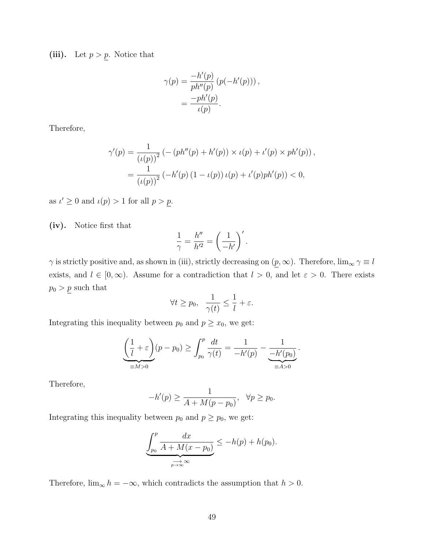(iii). Let  $p > p$ . Notice that

$$
\gamma(p) = \frac{-h'(p)}{ph''(p)} (p(-h'(p))) ,
$$
  
= 
$$
\frac{-ph'(p)}{\iota(p)}.
$$

Therefore,

$$
\gamma'(p) = \frac{1}{(\iota(p))^2} \left( -(ph''(p) + h'(p)) \times \iota(p) + \iota'(p) \times ph'(p) \right),
$$
  
= 
$$
\frac{1}{(\iota(p))^2} \left( -h'(p) \left( 1 - \iota(p) \right) \iota(p) + \iota'(p) ph'(p) \right) < 0,
$$

as  $\iota' \geq 0$  and  $\iota(p) > 1$  for all  $p > p$ .

(iv). Notice first that

$$
\frac{1}{\gamma} = \frac{h''}{h'^2} = \left(\frac{1}{-h'}\right)'.
$$

 $\gamma$  is strictly positive and, as shown in (iii), strictly decreasing on  $(p, \infty)$ . Therefore,  $\lim_{\infty} \gamma \equiv l$ exists, and  $l \in [0,\infty)$ . Assume for a contradiction that  $l > 0$ , and let  $\varepsilon > 0$ . There exists  $p_0 > p$  such that

$$
\forall t \geq p_0, \ \ \frac{1}{\gamma(t)} \leq \frac{1}{l} + \varepsilon.
$$

Integrating this inequality between  $p_0$  and  $p \geq x_0$ , we get:

$$
\underbrace{\left(\frac{1}{l} + \varepsilon\right)}_{\equiv M > 0} (p - p_0) \ge \int_{p_0}^p \frac{dt}{\gamma(t)} = \frac{1}{-h'(p)} - \underbrace{\frac{1}{-h'(p_0)}}_{\equiv A > 0}.
$$

Therefore,

$$
-h'(p) \ge \frac{1}{A + M(p - p_0)}, \quad \forall p \ge p_0.
$$

Integrating this inequality between  $p_0$  and  $p \geq p_0$ , we get:

$$
\underbrace{\int_{p_0}^p \frac{dx}{A + M(x - p_0)}}_{\underset{p \to \infty}{\longrightarrow} \infty} \le -h(p) + h(p_0).
$$

Therefore,  $\lim_{\infty} h = -\infty$ , which contradicts the assumption that  $h > 0$ .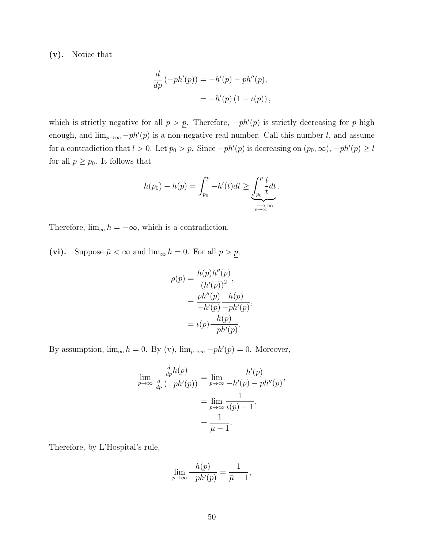(v). Notice that

$$
\frac{d}{dp}(-ph'(p)) = -h'(p) - ph''(p), \n= -h'(p) (1 - \iota(p)),
$$

which is strictly negative for all  $p > p$ . Therefore,  $-ph'(p)$  is strictly decreasing for p high enough, and  $\lim_{p\to\infty} -ph'(p)$  is a non-negative real number. Call this number l, and assume for a contradiction that  $l > 0$ . Let  $p_0 > p$ . Since  $-ph'(p)$  is decreasing on  $(p_0, \infty)$ ,  $-ph'(p) \geq l$ for all  $p \geq p_0$ . It follows that

$$
h(p_0) - h(p) = \int_{p_0}^p -h'(t)dt \ge \underbrace{\int_{p_0}^p \frac{l}{t}dt}_{p \to \infty}.
$$

Therefore,  $\lim_{\infty} h = -\infty$ , which is a contradiction.

(vi). Suppose  $\bar{\mu} < \infty$  and  $\lim_{\infty} h = 0$ . For all  $p > \underline{p}$ ,

$$
\rho(p) = \frac{h(p)h''(p)}{(h'(p))^2},
$$
  
= 
$$
\frac{ph''(p)}{-h'(p)} \frac{h(p)}{-ph'(p)},
$$
  
= 
$$
\iota(p) \frac{h(p)}{-ph'(p)}.
$$

By assumption,  $\lim_{\infty} h = 0$ . By (v),  $\lim_{p \to \infty} -ph'(p) = 0$ . Moreover,

$$
\lim_{p \to \infty} \frac{\frac{d}{dp}h(p)}{\frac{d}{dp}(-ph'(p))} = \lim_{p \to \infty} \frac{h'(p)}{-h'(p) - ph''(p)},
$$

$$
= \lim_{p \to \infty} \frac{1}{\iota(p) - 1},
$$

$$
= \frac{1}{\bar{\mu} - 1}.
$$

Therefore, by L'Hospital's rule,

$$
\lim_{p \to \infty} \frac{h(p)}{-ph'(p)} = \frac{1}{\bar{\mu} - 1},
$$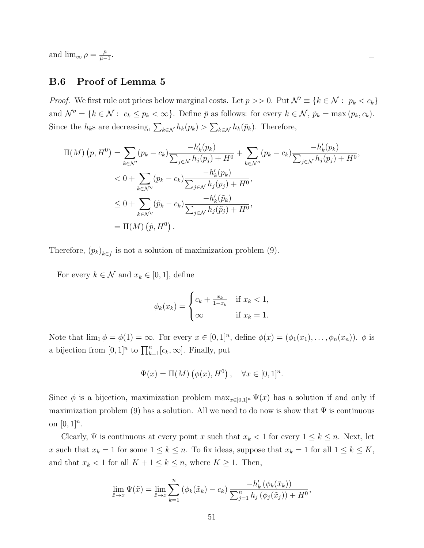and  $\lim_{\infty} \rho = \frac{\bar{\mu}}{\bar{\mu}-}$  $\frac{\bar{\mu}}{\bar{\mu}-1}.$ 

## B.6 Proof of Lemma 5

*Proof.* We first rule out prices below marginal costs. Let  $p \geq 0$ . Put  $\mathcal{N}' \equiv \{k \in \mathcal{N} : p_k < c_k\}$ and  $\mathcal{N}'' = \{k \in \mathcal{N} : c_k \leq p_k < \infty\}$ . Define  $\tilde{p}$  as follows: for every  $k \in \mathcal{N}$ ,  $\tilde{p}_k = \max(p_k, c_k)$ . Since the  $h_k$ s are decreasing,  $\sum_{k \in \mathcal{N}} h_k(p_k) > \sum_{k \in \mathcal{N}} h_k(\tilde{p}_k)$ . Therefore,

$$
\Pi(M) (p, H^0) = \sum_{k \in \mathcal{N}'} (p_k - c_k) \frac{-h'_k(p_k)}{\sum_{j \in \mathcal{N}} h_j(p_j) + H^0} + \sum_{k \in \mathcal{N}''} (p_k - c_k) \frac{-h'_k(p_k)}{\sum_{j \in \mathcal{N}} h_j(p_j) + H^0},
$$
  

$$
< 0 + \sum_{k \in \mathcal{N}''} (p_k - c_k) \frac{-h'_k(p_k)}{\sum_{j \in \mathcal{N}} h_j(p_j) + H^0},
$$
  

$$
\leq 0 + \sum_{k \in \mathcal{N}''} (\tilde{p}_k - c_k) \frac{-h'_k(\tilde{p}_k)}{\sum_{j \in \mathcal{N}} h_j(\tilde{p}_j) + H^0},
$$
  

$$
= \Pi(M) (\tilde{p}, H^0).
$$

Therefore,  $(p_k)_{k \in f}$  is not a solution of maximization problem (9).

For every  $k \in \mathcal{N}$  and  $x_k \in [0,1]$ , define

$$
\phi_k(x_k) = \begin{cases} c_k + \frac{x_k}{1 - x_k} & \text{if } x_k < 1, \\ \infty & \text{if } x_k = 1. \end{cases}
$$

Note that  $\lim_{1} \phi = \phi(1) = \infty$ . For every  $x \in [0,1]^n$ , define  $\phi(x) = (\phi_1(x_1), \dots, \phi_n(x_n))$ .  $\phi$  is a bijection from  $[0,1]^n$  to  $\prod_{k=1}^n [c_k,\infty]$ . Finally, put

$$
\Psi(x) = \Pi(M) \left( \phi(x), H^0 \right), \quad \forall x \in [0, 1]^n.
$$

Since  $\phi$  is a bijection, maximization problem  $\max_{x \in [0,1]^n} \Psi(x)$  has a solution if and only if maximization problem (9) has a solution. All we need to do now is show that  $\Psi$  is continuous on  $[0, 1]^n$ .

Clearly,  $\Psi$  is continuous at every point x such that  $x_k < 1$  for every  $1 \leq k \leq n$ . Next, let x such that  $x_k = 1$  for some  $1 \leq k \leq n$ . To fix ideas, suppose that  $x_k = 1$  for all  $1 \leq k \leq K$ , and that  $x_k < 1$  for all  $K + 1 \leq k \leq n$ , where  $K \geq 1$ . Then,

$$
\lim_{\tilde{x}\to x} \Psi(\tilde{x}) = \lim_{\tilde{x}\to x} \sum_{k=1}^{n} (\phi_k(\tilde{x}_k) - c_k) \frac{-h'_k(\phi_k(\tilde{x}_k))}{\sum_{j=1}^{n} h_j(\phi_j(\tilde{x}_j)) + H^0},
$$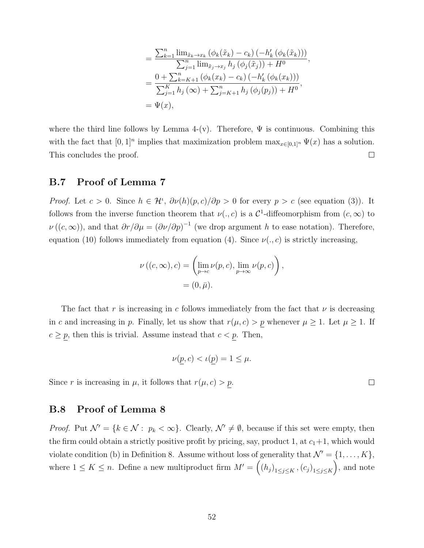$$
= \frac{\sum_{k=1}^{n} \lim_{\tilde{x}_k \to x_k} (\phi_k(\tilde{x}_k) - c_k) (-h'_k (\phi_k(\tilde{x}_k)))}{\sum_{j=1}^{n} \lim_{\tilde{x}_j \to x_j} h_j (\phi_j(\tilde{x}_j)) + H^0},
$$
  

$$
= \frac{0 + \sum_{k=K+1}^{n} (\phi_k(x_k) - c_k) (-h'_k (\phi_k(x_k)))}{\sum_{j=1}^{K} h_j (\infty) + \sum_{j=K+1}^{n} h_j (\phi_j(p_j)) + H^0},
$$
  

$$
= \Psi(x),
$$

where the third line follows by Lemma 4-(v). Therefore,  $\Psi$  is continuous. Combining this with the fact that  $[0,1]^n$  implies that maximization problem  $\max_{x \in [0,1]^n} \Psi(x)$  has a solution. This concludes the proof.  $\Box$ 

#### B.7 Proof of Lemma 7

*Proof.* Let  $c > 0$ . Since  $h \in \mathcal{H}^{\nu}$ ,  $\partial \nu(h)(p, c)/\partial p > 0$  for every  $p > c$  (see equation (3)). It follows from the inverse function theorem that  $\nu(.,c)$  is a  $\mathcal{C}^1$ -diffeomorphism from  $(c,\infty)$  to  $\nu((c,\infty))$ , and that  $\partial r/\partial \mu = (\partial \nu/\partial p)^{-1}$  (we drop argument h to ease notation). Therefore, equation (10) follows immediately from equation (4). Since  $\nu(., c)$  is strictly increasing,

$$
\nu((c,\infty),c) = \left(\lim_{p \to c} \nu(p,c), \lim_{p \to \infty} \nu(p,c)\right),
$$
  
=  $(0,\bar{\mu}).$ 

The fact that r is increasing in c follows immediately from the fact that  $\nu$  is decreasing in c and increasing in p. Finally, let us show that  $r(\mu, c) > p$  whenever  $\mu \geq 1$ . Let  $\mu \geq 1$ . If  $c \geq p$ , then this is trivial. Assume instead that  $c < p$ . Then,

$$
\nu(\underline{p}, c) < \iota(\underline{p}) = 1 \le \mu.
$$

Since r is increasing in  $\mu$ , it follows that  $r(\mu, c) > p$ .

## B.8 Proof of Lemma 8

*Proof.* Put  $\mathcal{N}' = \{k \in \mathcal{N} : p_k < \infty\}$ . Clearly,  $\mathcal{N}' \neq \emptyset$ , because if this set were empty, then the firm could obtain a strictly positive profit by pricing, say, product 1, at  $c_1+1$ , which would violate condition (b) in Definition 8. Assume without loss of generality that  $\mathcal{N}' = \{1, \ldots, K\}$ , where  $1 \leq K \leq n$ . Define a new multiproduct firm  $M' = ((h_j)_{1 \leq j \leq K}, (c_j)_{1 \leq j \leq K})$ , and note

 $\Box$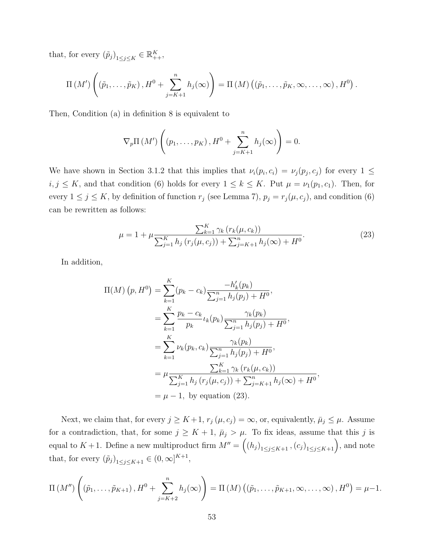that, for every  $(\tilde{p}_j)_{1 \leq j \leq K} \in \mathbb{R}_{++}^K$ ,

$$
\Pi\left(M'\right)\left((\tilde{p}_1,\ldots,\tilde{p}_K),H^0+\sum_{j=K+1}^n h_j(\infty)\right)=\Pi\left(M\right)\left((\tilde{p}_1,\ldots,\tilde{p}_K,\infty,\ldots,\infty),H^0\right).
$$

Then, Condition (a) in definition 8 is equivalent to

$$
\nabla_p \Pi\left(M'\right) \left((p_1,\ldots,p_K),H^0+\sum_{j=K+1}^n h_j(\infty)\right)=0.
$$

We have shown in Section 3.1.2 that this implies that  $\nu_i(p_i, c_i) = \nu_j(p_j, c_j)$  for every  $1 \leq$  $i, j \leq K$ , and that condition (6) holds for every  $1 \leq k \leq K$ . Put  $\mu = \nu_1(p_1, c_1)$ . Then, for every  $1 \le j \le K$ , by definition of function  $r_j$  (see Lemma 7),  $p_j = r_j(\mu, c_j)$ , and condition (6) can be rewritten as follows:

$$
\mu = 1 + \mu \frac{\sum_{k=1}^{K} \gamma_k (r_k(\mu, c_k))}{\sum_{j=1}^{K} h_j (r_j(\mu, c_j)) + \sum_{j=K+1}^{n} h_j(\infty) + H^0}.
$$
\n(23)

In addition,

$$
\Pi(M) (p, H^0) = \sum_{k=1}^{K} (p_k - c_k) \frac{-h'_k(p_k)}{\sum_{j=1}^{n} h_j(p_j) + H^0},
$$
  
\n
$$
= \sum_{k=1}^{K} \frac{p_k - c_k}{p_k} \iota_k(p_k) \frac{\gamma_k(p_k)}{\sum_{j=1}^{n} h_j(p_j) + H^0},
$$
  
\n
$$
= \sum_{k=1}^{K} \nu_k(p_k, c_k) \frac{\gamma_k(p_k)}{\sum_{j=1}^{n} h_j(p_j) + H^0},
$$
  
\n
$$
= \mu \frac{\sum_{k=1}^{K} \gamma_k (r_k(\mu, c_k))}{\sum_{j=1}^{K} h_j(r_j(\mu, c_j)) + \sum_{j=K+1}^{n} h_j(\infty) + H^0},
$$
  
\n
$$
= \mu - 1, \text{ by equation (23).}
$$

Next, we claim that, for every  $j \geq K+1$ ,  $r_j(\mu, c_j) = \infty$ , or, equivalently,  $\bar{\mu}_j \leq \mu$ . Assume for a contradiction, that, for some  $j \geq K + 1$ ,  $\bar{\mu}_j > \mu_j$ . To fix ideas, assume that this j is equal to  $K+1$ . Define a new multiproduct firm  $M'' = ((h_j)_{1 \leq j \leq K+1}, (c_j)_{1 \leq j \leq K+1})$ , and note that, for every  $(\tilde{p}_j)_{1 \leq j \leq K+1} \in (0, \infty]^{K+1}$ ,

$$
\Pi\left(M''\right)\left((\tilde{p}_1,\ldots,\tilde{p}_{K+1}),H^0+\sum_{j=K+2}^n h_j(\infty)\right)=\Pi\left(M\right)\left((\tilde{p}_1,\ldots,\tilde{p}_{K+1},\infty,\ldots,\infty),H^0\right)=\mu-1.
$$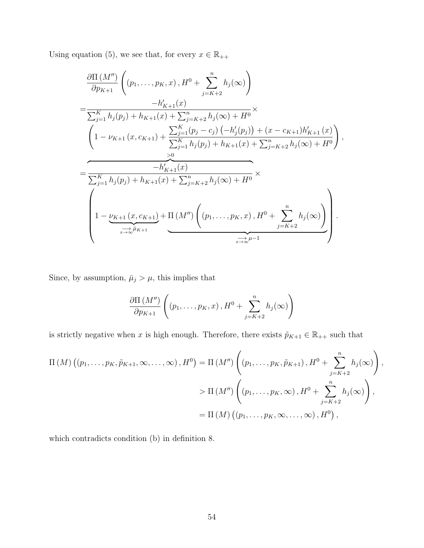Using equation (5), we see that, for every  $x\in\mathbb{R}_{++}$ 

$$
\frac{\partial \Pi (M'')}{\partial p_{K+1}} \left( (p_1, \ldots, p_K, x), H^0 + \sum_{j=K+2}^n h_j(\infty) \right)
$$
\n
$$
= \frac{-h'_{K+1}(x)}{\sum_{j=1}^K h_j(p_j) + h_{K+1}(x) + \sum_{j=K+2}^n h_j(\infty) + H^0} \times \left( 1 - \nu_{K+1} (x, c_{K+1}) + \frac{\sum_{j=1}^K (p_j - c_j) (-h'_j(p_j)) + (x - c_{K+1})h'_{K+1}(x)}{\sum_{j=1}^K h_j(p_j) + h_{K+1}(x) + \sum_{j=K+2}^n h_j(\infty) + H^0} \right),
$$
\n
$$
= \frac{-h'_{K+1}(x)}{\sum_{j=1}^K h_j(p_j) + h_{K+1}(x) + \sum_{j=K+2}^n h_j(\infty) + H^0} \times \left( 1 - \nu_{K+1} (x, c_{K+1}) + \Pi (M'') \left( (p_1, \ldots, p_K, x), H^0 + \sum_{j=K+2}^n h_j(\infty) \right) \right).
$$

Since, by assumption,  $\bar{\mu}_j > \mu$ , this implies that

$$
\frac{\partial \Pi\left(M''\right)}{\partial p_{K+1}}\left(\left(p_1,\ldots,p_K,x\right),H^0+\sum_{j=K+2}^n h_j(\infty)\right)
$$

is strictly negative when x is high enough. Therefore, there exists  $\tilde{p}_{K+1} \in \mathbb{R}_{++}$  such that

$$
\Pi(M) ((p_1, \ldots, p_K, \tilde{p}_{K+1}, \infty, \ldots, \infty), H^0) = \Pi(M'') \left( (p_1, \ldots, p_K, \tilde{p}_{K+1}), H^0 + \sum_{j=K+2}^n h_j(\infty) \right),
$$
  
> 
$$
\Pi(M'') \left( (p_1, \ldots, p_K, \infty), H^0 + \sum_{j=K+2}^n h_j(\infty) \right),
$$
  
= 
$$
\Pi(M) ((p_1, \ldots, p_K, \infty, \ldots, \infty), H^0),
$$

which contradicts condition (b) in definition 8.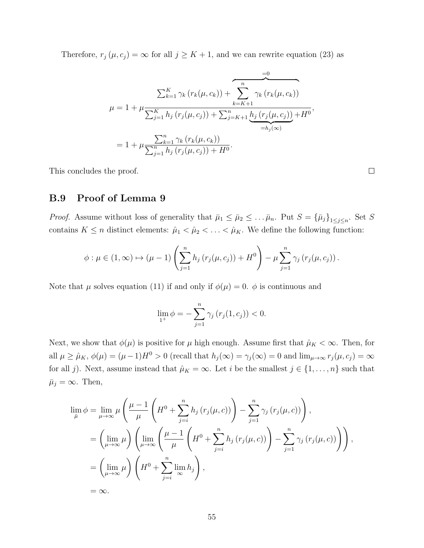Therefore,  $r_j(\mu, c_j) = \infty$  for all  $j \geq K + 1$ , and we can rewrite equation (23) as

$$
\sum_{k=1}^{K} \gamma_k (r_k(\mu, c_k)) + \sum_{k=K+1}^{n} \gamma_k (r_k(\mu, c_k))
$$
  

$$
\mu = 1 + \mu \frac{\sum_{j=1}^{K} h_j (r_j(\mu, c_j)) + \sum_{j=K+1}^{n} h_j (r_j(\mu, c_j)) + H^0}{\sum_{j=1}^{n} h_j (r_k(\mu, c_k))}
$$
  

$$
= 1 + \mu \frac{\sum_{k=1}^{n} \gamma_k (r_k(\mu, c_k))}{\sum_{j=1}^{n} h_j (r_j(\mu, c_j)) + H^0}.
$$

This concludes the proof.

 $\Box$ 

## B.9 Proof of Lemma 9

*Proof.* Assume without loss of generality that  $\bar{\mu}_1 \leq \bar{\mu}_2 \leq \ldots \bar{\mu}_n$ . Put  $S = {\{\bar{\mu}_j\}}_{1 \leq j \leq n}$ . Set S contains  $K \leq n$  distinct elements:  $\hat{\mu}_1 < \hat{\mu}_2 < \ldots < \hat{\mu}_K$ . We define the following function:

$$
\phi: \mu \in (1,\infty) \mapsto (\mu-1)\left(\sum_{j=1}^n h_j\left(r_j(\mu,c_j)\right) + H^0\right) - \mu \sum_{j=1}^n \gamma_j\left(r_j(\mu,c_j)\right).
$$

Note that  $\mu$  solves equation (11) if and only if  $\phi(\mu) = 0$ .  $\phi$  is continuous and

$$
\lim_{1^{+}} \phi = -\sum_{j=1}^{n} \gamma_{j} (r_{j}(1, c_{j})) < 0.
$$

Next, we show that  $\phi(\mu)$  is positive for  $\mu$  high enough. Assume first that  $\hat{\mu}_K < \infty$ . Then, for all  $\mu \ge \hat{\mu}_K$ ,  $\phi(\mu) = (\mu - 1)H^0 > 0$  (recall that  $h_j(\infty) = \gamma_j(\infty) = 0$  and  $\lim_{\mu \to \infty} r_j(\mu, c_j) = \infty$ for all j). Next, assume instead that  $\hat{\mu}_K = \infty$ . Let i be the smallest  $j \in \{1, ..., n\}$  such that  $\bar{\mu}_j = \infty$ . Then,

$$
\lim_{\overline{\mu}} \phi = \lim_{\mu \to \infty} \mu \left( \frac{\mu - 1}{\mu} \left( H^0 + \sum_{j=i}^n h_j \left( r_j(\mu, c) \right) \right) - \sum_{j=1}^n \gamma_j \left( r_j(\mu, c) \right) \right),
$$
  
\n
$$
= \left( \lim_{\mu \to \infty} \mu \right) \left( \lim_{\mu \to \infty} \left( \frac{\mu - 1}{\mu} \left( H^0 + \sum_{j=i}^n h_j \left( r_j(\mu, c) \right) \right) - \sum_{j=1}^n \gamma_j \left( r_j(\mu, c) \right) \right) \right),
$$
  
\n
$$
= \left( \lim_{\mu \to \infty} \mu \right) \left( H^0 + \sum_{j=i}^n \lim_{\infty} h_j \right),
$$
  
\n
$$
= \infty.
$$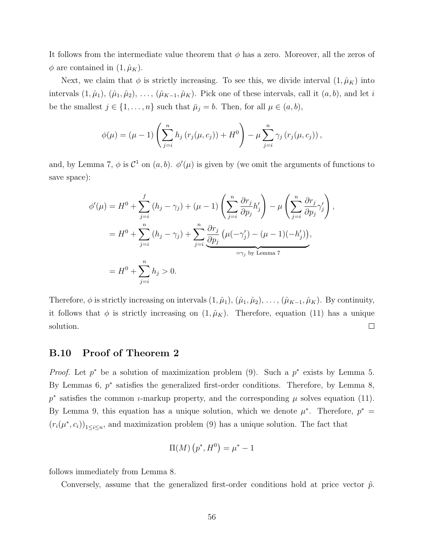It follows from the intermediate value theorem that  $\phi$  has a zero. Moreover, all the zeros of  $\phi$  are contained in  $(1, \hat{\mu}_K)$ .

Next, we claim that  $\phi$  is strictly increasing. To see this, we divide interval  $(1, \hat{\mu}_K)$  into intervals  $(1, \hat{\mu}_1), (\hat{\mu}_1, \hat{\mu}_2), \ldots, (\hat{\mu}_{K-1}, \hat{\mu}_K)$ . Pick one of these intervals, call it  $(a, b)$ , and let i be the smallest  $j \in \{1, \ldots, n\}$  such that  $\bar{\mu}_j = b$ . Then, for all  $\mu \in (a, b)$ ,

$$
\phi(\mu) = (\mu - 1) \left( \sum_{j=i}^{n} h_j (r_j(\mu, c_j)) + H^0 \right) - \mu \sum_{j=i}^{n} \gamma_j (r_j(\mu, c_j)),
$$

and, by Lemma 7,  $\phi$  is  $\mathcal{C}^1$  on  $(a, b)$ .  $\phi'(\mu)$  is given by (we omit the arguments of functions to save space):

$$
\phi'(\mu) = H^0 + \sum_{j=i}^f (h_j - \gamma_j) + (\mu - 1) \left( \sum_{j=i}^n \frac{\partial r_j}{\partial p_j} h'_j \right) - \mu \left( \sum_{j=i}^n \frac{\partial r_j}{\partial p_j} \gamma'_j \right),
$$
  

$$
= H^0 + \sum_{j=i}^n (h_j - \gamma_j) + \sum_{j=i}^n \frac{\partial r_j}{\partial p_j} (\mu(-\gamma'_j) - (\mu - 1)(-h'_j)),
$$
  

$$
= H^0 + \sum_{j=i}^n h_j > 0.
$$

Therefore,  $\phi$  is strictly increasing on intervals  $(1, \hat{\mu}_1), (\hat{\mu}_1, \hat{\mu}_2), \ldots, (\hat{\mu}_{K-1}, \hat{\mu}_K)$ . By continuity, it follows that  $\phi$  is strictly increasing on  $(1, \hat{\mu}_K)$ . Therefore, equation (11) has a unique solution.  $\Box$ 

#### B.10 Proof of Theorem 2

*Proof.* Let  $p^*$  be a solution of maximization problem (9). Such a  $p^*$  exists by Lemma 5. By Lemmas 6,  $p^*$  satisfies the generalized first-order conditions. Therefore, by Lemma 8,  $p^*$  satisfies the common *ι*-markup property, and the corresponding  $\mu$  solves equation (11). By Lemma 9, this equation has a unique solution, which we denote  $\mu^*$ . Therefore,  $p^* =$  $(r_i(\mu^*, c_i))_{1 \leq i \leq n}$ , and maximization problem (9) has a unique solution. The fact that

$$
\Pi(M) (p^*, H^0) = \mu^* - 1
$$

follows immediately from Lemma 8.

Conversely, assume that the generalized first-order conditions hold at price vector  $\tilde{p}$ .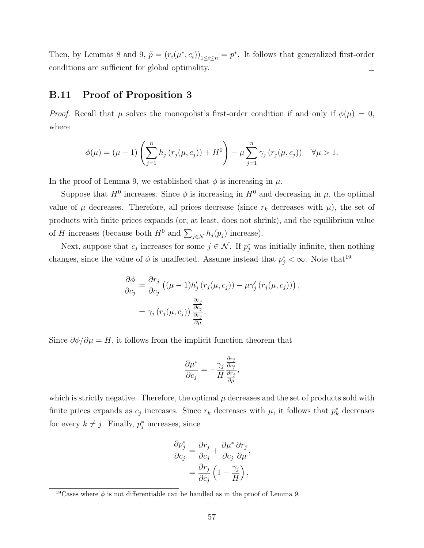Then, by Lemmas 8 and 9,  $\tilde{p} = (r_i(\mu^*, c_i))_{1 \leq i \leq n} = p^*$ . It follows that generalized first-order conditions are sufficient for global optimality.  $\Box$ 

## B.11 Proof of Proposition 3

*Proof.* Recall that  $\mu$  solves the monopolist's first-order condition if and only if  $\phi(\mu) = 0$ , where

$$
\phi(\mu) = (\mu - 1) \left( \sum_{j=1}^n h_j \left( r_j(\mu, c_j) \right) + H^0 \right) - \mu \sum_{j=1}^n \gamma_j \left( r_j(\mu, c_j) \right) \quad \forall \mu > 1.
$$

In the proof of Lemma 9, we established that  $\phi$  is increasing in  $\mu$ .

Suppose that  $H^0$  increases. Since  $\phi$  is increasing in  $H^0$  and decreasing in  $\mu$ , the optimal value of  $\mu$  decreases. Therefore, all prices decrease (since  $r_k$  decreases with  $\mu$ ), the set of products with finite prices expands (or, at least, does not shrink), and the equilibrium value of H increases (because both  $H^0$  and  $\sum_{j \in \mathcal{N}} h_j(p_j)$  increase).

Next, suppose that  $c_j$  increases for some  $j \in \mathcal{N}$ . If  $p_j^*$  was initially infinite, then nothing changes, since the value of  $\phi$  is unaffected. Assume instead that  $p_j^* < \infty$ . Note that<sup>19</sup>

$$
\frac{\partial \phi}{\partial c_j} = \frac{\partial r_j}{\partial c_j} \left( (\mu - 1) h'_j \left( r_j(\mu, c_j) \right) - \mu \gamma'_j \left( r_j(\mu, c_j) \right) \right),
$$
  

$$
= \gamma_j \left( r_j(\mu, c_j) \right) \frac{\frac{\partial r_j}{\partial c_j}}{\frac{\partial r_j}{\partial \mu}}.
$$

Since  $\partial \phi / \partial \mu = H$ , it follows from the implicit function theorem that

$$
\frac{\partial \mu^*}{\partial c_j} = -\frac{\gamma_j}{H} \frac{\frac{\partial r_j}{\partial c_j}}{\frac{\partial r_j}{\partial \mu}},
$$

which is strictly negative. Therefore, the optimal  $\mu$  decreases and the set of products sold with finite prices expands as  $c_j$  increases. Since  $r_k$  decreases with  $\mu$ , it follows that  $p_k^*$  decreases for every  $k \neq j$ . Finally,  $p_j^*$  increases, since

$$
\frac{\partial p_j^*}{\partial c_j} = \frac{\partial r_j}{\partial c_j} + \frac{\partial \mu^*}{\partial c_j} \frac{\partial r_j}{\partial \mu},
$$

$$
= \frac{\partial r_j}{\partial c_j} \left( 1 - \frac{\gamma_j}{H} \right),
$$

<sup>&</sup>lt;sup>19</sup>Cases where  $\phi$  is not differentiable can be handled as in the proof of Lemma 9.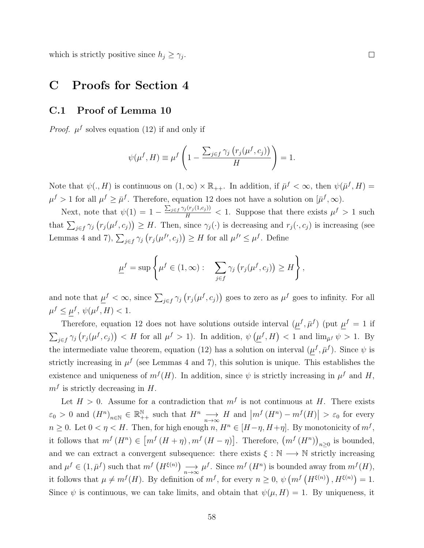which is strictly positive since  $h_j \geq \gamma_j$ .

## C Proofs for Section 4

### C.1 Proof of Lemma 10

*Proof.*  $\mu^f$  solves equation (12) if and only if

$$
\psi(\mu^f, H) \equiv \mu^f \left( 1 - \frac{\sum_{j \in f} \gamma_j \left( r_j(\mu^f, c_j) \right)}{H} \right) = 1.
$$

Note that  $\psi(., H)$  is continuous on  $(1, \infty) \times \mathbb{R}_{++}$ . In addition, if  $\bar{\mu}^f < \infty$ , then  $\psi(\bar{\mu}^f, H) =$  $\mu^f > 1$  for all  $\mu^f \geq \bar{\mu}^f$ . Therefore, equation 12 does not have a solution on  $[\bar{\mu}^f, \infty)$ .

Next, note that  $\psi(1) = 1 - \frac{\sum_{j \in f} \gamma_j(r_j(1,c_j))}{H} < 1$ . Suppose that there exists  $\mu^f > 1$  such that  $\sum_{j\in f}\gamma_j(r_j(\mu^f,c_j))\geq H$ . Then, since  $\gamma_j(\cdot)$  is decreasing and  $r_j(\cdot,c_j)$  is increasing (see Lemmas 4 and 7),  $\sum_{j \in f} \gamma_j (r_j(\mu^{f\prime}, c_j)) \geq H$  for all  $\mu^{f\prime} \leq \mu^f$ . Define

$$
\underline{\mu}^f = \sup \left\{ \mu^f \in (1, \infty) : \sum_{j \in f} \gamma_j \left( r_j(\mu^f, c_j) \right) \ge H \right\},\
$$

and note that  $\underline{\mu}^f < \infty$ , since  $\sum_{j \in f} \gamma_j (r_j(\mu^f, c_j))$  goes to zero as  $\mu^f$  goes to infinity. For all  $\mu^f \leq \mu^f, \psi(\mu^f, H) < 1.$ 

Therefore, equation 12 does not have solutions outside interval  $(\mu^f, \bar{\mu}^f)$  (put  $\mu^f = 1$  if  $\sum_{j\in f}\gamma_j(r_j(\mu^f,c_j)) < H$  for all  $\mu^f > 1$ ). In addition,  $\psi(\underline{\mu}^f,H) < 1$  and  $\lim_{\bar{\mu}^f}\psi > 1$ . By the intermediate value theorem, equation (12) has a solution on interval  $(\mu^f, \bar{\mu}^f)$ . Since  $\psi$  is strictly increasing in  $\mu^f$  (see Lemmas 4 and 7), this solution is unique. This establishes the existence and uniqueness of  $m^{f}(H)$ . In addition, since  $\psi$  is strictly increasing in  $\mu^{f}$  and H,  $m<sup>f</sup>$  is strictly decreasing in H.

Let  $H > 0$ . Assume for a contradiction that  $m<sup>f</sup>$  is not continuous at H. There exists  $\varepsilon_0 > 0$  and  $(H^n)_{n \in \mathbb{N}} \in \mathbb{R}^{\mathbb{N}}_{++}$  such that  $H^n \longrightarrow H$  and  $|m^f(H^n) - m^f(H)| > \varepsilon_0$  for every  $n \geq 0$ . Let  $0 < \eta < H$ . Then, for high enough  $n, H^n \in [H - \eta, H + \eta]$ . By monotonicity of  $m^f$ , it follows that  $m^f(H^n) \in [m^f(H + \eta), m^f(H - \eta)].$  Therefore,  $(m^f(H^n))_{n \geq 0}$  is bounded, and we can extract a convergent subsequence: there exists  $\xi : \mathbb{N} \longrightarrow \mathbb{N}$  strictly increasing and  $\mu^f \in (1, \bar{\mu}^f)$  such that  $m^f(H^{\xi(n)}) \longrightarrow \mu^f$ . Since  $m^f(H^n)$  is bounded away from  $m^f(H)$ , it follows that  $\mu \neq m^{f}(H)$ . By definition of  $m^{f}$ , for every  $n \geq 0$ ,  $\psi(m^{f}(H^{\xi(n)})$ ,  $H^{\xi(n)}$ ) = 1. Since  $\psi$  is continuous, we can take limits, and obtain that  $\psi(\mu, H) = 1$ . By uniqueness, it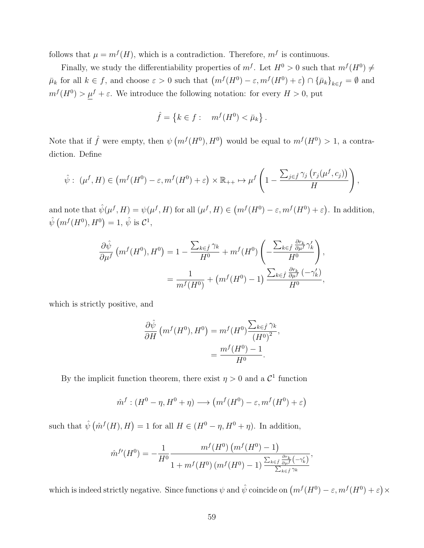follows that  $\mu = m^{f}(H)$ , which is a contradiction. Therefore,  $m^{f}$  is continuous.

Finally, we study the differentiability properties of  $m<sup>f</sup>$ . Let  $H<sup>0</sup> > 0$  such that  $m<sup>f</sup>(H<sup>0</sup>) \neq$  $\bar{\mu}_k$  for all  $k \in f$ , and choose  $\varepsilon > 0$  such that  $\left( m^f(H^0) - \varepsilon, m^f(H^0) + \varepsilon \right) \cap \{\bar{\mu}_k\}_{k \in f} = \emptyset$  and  $m^{f}(H^{0}) > \mu^{f} + \varepsilon$ . We introduce the following notation: for every  $H > 0$ , put

$$
\hat{f} = \{k \in f : m^f(H^0) < \bar{\mu}_k\}.
$$

Note that if  $\hat{f}$  were empty, then  $\psi(m^f(H^0), H^0)$  would be equal to  $m^f(H^0) > 1$ , a contradiction. Define

$$
\hat{\psi}: (\mu^f, H) \in \left( m^f(H^0) - \varepsilon, m^f(H^0) + \varepsilon \right) \times \mathbb{R}_{++} \mapsto \mu^f \left( 1 - \frac{\sum_{j \in \hat{f}} \gamma_j \left( r_j(\mu^f, c_j) \right)}{H} \right),
$$

and note that  $\hat{\psi}(\mu^f, H) = \psi(\mu^f, H)$  for all  $(\mu^f, H) \in (m^f(H^0) - \varepsilon, m^f(H^0) + \varepsilon)$ . In addition,  $\hat{\psi}(m^f(H^0), H^0) = 1, \hat{\psi}$  is  $C^1$ ,

$$
\frac{\partial \hat{\psi}}{\partial \mu^f} \left( m^f(H^0), H^0 \right) = 1 - \frac{\sum_{k \in \hat{f}} \gamma_k}{H^0} + m^f(H^0) \left( -\frac{\sum_{k \in \hat{f}} \frac{\partial r_k}{\partial \mu^f} \gamma'_k}{H^0} \right),
$$

$$
= \frac{1}{m^f(H^0)} + \left( m^f(H^0) - 1 \right) \frac{\sum_{k \in \hat{f}} \frac{\partial r_k}{\partial \mu^f} \left( -\gamma'_k \right)}{H^0},
$$

which is strictly positive, and

$$
\frac{\partial \hat{\psi}}{\partial H} \left( m^f(H^0), H^0 \right) = m^f(H^0) \frac{\sum_{k \in \hat{f}} \gamma_k}{\left(H^0\right)^2},
$$

$$
= \frac{m^f(H^0) - 1}{H^0}.
$$

By the implicit function theorem, there exist  $\eta > 0$  and a  $\mathcal{C}^1$  function

$$
\hat{m}^f : (H^0 - \eta, H^0 + \eta) \longrightarrow (m^f(H^0) - \varepsilon, m^f(H^0) + \varepsilon)
$$

such that  $\hat{\psi}(\hat{m}^f(H), H) = 1$  for all  $H \in (H^0 - \eta, H^0 + \eta)$ . In addition,

$$
\hat{m}^{f'}(H^0) = -\frac{1}{H^0} \frac{m^f(H^0) (m^f(H^0) - 1)}{1 + m^f(H^0) (m^f(H^0) - 1) \frac{\sum_{k \in \hat{f}} \frac{\partial r_k}{\partial \mu^f}(-\gamma_k')}{\sum_{k \in \hat{f}} \gamma_k}},
$$

which is indeed strictly negative. Since functions  $\psi$  and  $\hat{\psi}$  coincide on  $(m^f(H^0) - \varepsilon, m^f(H^0) + \varepsilon) \times$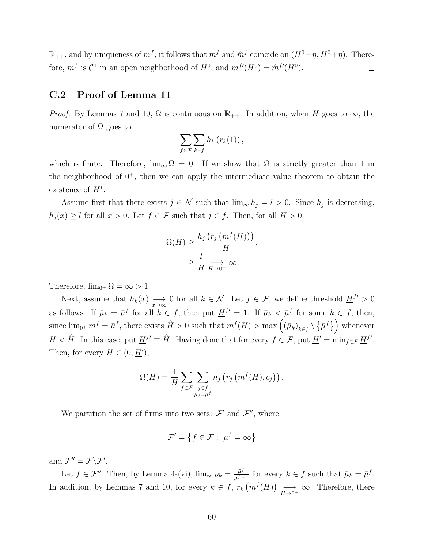$\mathbb{R}_{++}$ , and by uniqueness of  $m<sup>f</sup>$ , it follows that  $m<sup>f</sup>$  and  $\hat{m}<sup>f</sup>$  coincide on  $(H<sup>0</sup> - \eta, H<sup>0</sup> + \eta)$ . Therefore,  $m^f$  is  $\mathcal{C}^1$  in an open neighborhood of  $H^0$ , and  $m^{f'}(H^0) = \hat{m}^{f'}(H^0)$ .  $\Box$ 

#### C.2 Proof of Lemma 11

*Proof.* By Lemmas 7 and 10,  $\Omega$  is continuous on  $\mathbb{R}_{++}$ . In addition, when H goes to  $\infty$ , the numerator of  $\Omega$  goes to

$$
\sum_{f \in \mathcal{F}} \sum_{k \in f} h_k(r_k(1)),
$$

which is finite. Therefore,  $\lim_{\infty} \Omega = 0$ . If we show that  $\Omega$  is strictly greater than 1 in the neighborhood of  $0^+$ , then we can apply the intermediate value theorem to obtain the existence of  $H^*$ .

Assume first that there exists  $j \in \mathcal{N}$  such that  $\lim_{\infty} h_j = l > 0$ . Since  $h_j$  is decreasing,  $h_j(x) \geq l$  for all  $x > 0$ . Let  $f \in \mathcal{F}$  such that  $j \in f$ . Then, for all  $H > 0$ ,

$$
\Omega(H) \ge \frac{h_j\left(r_j\left(m^f(H)\right)\right)}{H},
$$
  

$$
\ge \frac{l}{H} \underset{H \to 0^+}{\longrightarrow} \infty.
$$

Therefore,  $\lim_{0^+} \Omega = \infty > 1$ .

Next, assume that  $h_k(x) \longrightarrow 0$  for all  $k \in \mathcal{N}$ . Let  $f \in \mathcal{F}$ , we define threshold  $\underline{H}^{f'} > 0$ as follows. If  $\bar{\mu}_k = \bar{\mu}^f$  for all  $k \in f$ , then put  $\underline{H}^{f'} = 1$ . If  $\bar{\mu}_k < \bar{\mu}^f$  for some  $k \in f$ , then, since  $\lim_{0^+} m^f = \bar{\mu}^f$ , there exists  $\hat{H} > 0$  such that  $m^f(H) > \max\left( (\bar{\mu}_k)_{k \in f} \setminus \{\bar{\mu}^f\} \right)$  whenever  $H < \hat{H}$ . In this case, put  $\underline{H}^{f'} \equiv \hat{H}$ . Having done that for every  $f \in \mathcal{F}$ , put  $\underline{H}' = \min_{f \in \mathcal{F}} \underline{H}^{f'}$ . Then, for every  $H \in (0, \underline{H}'),$ 

$$
\Omega(H) = \frac{1}{H} \sum_{f \in \mathcal{F}} \sum_{\substack{j \in f \\ \bar{\mu}_j = \bar{\mu}^f}} h_j\left(r_j\left(m^f(H), c_j\right)\right).
$$

We partition the set of firms into two sets:  $\mathcal{F}'$  and  $\mathcal{F}''$ , where

$$
\mathcal{F}' = \left\{ f \in \mathcal{F} : \bar{\mu}^f = \infty \right\}
$$

and  $\mathcal{F}'' = \mathcal{F} \backslash \mathcal{F}'$ .

Let  $f \in \mathcal{F}''$ . Then, by Lemma 4-(vi),  $\lim_{\infty} \rho_k = \frac{\bar{\mu}^f}{\bar{\mu}^f}$  $\frac{\bar{\mu}^J}{\bar{\mu}^f-1}$  for every  $k \in f$  such that  $\bar{\mu}_k = \bar{\mu}^f$ . In addition, by Lemmas 7 and 10, for every  $k \in f$ ,  $r_k(m^f(H)) \longrightarrow_{H \to 0^+} \infty$ . Therefore, there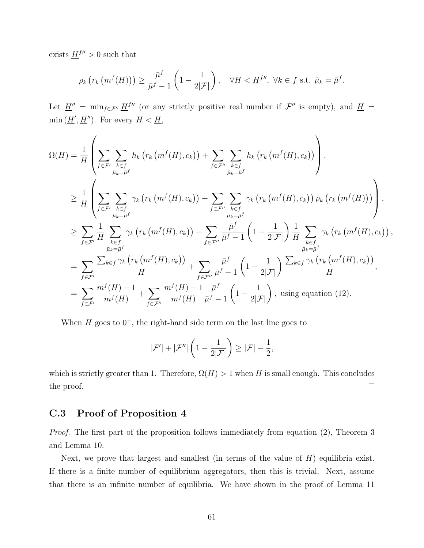exists  $\underline{H}^{f\prime\prime} > 0$  such that

$$
\rho_k\left(r_k\left(m^f(H)\right)\right) \geq \frac{\bar{\mu}^f}{\bar{\mu}^f - 1}\left(1 - \frac{1}{2|\mathcal{F}|}\right), \quad \forall H < \underline{H}^{f\prime\prime}, \ \forall k \in f \text{ s.t. } \bar{\mu}_k = \bar{\mu}^f.
$$

Let  $\underline{H}'' = \min_{f \in \mathcal{F}''} \underline{H}^{fm}$  (or any strictly positive real number if  $\mathcal{F}''$  is empty), and  $\underline{H} =$  $\min(\underline{H}', \underline{H}'')$ . For every  $H < \underline{H}$ ,

$$
\Omega(H) = \frac{1}{H} \left( \sum_{f \in \mathcal{F}'} \sum_{k \in f} h_k \left( r_k \left( m^f(H), c_k \right) \right) + \sum_{f \in \mathcal{F}''} \sum_{k \in f} h_k \left( r_k \left( m^f(H), c_k \right) \right) \right),
$$
\n
$$
\geq \frac{1}{H} \left( \sum_{f \in \mathcal{F}'} \sum_{k \in f} \gamma_k \left( r_k \left( m^f(H), c_k \right) \right) + \sum_{f \in \mathcal{F}''} \sum_{k \in f} \gamma_k \left( r_k \left( m^f(H), c_k \right) \right) \rho_k \left( r_k \left( m^f(H) \right) \right) \right),
$$
\n
$$
\geq \sum_{f \in \mathcal{F}'} \frac{1}{H} \sum_{\substack{k \in f \\ \bar{\mu}_k = \bar{\mu}^f \\ \bar{\mu}_k = \bar{\mu}^f}} \gamma_k \left( r_k \left( m^f(H), c_k \right) \right) + \sum_{f \in \mathcal{F}''} \frac{\bar{\mu}^f}{\bar{\mu}^f - 1} \left( 1 - \frac{1}{2|\mathcal{F}|} \right) \frac{1}{H} \sum_{\substack{k \in f \\ \bar{\mu}_k = \bar{\mu}^f \\ \bar{\mu}_k = \bar{\mu}^f}} \gamma_k \left( r_k \left( m^f(H), c_k \right) \right) + \sum_{f \in \mathcal{F}''} \frac{\bar{\mu}^f}{\bar{\mu}^f - 1} \left( 1 - \frac{1}{2|\mathcal{F}|} \right) \frac{\sum_{k \in f} \gamma_k \left( r_k \left( m^f(H), c_k \right) \right)}{\bar{\mu}_k = \bar{\mu}^f},
$$
\n
$$
= \sum_{f \in \mathcal{F}'} \frac{\sum_{k \in f} \gamma_k \left( r_k \left( m^f(H), c_k \right) \right)}{H} + \sum_{f \in \mathcal{F}''} \frac{\bar{\mu}^f}{\bar{\mu}^f - 1} \left( 1 - \frac{1}{2|\mathcal{F}|} \right) \frac{\sum_{k \in f} \gamma_k \left( r_k \left( m^f(H), c_k \right) \right)}{H},
$$
\n
$$
= \sum_{f \in \mathcal{F}
$$

When  $H$  goes to  $0^+$ , the right-hand side term on the last line goes to

$$
|\mathcal{F}'| + |\mathcal{F}''| \left(1 - \frac{1}{2|\mathcal{F}|}\right) \geq |\mathcal{F}| - \frac{1}{2},
$$

which is strictly greater than 1. Therefore,  $\Omega(H) > 1$  when H is small enough. This concludes  $\Box$ the proof.

## C.3 Proof of Proposition 4

Proof. The first part of the proposition follows immediately from equation (2), Theorem 3 and Lemma 10.

Next, we prove that largest and smallest (in terms of the value of  $H$ ) equilibria exist. If there is a finite number of equilibrium aggregators, then this is trivial. Next, assume that there is an infinite number of equilibria. We have shown in the proof of Lemma 11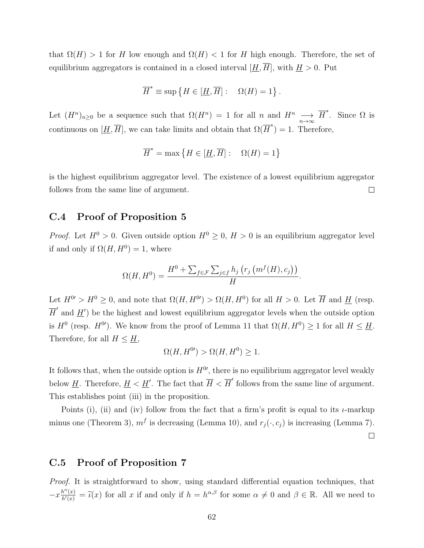that  $\Omega(H) > 1$  for H low enough and  $\Omega(H) < 1$  for H high enough. Therefore, the set of equilibrium aggregators is contained in a closed interval  $[\underline{H}, \overline{H}]$ , with  $\underline{H} > 0$ . Put

$$
\overline{H}^* \equiv \sup \{ H \in [\underline{H}, \overline{H}] : \quad \Omega(H) = 1 \}.
$$

Let  $(H^n)_{n\geq 0}$  be a sequence such that  $\Omega(H^n) = 1$  for all n and  $H^n \longrightarrow \overline{H}^*$ . Since  $\Omega$  is continuous on  $[\underline{H}, \overline{H}]$ , we can take limits and obtain that  $\Omega(\overline{H}^*) = 1$ . Therefore,

$$
\overline{H}^* = \max\left\{H\in[\underline{H},\overline{H}]:\quad \Omega(H)=1\right\}
$$

is the highest equilibrium aggregator level. The existence of a lowest equilibrium aggregator follows from the same line of argument.  $\Box$ 

## C.4 Proof of Proposition 5

*Proof.* Let  $H^0 > 0$ . Given outside option  $H^0 \geq 0$ ,  $H > 0$  is an equilibrium aggregator level if and only if  $\Omega(H, H^0) = 1$ , where

$$
\Omega(H, H^0) = \frac{H^0 + \sum_{f \in \mathcal{F}} \sum_{j \in f} h_j \left( r_j \left( m^f(H), c_j \right) \right)}{H}.
$$

Let  $H^{0'} > H^0 \geq 0$ , and note that  $\Omega(H, H^{0'}) > \Omega(H, H^0)$  for all  $H > 0$ . Let  $\overline{H}$  and  $\underline{H}$  (resp.  $\overline{H}'$  and  $\underline{H}'$  be the highest and lowest equilibrium aggregator levels when the outside option is  $H^0$  (resp.  $H^{0'}$ ). We know from the proof of Lemma 11 that  $\Omega(H, H^0) \ge 1$  for all  $H \le \underline{H}$ . Therefore, for all  $H \leq \underline{H}$ ,

$$
\Omega(H, H^{0}) > \Omega(H, H^{0}) \ge 1.
$$

It follows that, when the outside option is  $H^{0'}$ , there is no equilibrium aggregator level weakly below <u>H</u>. Therefore,  $\underline{H} < \underline{H}'$ . The fact that  $\overline{H} < \overline{H}'$  follows from the same line of argument. This establishes point (iii) in the proposition.

Points (i), (ii) and (iv) follow from the fact that a firm's profit is equal to its  $\iota$ -markup minus one (Theorem 3),  $m<sup>f</sup>$  is decreasing (Lemma 10), and  $r<sub>j</sub>(., c<sub>j</sub>)$  is increasing (Lemma 7).  $\Box$ 

## C.5 Proof of Proposition 7

Proof. It is straightforward to show, using standard differential equation techniques, that  $-x\frac{h''(x)}{h'(x)} = \tilde{\iota}(x)$  for all x if and only if  $h = h^{\alpha,\beta}$  for some  $\alpha \neq 0$  and  $\beta \in \mathbb{R}$ . All we need to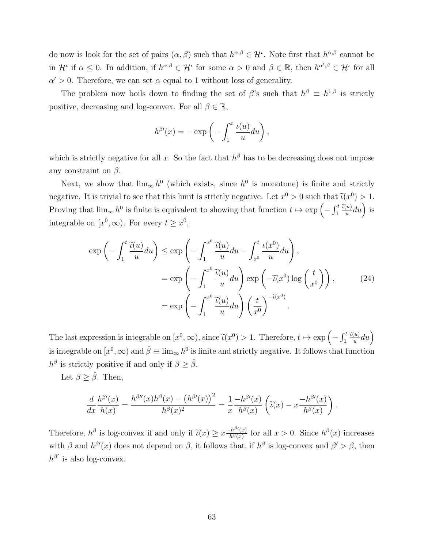do now is look for the set of pairs  $(\alpha, \beta)$  such that  $h^{\alpha, \beta} \in \mathcal{H}^{\iota}$ . Note first that  $h^{\alpha, \beta}$  cannot be in  $\mathcal{H}^{\iota}$  if  $\alpha \leq 0$ . In addition, if  $h^{\alpha,\beta} \in \mathcal{H}^{\iota}$  for some  $\alpha > 0$  and  $\beta \in \mathbb{R}$ , then  $h^{\alpha',\beta} \in \mathcal{H}^{\iota}$  for all  $\alpha' > 0$ . Therefore, we can set  $\alpha$  equal to 1 without loss of generality.

The problem now boils down to finding the set of  $\beta$ 's such that  $h^{\beta} \equiv h^{1,\beta}$  is strictly positive, decreasing and log-convex. For all  $\beta \in \mathbb{R}$ ,

$$
h^{\beta\prime}(x) = -\exp\left(-\int_1^x \frac{\iota(u)}{u} du\right),\,
$$

which is strictly negative for all x. So the fact that  $h^{\beta}$  has to be decreasing does not impose any constraint on  $\beta$ .

Next, we show that  $\lim_{\infty} h^0$  (which exists, since  $h^0$  is monotone) is finite and strictly negative. It is trivial to see that this limit is strictly negative. Let  $x^0 > 0$  such that  $\tilde{\iota}(x^0) > 1$ . Proving that  $\lim_{\infty} h^0$  is finite is equivalent to showing that function  $t \mapsto \exp\left(-\int_1^t \frac{\tilde{u}(u)}{u} du\right)$  is integrable on  $[x^0, \infty)$ . For every  $t \geq x^0$ ,

$$
\exp\left(-\int_{1}^{t} \frac{\widetilde{\iota}(u)}{u} du\right) \leq \exp\left(-\int_{1}^{x^{0}} \frac{\widetilde{\iota}(u)}{u} du - \int_{x^{0}}^{t} \frac{\iota(x^{0})}{u} du\right),
$$
  

$$
= \exp\left(-\int_{1}^{x^{0}} \frac{\widetilde{\iota}(u)}{u} du\right) \exp\left(-\widetilde{\iota}(x^{0}) \log\left(\frac{t}{x^{0}}\right)\right), \tag{24}
$$
  

$$
= \exp\left(-\int_{1}^{x^{0}} \frac{\widetilde{\iota}(u)}{u} du\right) \left(\frac{t}{x^{0}}\right)^{-\widetilde{\iota}(x^{0})}.
$$

The last expression is integrable on  $[x^0, \infty)$ , since  $\tilde{\iota}(x^0) > 1$ . Therefore,  $t \mapsto \exp\left(-\int_1^t \frac{\tilde{\iota}(u)}{u} du\right)$ is integrable on  $[x^0,\infty)$  and  $\hat{\beta} \equiv \lim_{\infty} h^0$  is finite and strictly negative. It follows that function  $h^{\beta}$  is strictly positive if and only if  $\beta \geq \hat{\beta}$ .

Let  $\beta \geq \hat{\beta}$ . Then,

$$
\frac{d}{dx}\frac{h^{\beta\prime}(x)}{h(x)} = \frac{h^{\beta\prime\prime}(x)h^{\beta}(x) - (h^{\beta\prime}(x))^{2}}{h^{\beta}(x)^{2}} = \frac{1}{x}\frac{-h^{\beta\prime}(x)}{h^{\beta}(x)}\left(\tilde{\iota}(x) - x\frac{-h^{\beta\prime}(x)}{h^{\beta}(x)}\right).
$$

Therefore,  $h^{\beta}$  is log-convex if and only if  $\tilde{\iota}(x) \geq x \frac{-h^{\beta}(x)}{h^{\beta}(x)}$  $\frac{h^{\beta}(x)}{h^{\beta}(x)}$  for all  $x > 0$ . Since  $h^{\beta}(x)$  increases with  $\beta$  and  $h^{\beta\prime}(x)$  does not depend on  $\beta$ , it follows that, if  $h^{\beta}$  is log-convex and  $\beta' > \beta$ , then  $h^{\beta'}$  is also log-convex.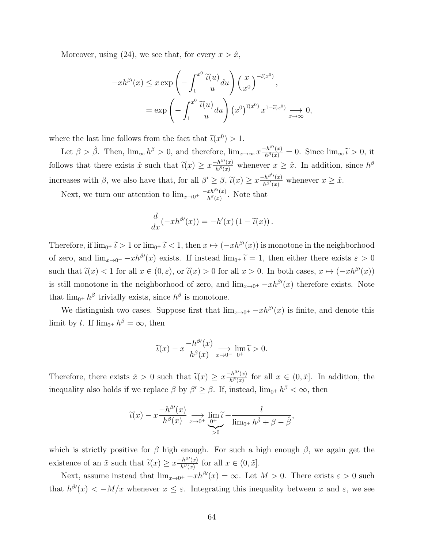Moreover, using (24), we see that, for every  $x > \hat{x}$ ,

$$
-xh^{\beta\prime}(x) \leq x \exp\left(-\int_{1}^{x^{0}} \frac{\widetilde{\iota}(u)}{u} du\right) \left(\frac{x}{x^{0}}\right)^{-\widetilde{\iota}(x^{0})},
$$

$$
= \exp\left(-\int_{1}^{x^{0}} \frac{\widetilde{\iota}(u)}{u} du\right) \left(x^{0}\right)^{\widetilde{\iota}(x^{0})} x^{1-\widetilde{\iota}(x^{0})} \underset{x \to \infty}{\longrightarrow} 0,
$$

where the last line follows from the fact that  $\tilde{\iota}(x^0) > 1$ .

Let  $\beta > \hat{\beta}$ . Then,  $\lim_{\infty} h^{\beta} > 0$ , and therefore,  $\lim_{x \to \infty} x \frac{-h^{\beta}(x)}{h^{\beta}(x)} = 0$ . Since  $\lim_{\infty} \tilde{\iota} > 0$ , it follows that there exists  $\hat{x}$  such that  $\tilde{\iota}(x) \geq x \frac{-h^{\beta}(x)}{h^{\beta}(x)}$  whenever  $x \geq \hat{x}$ . In addition, since  $h^{\beta}$ increases with  $\beta$ , we also have that, for all  $\beta' \geq \beta$ ,  $\tilde{\iota}(x) \geq x \frac{-h^{\beta'}(x)}{h^{\beta'}(x)}$  $\frac{\partial^{\alpha} h^{\beta'}(x)}{h^{\beta'}(x)}$  whenever  $x \geq \hat{x}$ .

Next, we turn our attention to  $\lim_{x\to 0^+} \frac{-xh^{\beta\prime}(x)}{h^{\beta}(x)}$  $\frac{x h^{\beta}(x)}{h^{\beta}(x)}$ . Note that

$$
\frac{d}{dx}(-xh^{\beta\prime}(x)) = -h'(x)\left(1 - \widetilde{\iota}(x)\right).
$$

Therefore, if  $\lim_{0^+} \tilde{\iota} > 1$  or  $\lim_{0^+} \tilde{\iota} < 1$ , then  $x \mapsto (-xh^{\beta\prime}(x))$  is monotone in the neighborhood of zero, and  $\lim_{x\to 0^+} -xh^{\beta\prime}(x)$  exists. If instead  $\lim_{0^+} \tilde{\iota} = 1$ , then either there exists  $\varepsilon > 0$ such that  $\tilde{u}(x) < 1$  for all  $x \in (0, \varepsilon)$ , or  $\tilde{u}(x) > 0$  for all  $x > 0$ . In both cases,  $x \mapsto (-xh^{\beta\prime}(x))$ is still monotone in the neighborhood of zero, and  $\lim_{x\to 0^+} -x h^{\beta\prime}(x)$  therefore exists. Note that  $\lim_{0^+} h^{\beta}$  trivially exists, since  $h^{\beta}$  is monotone.

We distinguish two cases. Suppose first that  $\lim_{x\to 0^+} -xh^{\beta\prime}(x)$  is finite, and denote this limit by *l*. If  $\lim_{0^+} h^{\beta} = \infty$ , then

$$
\widetilde{\iota}(x) - x \frac{-h^{\beta\prime}(x)}{h^{\beta}(x)} \underset{x \to 0^+}{\longrightarrow} \lim_{0^+} \widetilde{\iota} > 0.
$$

Therefore, there exists  $\tilde{x} > 0$  such that  $\tilde{\iota}(x) \geq x \frac{-h^{\beta}(x)}{h^{\beta}(x)}$  $\frac{f h^{\beta\prime}(x)}{h^{\beta}(x)}$  for all  $x \in (0, \tilde{x}]$ . In addition, the inequality also holds if we replace  $\beta$  by  $\beta' \geq \beta$ . If, instead,  $\lim_{0^+} h^{\beta} < \infty$ , then

$$
\widetilde{\iota}(x) - x \frac{-h^{\beta\prime}(x)}{h^{\beta}(x)} \underset{x \to 0^{+}}{\longrightarrow} \underbrace{\lim_{0^{+}} \widetilde{\iota}}_{>0} - \frac{l}{\lim_{0^{+}} h^{\beta} + \beta - \widehat{\beta}},
$$

which is strictly positive for  $\beta$  high enough. For such a high enough  $\beta$ , we again get the existence of an  $\tilde{x}$  such that  $\tilde{\iota}(x) \geq x \frac{-h^{\beta\prime}(x)}{h^{\beta}(x)}$  $\frac{h^{\beta}(x)}{h^{\beta}(x)}$  for all  $x \in (0, \tilde{x}]$ .

Next, assume instead that  $\lim_{x\to 0^+} -xh^{\beta\prime}(x) = \infty$ . Let  $M > 0$ . There exists  $\varepsilon > 0$  such that  $h^{\beta\prime}(x) < -M/x$  whenever  $x \leq \varepsilon$ . Integrating this inequality between x and  $\varepsilon$ , we see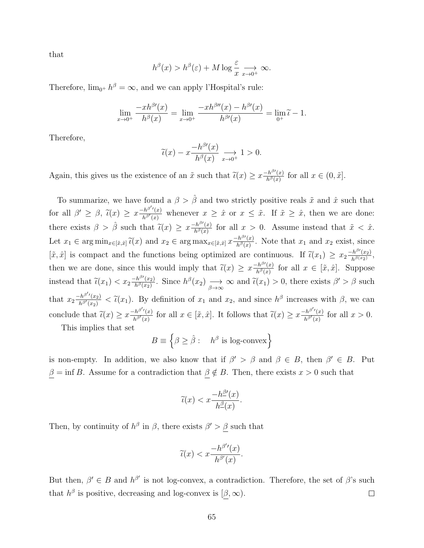that

$$
h^{\beta}(x) > h^{\beta}(\varepsilon) + M \log \frac{\varepsilon}{x} \longrightarrow_{x \to 0^{+}} \infty.
$$

Therefore,  $\lim_{0^+} h^{\beta} = \infty$ , and we can apply l'Hospital's rule:

$$
\lim_{x \to 0^+} \frac{-xh^{\beta\prime}(x)}{h^{\beta}(x)} = \lim_{x \to 0^+} \frac{-xh^{\beta\prime\prime}(x) - h^{\beta\prime}(x)}{h^{\beta\prime}(x)} = \lim_{0^+} \widetilde{\iota} - 1.
$$

Therefore,

$$
\widetilde{\iota}(x) - x \frac{-h^{\beta\prime}(x)}{h^{\beta}(x)} \underset{x \to 0^+}{\longrightarrow} 1 > 0.
$$

Again, this gives us the existence of an  $\tilde{x}$  such that  $\tilde{\iota}(x) \geq x \frac{-h^{\beta\prime}(x)}{h^{\beta}(x)}$  $\frac{h^{\beta}(x)}{h^{\beta}(x)}$  for all  $x \in (0, \tilde{x}]$ .

To summarize, we have found a  $\beta > \hat{\beta}$  and two strictly positive reals  $\tilde{x}$  and  $\hat{x}$  such that for all  $\beta' \geq \beta$ ,  $\tilde{\iota}(x) \geq x \frac{-h^{\beta'}(x)}{h^{\beta'}(x)}$  $\frac{h^{\beta'}(x)}{h^{\beta'}(x)}$  whenever  $x \geq \hat{x}$  or  $x \leq \tilde{x}$ . If  $\tilde{x} \geq \hat{x}$ , then we are done: there exists  $\beta > \hat{\beta}$  such that  $\tilde{\iota}(x) \geq x \frac{-h^{\beta\prime}(x)}{h^{\beta}(x)}$  $\frac{f h^{\alpha}(x)}{h^{\beta}(x)}$  for all  $x > 0$ . Assume instead that  $\tilde{x} < \hat{x}$ . Let  $x_1 \in \arg \min_{x \in [\tilde{x}, \hat{x}]} \tilde{u}(x)$  and  $x_2 \in \arg \max_{x \in [\tilde{x}, \hat{x}]} x \frac{-h^{\beta\prime}(x)}{h^{\beta}(x)}$  $\frac{h^{\beta}(x)}{h^{\beta}(x)}$ . Note that  $x_1$  and  $x_2$  exist, since  $[\tilde{x}, \hat{x}]$  is compact and the functions being optimized are continuous. If  $\tilde{\iota}(x_1) \geq x_2 \frac{-h^{\beta}(x_2)}{h^{\beta(x_2)}}$  $\frac{h^{\beta'}(x_2)}{h^{\beta(x_2)}},$ then we are done, since this would imply that  $\tilde{\iota}(x) \geq x \frac{-h^{\beta\prime}(x)}{h^{\beta}(x)}$  $\frac{f^{h^{\rho}}(x)}{h^{\beta}(x)}$  for all  $x \in [\tilde{x}, \hat{x}]$ . Suppose instead that  $\tilde{\iota}(x_1) < x_2 \frac{-h^{\beta\prime}(x_2)}{h^{\beta}(x_2)}$  $\frac{h^{\beta}(x_2)}{h^{\beta}(x_2)}$ . Since  $h^{\beta}(x_2) \longrightarrow_{\beta \to \infty} \infty$  and  $\tilde{\iota}(x_1) > 0$ , there exists  $\beta' > \beta$  such that  $x_2 \frac{-h^{\beta'}(x_2)}{h^{\beta'}(x_2)}$  $\frac{h^{\beta'}(x_2)}{h^{\beta'}(x_2)} < \tilde{\iota}(x_1)$ . By definition of  $x_1$  and  $x_2$ , and since  $h^{\beta}$  increases with  $\beta$ , we can conclude that  $\widetilde{\iota}(x) \geq x \frac{-h^{\beta'}(x)}{h^{\beta'}(x)}$  $\frac{h^{\beta'}(x)}{h^{\beta'}(x)}$  for all  $x \in [\tilde{x}, \hat{x}]$ . It follows that  $\tilde{\iota}(x) \geq x \frac{-h^{\beta'}(x)}{h^{\beta'}(x)}$  $\frac{f^{h^{\alpha}}(x)}{h^{\beta}(x)}$  for all  $x > 0$ .

This implies that set

$$
B \equiv \left\{ \beta \ge \hat{\beta} : \quad h^{\beta} \text{ is log-convex} \right\}
$$

is non-empty. In addition, we also know that if  $\beta' > \beta$  and  $\beta \in B$ , then  $\beta' \in B$ . Put  $\beta = \inf B$ . Assume for a contradiction that  $\beta \notin B$ . Then, there exists  $x > 0$  such that

$$
\widetilde{\iota}(x) < x \frac{-h^{\underline{\beta}'}(x)}{h^{\underline{\beta}}(x)}.
$$

Then, by continuity of  $h^{\beta}$  in  $\beta$ , there exists  $\beta' > \beta$  such that

$$
\widetilde{\iota}(x) < x \frac{-h^{\beta'}(x)}{h^{\beta'}(x)}.
$$

But then,  $\beta' \in B$  and  $h^{\beta'}$  is not log-convex, a contradiction. Therefore, the set of  $\beta$ 's such that  $h^{\beta}$  is positive, decreasing and log-convex is  $(\beta, \infty)$ .  $\Box$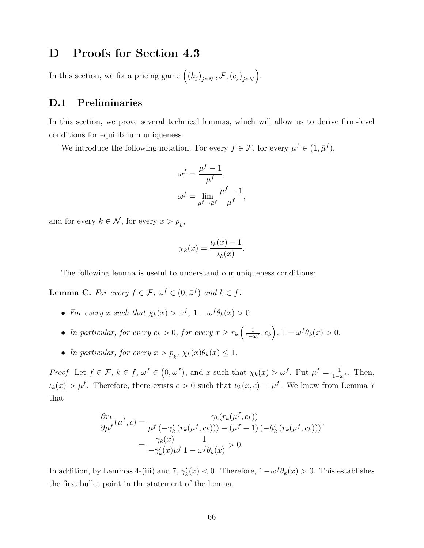## D Proofs for Section 4.3

In this section, we fix a pricing game  $((h_j)_{j \in \mathcal{N}}, \mathcal{F}, (c_j)_{j \in \mathcal{N}})$ .

## D.1 Preliminaries

In this section, we prove several technical lemmas, which will allow us to derive firm-level conditions for equilibrium uniqueness.

We introduce the following notation. For every  $f \in \mathcal{F}$ , for every  $\mu^f \in (1, \bar{\mu}^f)$ ,

$$
\omega^f = \frac{\mu^f - 1}{\mu^f},
$$
  

$$
\bar{\omega}^f = \lim_{\mu^f \to \bar{\mu}^f} \frac{\mu^f - 1}{\mu^f},
$$

and for every  $k \in \mathcal{N}$ , for every  $x > \underline{p}_k$ ,

$$
\chi_k(x) = \frac{\iota_k(x) - 1}{\iota_k(x)}.
$$

The following lemma is useful to understand our uniqueness conditions:

**Lemma C.** For every  $f \in \mathcal{F}$ ,  $\omega^f \in (0, \bar{\omega}^f)$  and  $k \in f$ :

- For every x such that  $\chi_k(x) > \omega^f$ ,  $1 \omega^f \theta_k(x) > 0$ .
- In particular, for every  $c_k > 0$ , for every  $x \geq r_k \left( \frac{1}{1 c_k} \right)$  $\frac{1}{1-\omega^f}, c_k\bigg), 1-\omega^f\theta_k(x) > 0.$
- In particular, for every  $x > p_k$ ,  $\chi_k(x)\theta_k(x) \leq 1$ .

Proof. Let  $f \in \mathcal{F}$ ,  $k \in f$ ,  $\omega^f \in (0, \bar{\omega}^f)$ , and x such that  $\chi_k(x) > \omega^f$ . Put  $\mu^f = \frac{1}{1-\epsilon}$  $\frac{1}{1-\omega^f}$ . Then,  $u_k(x) > \mu^f$ . Therefore, there exists  $c > 0$  such that  $\nu_k(x, c) = \mu^f$ . We know from Lemma 7 that

$$
\frac{\partial r_k}{\partial \mu^f}(\mu^f, c) = \frac{\gamma_k(r_k(\mu^f, c_k))}{\mu^f(-\gamma_k'(r_k(\mu^f, c_k))) - (\mu^f - 1)(-h_k'(r_k(\mu^f, c_k)))},
$$

$$
= \frac{\gamma_k(x)}{-\gamma_k'(x)\mu^f} \frac{1}{1 - \omega^f \theta_k(x)} > 0.
$$

In addition, by Lemmas 4-(iii) and 7,  $\gamma'_k(x) < 0$ . Therefore,  $1 - \omega^f \theta_k(x) > 0$ . This establishes the first bullet point in the statement of the lemma.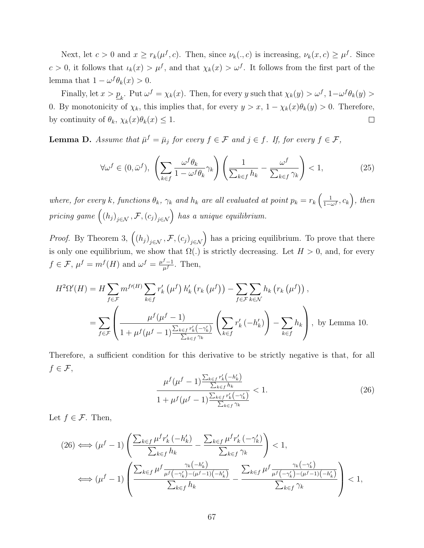Next, let  $c > 0$  and  $x \geq r_k(\mu^f, c)$ . Then, since  $\nu_k(., c)$  is increasing,  $\nu_k(x, c) \geq \mu^f$ . Since  $c > 0$ , it follows that  $\iota_k(x) > \mu^f$ , and that  $\chi_k(x) > \omega^f$ . It follows from the first part of the lemma that  $1 - \omega^f \theta_k(x) > 0$ .

Finally, let  $x > p_k$ . Put  $\omega^f = \chi_k(x)$ . Then, for every y such that  $\chi_k(y) > \omega^f$ ,  $1-\omega^f \theta_k(y) >$ 0. By monotonicity of  $\chi_k$ , this implies that, for every  $y > x$ ,  $1 - \chi_k(x)\theta_k(y) > 0$ . Therefore, by continuity of  $\theta_k$ ,  $\chi_k(x)\theta_k(x) \leq 1$ .  $\Box$ 

**Lemma D.** Assume that  $\bar{\mu}^f = \bar{\mu}_j$  for every  $f \in \mathcal{F}$  and  $j \in f$ . If, for every  $f \in \mathcal{F}$ ,

$$
\forall \omega^f \in (0, \bar{\omega}^f), \ \left(\sum_{k \in f} \frac{\omega^f \theta_k}{1 - \omega^f \theta_k} \gamma_k\right) \left(\frac{1}{\sum_{k \in f} h_k} - \frac{\omega^f}{\sum_{k \in f} \gamma_k}\right) < 1,\tag{25}
$$

where, for every k, functions  $\theta_k$ ,  $\gamma_k$  and  $h_k$  are all evaluated at point  $p_k = r_k \left( \frac{1}{1 - \epsilon_k} \right)$  $\frac{1}{1-\omega^f},c_k\bigg),\ then$ pricing game  $((h_j)_{j \in \mathcal{N}}, \mathcal{F}, (c_j)_{j \in \mathcal{N}})$  has a unique equilibrium.

*Proof.* By Theorem 3,  $((h_j)_{j \in \mathcal{N}}, \mathcal{F}, (c_j)_{j \in \mathcal{N}})$  has a pricing equilibrium. To prove that there is only one equilibrium, we show that  $\Omega(.)$  is strictly decreasing. Let  $H > 0$ , and, for every  $f \in \mathcal{F}, \mu^f = m^f(H)$  and  $\omega^f = \frac{\mu^f - 1}{\mu^f}$  $\frac{J-1}{\mu^f}$ . Then,

$$
H^{2}\Omega'(H) = H \sum_{f \in \mathcal{F}} m^{f\prime(H)} \sum_{k \in f} r'_{k} (\mu^{f}) h'_{k} (r_{k} (\mu^{f})) - \sum_{f \in \mathcal{F}} \sum_{k \in \mathcal{N}} h_{k} (r_{k} (\mu^{f})),
$$
  

$$
= \sum_{f \in \mathcal{F}} \left( \frac{\mu^{f} (\mu^{f} - 1)}{1 + \mu^{f} (\mu^{f} - 1) \frac{\sum_{k \in f} r'_{k} (-\gamma'_{k})}{\sum_{k \in f} \gamma_{k}}} \left( \sum_{k \in f} r'_{k} (-h'_{k}) \right) - \sum_{k \in f} h_{k} \right), \text{ by Lemma 10.}
$$

Therefore, a sufficient condition for this derivative to be strictly negative is that, for all  $f \in \mathcal{F},$ 

$$
\frac{\mu^f(\mu^f - 1) \frac{\sum_{k \in f} r'_k(-h'_k)}{\sum_{k \in f} h_k}}{1 + \mu^f(\mu^f - 1) \frac{\sum_{k \in f} r'_k(-\gamma'_k)}{\sum_{k \in f} \gamma_k}} < 1. \tag{26}
$$

Let  $f \in \mathcal{F}$ . Then,

$$
(26) \iff (\mu^f - 1) \left( \frac{\sum_{k \in f} \mu^f r'_k \left( -h'_k \right)}{\sum_{k \in f} h_k} - \frac{\sum_{k \in f} \mu^f r'_k \left( -\gamma'_k \right)}{\sum_{k \in f} \gamma_k} \right) < 1,
$$
\n
$$
\iff (\mu^f - 1) \left( \frac{\sum_{k \in f} \mu^f \frac{\gamma_k \left( -h'_k \right)}{\mu^f \left( -\gamma'_k \right) - (\mu^f - 1) \left( -h'_k \right)}}{\sum_{k \in f} h_k} - \frac{\sum_{k \in f} \mu^f \frac{\gamma_k \left( -\gamma'_k \right)}{\mu^f \left( -\gamma'_k \right) - (\mu^f - 1) \left( -h'_k \right)}}{\sum_{k \in f} \gamma_k} \right) < 1,
$$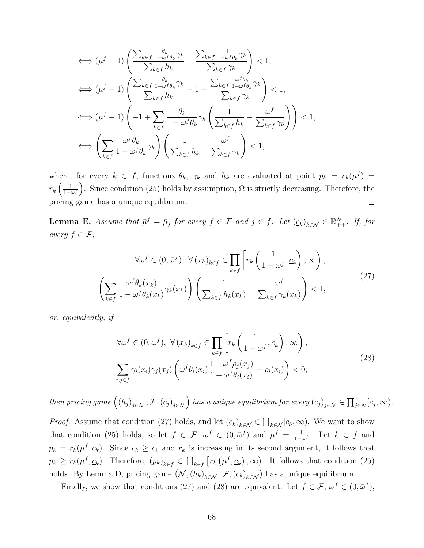$$
\iff (\mu^f - 1) \left( \frac{\sum_{k \in f} \frac{\theta_k}{1 - \omega^f \theta_k} \gamma_k}{\sum_{k \in f} h_k} - \frac{\sum_{k \in f} \frac{1}{1 - \omega^f \theta_k} \gamma_k}{\sum_{k \in f} \gamma_k} \right) < 1,
$$
\n
$$
\iff (\mu^f - 1) \left( \frac{\sum_{k \in f} \frac{\theta_k}{1 - \omega^f \theta_k} \gamma_k}{\sum_{k \in f} h_k} - 1 - \frac{\sum_{k \in f} \frac{\omega^f \theta_k}{1 - \omega^f \theta_k} \gamma_k}{\sum_{k \in f} \gamma_k} \right) < 1,
$$
\n
$$
\iff (\mu^f - 1) \left( -1 + \sum_{k \in f} \frac{\theta_k}{1 - \omega^f \theta_k} \gamma_k \left( \frac{1}{\sum_{k \in f} h_k} - \frac{\omega^f}{\sum_{k \in f} \gamma_k} \right) \right) < 1,
$$
\n
$$
\iff \left( \sum_{k \in f} \frac{\omega^f \theta_k}{1 - \omega^f \theta_k} \gamma_k \right) \left( \frac{1}{\sum_{k \in f} h_k} - \frac{\omega^f}{\sum_{k \in f} \gamma_k} \right) < 1,
$$

where, for every  $k \in f$ , functions  $\theta_k$ ,  $\gamma_k$  and  $h_k$  are evaluated at point  $p_k = r_k(\mu^f)$  $r_k\left(\frac{1}{1-t}\right)$  $\frac{1}{1-\omega f}$ . Since condition (25) holds by assumption,  $\Omega$  is strictly decreasing. Therefore, the pricing game has a unique equilibrium.  $\Box$ 

**Lemma E.** Assume that  $\bar{\mu}^f = \bar{\mu}_j$  for every  $f \in \mathcal{F}$  and  $j \in f$ . Let  $(\underline{c}_k)_{k \in \mathcal{N}} \in \mathbb{R}_{++}^{\mathcal{N}}$ . If, for every  $f \in \mathcal{F}$ ,

$$
\forall \omega^f \in (0, \bar{\omega}^f), \ \forall (x_k)_{k \in f} \in \prod_{k \in f} \left[ r_k \left( \frac{1}{1 - \omega^f}, \underline{c}_k \right), \infty \right),
$$

$$
\left( \sum_{k \in f} \frac{\omega^f \theta_k(x_k)}{1 - \omega^f \theta_k(x_k)} \gamma_k(x_k) \right) \left( \frac{1}{\sum_{k \in f} h_k(x_k)} - \frac{\omega^f}{\sum_{k \in f} \gamma_k(x_k)} \right) < 1,
$$
\n(27)

or, equivalently, if

$$
\forall \omega^f \in (0, \bar{\omega}^f), \ \forall (x_k)_{k \in f} \in \prod_{k \in f} \left[ r_k \left( \frac{1}{1 - \omega^f}, \underline{c}_k \right), \infty \right),
$$
  

$$
\sum_{i,j \in f} \gamma_i(x_i) \gamma_j(x_j) \left( \omega^f \theta_i(x_i) \frac{1 - \omega^f \rho_j(x_j)}{1 - \omega^f \theta_i(x_i)} - \rho_i(x_i) \right) < 0,
$$
 (28)

then pricing game  $((h_j)_{j\in\mathcal{N}}, \mathcal{F}, (c_j)_{j\in\mathcal{N}})$  has a unique equilibrium for every  $(c_j)_{j\in\mathcal{N}}\in\prod_{j\in\mathcal{N}}[\underline{c}_j,\infty)$ .

*Proof.* Assume that condition (27) holds, and let  $(c_k)_{k \in \mathcal{N}} \in \prod_{k \in \mathcal{N}} \underline{(c_k, \infty)}$ . We want to show that condition (25) holds, so let  $f \in \mathcal{F}$ ,  $\omega^f \in (0, \bar{\omega}^f)$  and  $\mu^f = \frac{1}{1-\bar{\omega}^f}$  $\frac{1}{1-\omega^f}$ . Let  $k \in f$  and  $p_k = r_k(\mu^f, c_k)$ . Since  $c_k \geq c_k$  and  $r_k$  is increasing in its second argument, it follows that  $p_k \geq r_k(\mu^f, \underline{c}_k)$ . Therefore,  $(p_k)_{k \in f} \in \prod_{k \in f} [r_k(\mu^f, \underline{c}_k), \infty)$ . It follows that condition (25) holds. By Lemma D, pricing game  $(\mathcal{N}, (h_k)_{k \in \mathcal{N}}, \mathcal{F}, (c_k)_{k \in \mathcal{N}})$  has a unique equilibrium.

Finally, we show that conditions (27) and (28) are equivalent. Let  $f \in \mathcal{F}$ ,  $\omega^f \in (0, \bar{\omega}^f)$ ,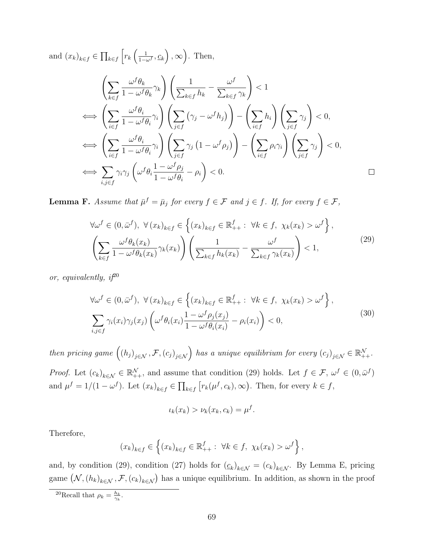and  $(x_k)_{k \in f} \in \prod_{k \in f} \left[ r_k \left( \frac{1}{1 - \alpha_k} \right) \right]$  $\frac{1}{1-\omega^f}, \underline{c}_k\bigg), \infty$ . Then,

$$
\left(\sum_{k\in f} \frac{\omega^f \theta_k}{1 - \omega^f \theta_k} \gamma_k\right) \left(\frac{1}{\sum_{k\in f} h_k} - \frac{\omega^f}{\sum_{k\in f} \gamma_k}\right) < 1
$$
\n
$$
\iff \left(\sum_{i\in f} \frac{\omega^f \theta_i}{1 - \omega^f \theta_i} \gamma_i\right) \left(\sum_{j\in f} (\gamma_j - \omega^f h_j)\right) - \left(\sum_{i\in f} h_i\right) \left(\sum_{j\in f} \gamma_j\right) < 0,
$$
\n
$$
\iff \left(\sum_{i\in f} \frac{\omega^f \theta_i}{1 - \omega^f \theta_i} \gamma_i\right) \left(\sum_{j\in f} \gamma_j \left(1 - \omega^f \rho_j\right)\right) - \left(\sum_{i\in f} \rho_i \gamma_i\right) \left(\sum_{j\in f} \gamma_j\right) < 0,
$$
\n
$$
\iff \sum_{i,j\in f} \gamma_i \gamma_j \left(\omega^f \theta_i \frac{1 - \omega^f \rho_j}{1 - \omega^f \theta_i} - \rho_i\right) < 0.
$$

**Lemma F.** Assume that  $\bar{\mu}^f = \bar{\mu}_j$  for every  $f \in \mathcal{F}$  and  $j \in f$ . If, for every  $f \in \mathcal{F}$ ,

$$
\forall \omega^f \in (0, \bar{\omega}^f), \ \forall (x_k)_{k \in f} \in \left\{ (x_k)_{k \in f} \in \mathbb{R}^f_{++} : \ \forall k \in f, \ \chi_k(x_k) > \omega^f \right\},\
$$

$$
\left( \sum_{k \in f} \frac{\omega^f \theta_k(x_k)}{1 - \omega^f \theta_k(x_k)} \gamma_k(x_k) \right) \left( \frac{1}{\sum_{k \in f} h_k(x_k)} - \frac{\omega^f}{\sum_{k \in f} \gamma_k(x_k)} \right) < 1,
$$

$$
(29)
$$

or, equivalently,  $i^{20}$ 

$$
\forall \omega^f \in (0, \bar{\omega}^f), \ \forall (x_k)_{k \in f} \in \left\{ (x_k)_{k \in f} \in \mathbb{R}^f_{++} : \ \forall k \in f, \ \chi_k(x_k) > \omega^f \right\},\
$$

$$
\sum_{i,j \in f} \gamma_i(x_i) \gamma_j(x_j) \left( \omega^f \theta_i(x_i) \frac{1 - \omega^f \rho_j(x_j)}{1 - \omega^f \theta_i(x_i)} - \rho_i(x_i) \right) < 0,
$$

$$
(30)
$$

then pricing game  $((h_j)_{j \in \mathcal{N}}, \mathcal{F}, (c_j)_{j \in \mathcal{N}})$  has a unique equilibrium for every  $(c_j)_{j \in \mathcal{N}} \in \mathbb{R}_{++}^{\mathcal{N}}$ . *Proof.* Let  $(c_k)_{k \in \mathcal{N}} \in \mathbb{R}^{\mathcal{N}}_{++}$ , and assume that condition (29) holds. Let  $f \in \mathcal{F}$ ,  $\omega^f \in (0, \bar{\omega}^f)$ and  $\mu^f = 1/(1 - \omega^f)$ . Let  $(x_k)_{k \in f} \in \prod_{k \in f} [r_k(\mu^f, c_k), \infty)$ . Then, for every  $k \in f$ ,

$$
\iota_k(x_k) > \nu_k(x_k, c_k) = \mu^f.
$$

Therefore,

$$
(x_k)_{k \in f} \in \left\{ (x_k)_{k \in f} \in \mathbb{R}^f_{++} : \ \forall k \in f, \ \chi_k(x_k) > \omega^f \right\},\
$$

and, by condition (29), condition (27) holds for  $(\underline{c}_k)_{k \in \mathcal{N}} = (c_k)_{k \in \mathcal{N}}$ . By Lemma E, pricing game  $(N,(h_k)_{k\in\mathcal{N}},\mathcal{F},(c_k)_{k\in\mathcal{N}})$  has a unique equilibrium. In addition, as shown in the proof

<sup>&</sup>lt;sup>20</sup>Recall that  $\rho_k = \frac{h_k}{\gamma_k}$ .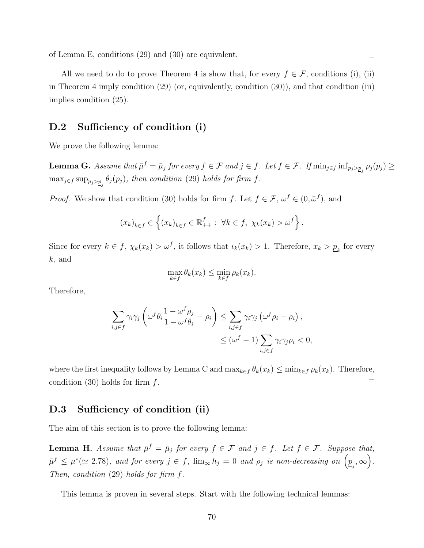of Lemma E, conditions (29) and (30) are equivalent.

All we need to do to prove Theorem 4 is show that, for every  $f \in \mathcal{F}$ , conditions (i), (ii) in Theorem 4 imply condition (29) (or, equivalently, condition (30)), and that condition (iii) implies condition (25).

## D.2 Sufficiency of condition (i)

We prove the following lemma:

**Lemma G.** Assume that  $\bar{\mu}^f = \bar{\mu}_j$  for every  $f \in \mathcal{F}$  and  $j \in f$ . Let  $f \in \mathcal{F}$ . If  $\min_{j \in f} \inf_{p_j > p_j} \rho_j(p_j) \ge$  $\max_{j \in f} \sup_{p_j > p_j} \theta_j(p_j)$ , then condition (29) holds for firm f.

*Proof.* We show that condition (30) holds for firm f. Let  $f \in \mathcal{F}$ ,  $\omega^f \in (0, \bar{\omega}^f)$ , and

$$
(x_k)_{k \in f} \in \left\{ (x_k)_{k \in f} \in \mathbb{R}^f_{++} : \ \forall k \in f, \ \chi_k(x_k) > \omega^f \right\}.
$$

Since for every  $k \in f$ ,  $\chi_k(x_k) > \omega^f$ , it follows that  $\iota_k(x_k) > 1$ . Therefore,  $x_k > \underline{p}_k$  for every k, and

$$
\max_{k \in f} \theta_k(x_k) \le \min_{k \in f} \rho_k(x_k).
$$

Therefore,

$$
\sum_{i,j \in f} \gamma_i \gamma_j \left( \omega^f \theta_i \frac{1 - \omega^f \rho_j}{1 - \omega^f \theta_i} - \rho_i \right) \le \sum_{i,j \in f} \gamma_i \gamma_j \left( \omega^f \rho_i - \rho_i \right),
$$
  

$$
\le (\omega^f - 1) \sum_{i,j \in f} \gamma_i \gamma_j \rho_i < 0,
$$

where the first inequality follows by Lemma C and  $\max_{k \in f} \theta_k(x_k) \le \min_{k \in f} \rho_k(x_k)$ . Therefore, condition  $(30)$  holds for firm f.  $\Box$ 

### D.3 Sufficiency of condition (ii)

The aim of this section is to prove the following lemma:

**Lemma H.** Assume that  $\bar{\mu}^f = \bar{\mu}_j$  for every  $f \in \mathcal{F}$  and  $j \in f$ . Let  $f \in \mathcal{F}$ . Suppose that,  $\bar{\mu}^f \leq \mu^*(\simeq 2.78)$ , and for every  $j \in f$ ,  $\lim_{\infty} h_j = 0$  and  $\rho_j$  is non-decreasing on  $\left(\underline{p}_j, \infty\right)$ . Then, condition  $(29)$  holds for firm f.

This lemma is proven in several steps. Start with the following technical lemmas: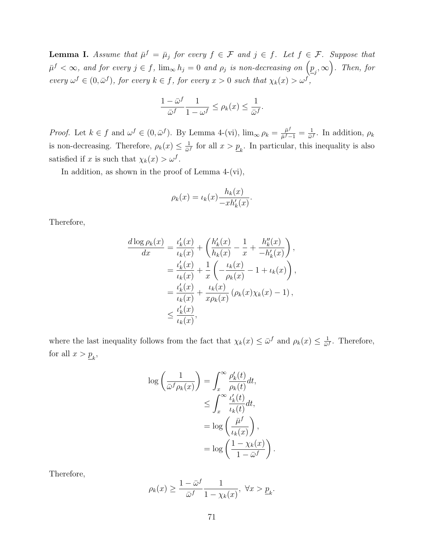**Lemma I.** Assume that  $\bar{\mu}^f = \bar{\mu}_j$  for every  $f \in \mathcal{F}$  and  $j \in f$ . Let  $f \in \mathcal{F}$ . Suppose that  $\bar{\mu}^f < \infty$ , and for every  $j \in f$ ,  $\lim_{\infty} h_j = 0$  and  $\rho_j$  is non-decreasing on  $\left(\underline{p}_j, \infty\right)$ . Then, for every  $\omega^f \in (0, \bar{\omega}^f)$ , for every  $k \in f$ , for every  $x > 0$  such that  $\chi_k(x) > \omega^f$ ,

$$
\frac{1-\bar{\omega}^f}{\bar{\omega}^f}\frac{1}{1-\omega^f} \le \rho_k(x) \le \frac{1}{\bar{\omega}^f}.
$$

*Proof.* Let  $k \in f$  and  $\omega^f \in (0, \bar{\omega}^f)$ . By Lemma 4-(vi),  $\lim_{\infty} \rho_k = \frac{\bar{\mu}^f}{\bar{\mu}^f}$  $\frac{\bar{\mu}^f}{\bar{\mu}^f-1}=\frac{1}{\bar{\omega}}$  $\frac{1}{\bar{\omega}^f}$ . In addition,  $\rho_k$ is non-decreasing. Therefore,  $\rho_k(x) \leq \frac{1}{\omega_k}$  $\frac{1}{\tilde{\omega}^f}$  for all  $x > \underline{p}_k$ . In particular, this inequality is also satisfied if x is such that  $\chi_k(x) > \omega^f$ .

In addition, as shown in the proof of Lemma 4-(vi),

$$
\rho_k(x) = \iota_k(x) \frac{h_k(x)}{-xh'_k(x)}.
$$

Therefore,

$$
\frac{d \log \rho_k(x)}{dx} = \frac{\iota'_k(x)}{\iota_k(x)} + \left(\frac{h'_k(x)}{h_k(x)} - \frac{1}{x} + \frac{h''_k(x)}{-h'_k(x)}\right),
$$
  

$$
= \frac{\iota'_k(x)}{\iota_k(x)} + \frac{1}{x} \left(-\frac{\iota_k(x)}{\rho_k(x)} - 1 + \iota_k(x)\right),
$$
  

$$
= \frac{\iota'_k(x)}{\iota_k(x)} + \frac{\iota_k(x)}{x\rho_k(x)} (\rho_k(x)\chi_k(x) - 1),
$$
  

$$
\leq \frac{\iota'_k(x)}{\iota_k(x)},
$$

where the last inequality follows from the fact that  $\chi_k(x) \leq \bar{\omega}^f$  and  $\rho_k(x) \leq \frac{1}{\bar{\omega}^f}$  $\frac{1}{\bar{\omega}^f}$ . Therefore, for all  $x > p_k$ ,

$$
\log\left(\frac{1}{\bar{\omega}^f \rho_k(x)}\right) = \int_x^\infty \frac{\rho'_k(t)}{\rho_k(t)} dt,
$$
  
\n
$$
\leq \int_x^\infty \frac{\iota'_k(t)}{\iota_k(t)} dt,
$$
  
\n
$$
= \log\left(\frac{\bar{\mu}^f}{\iota_k(x)}\right),
$$
  
\n
$$
= \log\left(\frac{1 - \chi_k(x)}{1 - \bar{\omega}^f}\right).
$$

Therefore,

$$
\rho_k(x) \ge \frac{1 - \bar{\omega}^f}{\bar{\omega}^f} \frac{1}{1 - \chi_k(x)}, \ \forall x > \underline{p}_k.
$$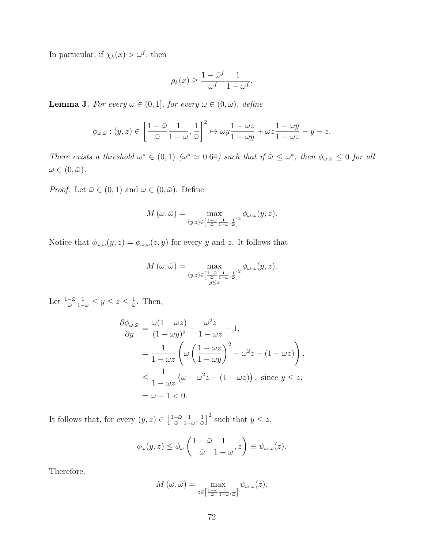In particular, if  $\chi_k(x) > \omega^f$ , then

$$
\rho_k(x) \ge \frac{1 - \bar{\omega}^f}{\bar{\omega}^f} \frac{1}{1 - \omega^f}.
$$

**Lemma J.** For every  $\bar{\omega} \in (0, 1]$ , for every  $\omega \in (0, \bar{\omega})$ , define

$$
\phi_{\omega,\bar{\omega}} : (y,z) \in \left[\frac{1-\bar{\omega}}{\bar{\omega}}\frac{1}{1-\omega},\frac{1}{\bar{\omega}}\right]^2 \mapsto \omega y \frac{1-\omega z}{1-\omega y} + \omega z \frac{1-\omega y}{1-\omega z} - y - z.
$$

There exists a threshold  $\omega^* \in (0,1)$  ( $\omega^* \simeq 0.64$ ) such that if  $\bar{\omega} \leq \omega^*$ , then  $\phi_{\omega,\bar{\omega}} \leq 0$  for all  $\omega \in (0, \bar{\omega}).$ 

*Proof.* Let  $\bar{\omega} \in (0, 1)$  and  $\omega \in (0, \bar{\omega})$ . Define

$$
M(\omega,\bar{\omega}) = \max_{(y,z)\in \left[\frac{1-\bar{\omega}}{\bar{\omega}}\frac{1}{1-\omega},\frac{1}{\bar{\omega}}\right]^2} \phi_{\omega,\bar{\omega}}(y,z).
$$

Notice that  $\phi_{\omega,\bar{\omega}}(y,z) = \phi_{\omega,\bar{\omega}}(z,y)$  for every y and z. It follows that

$$
M(\omega, \bar{\omega}) = \max_{(y,z)\in \left[\frac{1-\bar{\omega}}{\bar{\omega}}\frac{1}{1-\omega}, \frac{1}{\bar{\omega}}\right]^2} \phi_{\omega, \bar{\omega}}(y, z).
$$

Let  $\frac{1-\bar{\omega}}{\bar{\omega}}$  $\frac{1}{1-\omega} \leq y \leq z \leq \frac{1}{\bar{\omega}}$  $\frac{1}{\bar{\omega}}$ . Then,

$$
\frac{\partial \phi_{\omega,\bar{\omega}}}{\partial y} = \frac{\omega(1 - \omega z)}{(1 - \omega y)^2} - \frac{\omega^2 z}{1 - \omega z} - 1,
$$
  
= 
$$
\frac{1}{1 - \omega z} \left( \omega \left( \frac{1 - \omega z}{1 - \omega y} \right)^2 - \omega^2 z - (1 - \omega z) \right),
$$
  

$$
\leq \frac{1}{1 - \omega z} \left( \omega - \omega^2 z - (1 - \omega z) \right), \text{ since } y \leq z,
$$
  
= 
$$
\omega - 1 < 0.
$$

It follows that, for every  $(y, z) \in \left[\frac{1-\bar{\omega}}{\bar{\omega}}\right]$  $\bar{\omega}$ 1  $\frac{1}{1-\omega},\frac{1}{\bar{\omega}}$  $\frac{1}{\overline{\omega}}$  auch that  $y \leq z$ ,

$$
\phi_{\omega}(y,z) \leq \phi_{\omega}\left(\frac{1-\bar{\omega}}{\bar{\omega}}\frac{1}{1-\omega},z\right) \equiv \psi_{\omega,\bar{\omega}}(z).
$$

Therefore,

$$
M(\omega,\bar{\omega}) = \max_{z \in \left[\frac{1-\bar{\omega}}{\bar{\omega}}\frac{1}{1-\omega},\frac{1}{\bar{\omega}}\right]} \psi_{\omega,\bar{\omega}}(z).
$$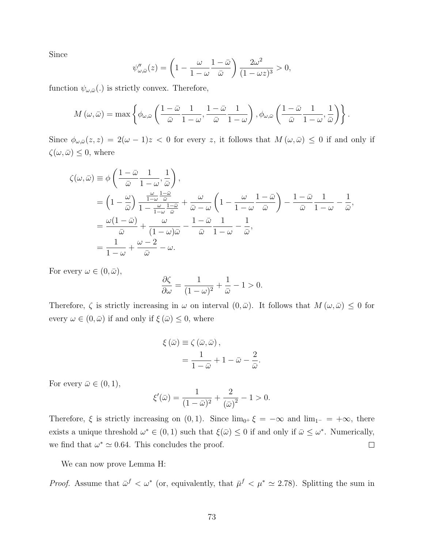Since

$$
\psi''_{\omega,\bar{\omega}}(z) = \left(1 - \frac{\omega}{1 - \omega} \frac{1 - \bar{\omega}}{\bar{\omega}}\right) \frac{2\omega^2}{(1 - \omega z)^3} > 0,
$$

function  $\psi_{\omega,\bar{\omega}}(.)$  is strictly convex. Therefore,

$$
M(\omega,\bar{\omega}) = \max \left\{ \phi_{\omega,\bar{\omega}} \left( \frac{1-\bar{\omega}}{\bar{\omega}} \frac{1}{1-\omega}, \frac{1-\bar{\omega}}{\bar{\omega}} \frac{1}{1-\omega} \right), \phi_{\omega,\bar{\omega}} \left( \frac{1-\bar{\omega}}{\bar{\omega}} \frac{1}{1-\omega}, \frac{1}{\bar{\omega}} \right) \right\}.
$$

Since  $\phi_{\omega,\bar{\omega}}(z, z) = 2(\omega - 1)z < 0$  for every z, it follows that  $M(\omega, \bar{\omega}) \leq 0$  if and only if  $\zeta(\omega,\bar{\omega}) \leq 0$ , where

$$
\zeta(\omega,\bar{\omega}) \equiv \phi \left( \frac{1-\bar{\omega}}{\bar{\omega}} \frac{1}{1-\omega}, \frac{1}{\bar{\omega}} \right),
$$
  
\n
$$
= \left( 1 - \frac{\omega}{\bar{\omega}} \right) \frac{\frac{\omega}{1-\omega} \frac{1-\bar{\omega}}{\bar{\omega}}}{1-\frac{\omega}{1-\omega} \frac{1-\bar{\omega}}{\bar{\omega}}} + \frac{\omega}{\bar{\omega}-\omega} \left( 1 - \frac{\omega}{1-\omega} \frac{1-\bar{\omega}}{\bar{\omega}} \right) - \frac{1-\bar{\omega}}{\bar{\omega}} \frac{1}{1-\omega} - \frac{1}{\bar{\omega}},
$$
  
\n
$$
= \frac{\omega(1-\bar{\omega})}{\bar{\omega}} + \frac{\omega}{(1-\omega)\bar{\omega}} - \frac{1-\bar{\omega}}{\bar{\omega}} \frac{1}{1-\omega} - \frac{1}{\bar{\omega}},
$$
  
\n
$$
= \frac{1}{1-\omega} + \frac{\omega-2}{\bar{\omega}} - \omega.
$$

For every  $\omega \in (0, \bar{\omega}),$ 

$$
\frac{\partial \zeta}{\partial \omega} = \frac{1}{(1 - \omega)^2} + \frac{1}{\bar{\omega}} - 1 > 0.
$$

Therefore,  $\zeta$  is strictly increasing in  $\omega$  on interval  $(0,\bar{\omega})$ . It follows that  $M(\omega,\bar{\omega}) \leq 0$  for every  $\omega \in (0, \bar{\omega})$  if and only if  $\xi(\bar{\omega}) \leq 0$ , where

$$
\xi(\bar{\omega}) \equiv \zeta(\bar{\omega}, \bar{\omega}),
$$
  
=  $\frac{1}{1 - \bar{\omega}} + 1 - \bar{\omega} - \frac{2}{\bar{\omega}}.$ 

For every  $\bar{\omega} \in (0,1)$ ,

$$
\xi'(\bar{\omega}) = \frac{1}{(1-\bar{\omega})^2} + \frac{2}{(\bar{\omega})^2} - 1 > 0.
$$

Therefore,  $\xi$  is strictly increasing on  $(0, 1)$ . Since  $\lim_{0^+} \xi = -\infty$  and  $\lim_{1^-} = +\infty$ , there exists a unique threshold  $\omega^* \in (0,1)$  such that  $\xi(\bar{\omega}) \leq 0$  if and only if  $\bar{\omega} \leq \omega^*$ . Numerically, we find that  $\omega^* \simeq 0.64$ . This concludes the proof.  $\Box$ 

We can now prove Lemma H:

*Proof.* Assume that  $\bar{\omega}^f < \omega^*$  (or, equivalently, that  $\bar{\mu}^f < \mu^* \approx 2.78$ ). Splitting the sum in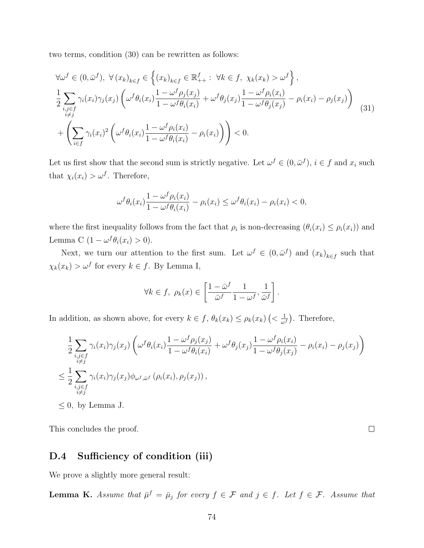two terms, condition (30) can be rewritten as follows:

$$
\forall \omega^{f} \in (0, \bar{\omega}^{f}), \ \forall (x_{k})_{k \in f} \in \left\{ (x_{k})_{k \in f} \in \mathbb{R}_{++}^{f} : \ \forall k \in f, \ \chi_{k}(x_{k}) > \omega^{f} \right\},
$$
\n
$$
\frac{1}{2} \sum_{\substack{i,j \in f \\ i \neq j}} \gamma_{i}(x_{i}) \gamma_{j}(x_{j}) \left( \omega^{f} \theta_{i}(x_{i}) \frac{1 - \omega^{f} \rho_{j}(x_{j})}{1 - \omega^{f} \theta_{i}(x_{i})} + \omega^{f} \theta_{j}(x_{j}) \frac{1 - \omega^{f} \rho_{i}(x_{i})}{1 - \omega^{f} \theta_{j}(x_{j})} - \rho_{i}(x_{i}) - \rho_{j}(x_{j}) \right)
$$
\n
$$
+ \left( \sum_{i \in f} \gamma_{i}(x_{i})^{2} \left( \omega^{f} \theta_{i}(x_{i}) \frac{1 - \omega^{f} \rho_{i}(x_{i})}{1 - \omega^{f} \theta_{i}(x_{i})} - \rho_{i}(x_{i}) \right) \right) < 0.
$$
\n(31)

Let us first show that the second sum is strictly negative. Let  $\omega^f \in (0, \bar{\omega}^f), i \in f$  and  $x_i$  such that  $\chi_i(x_i) > \omega^f$ . Therefore,

$$
\omega^f \theta_i(x_i) \frac{1 - \omega^f \rho_i(x_i)}{1 - \omega^f \theta_i(x_i)} - \rho_i(x_i) \le \omega^f \theta_i(x_i) - \rho_i(x_i) < 0,
$$

where the first inequality follows from the fact that  $\rho_i$  is non-decreasing  $(\theta_i(x_i) \leq \rho_i(x_i))$  and Lemma C  $(1 - \omega^f \theta_i(x_i) > 0)$ .

Next, we turn our attention to the first sum. Let  $\omega^f \in (0, \bar{\omega}^f)$  and  $(x_k)_{k \in f}$  such that  $\chi_k(x_k) > \omega^f$  for every  $k \in f$ . By Lemma I,

$$
\forall k \in f, \ \rho_k(x) \in \left[\frac{1-\bar{\omega}^f}{\bar{\omega}^f}\frac{1}{1-\omega^f}, \frac{1}{\bar{\omega}^f}\right].
$$

In addition, as shown above, for every  $k \in f$ ,  $\theta_k(x_k) \leq \rho_k(x_k)$   $\left\langle \frac{1}{\omega_k} \right\rangle$  $\frac{1}{\omega^f}$ ). Therefore,

$$
\frac{1}{2} \sum_{\substack{i,j \in f \\ i \neq j}} \gamma_i(x_i) \gamma_j(x_j) \left( \omega^f \theta_i(x_i) \frac{1 - \omega^f \rho_j(x_j)}{1 - \omega^f \theta_i(x_i)} + \omega^f \theta_j(x_j) \frac{1 - \omega^f \rho_i(x_i)}{1 - \omega^f \theta_j(x_j)} - \rho_i(x_i) - \rho_j(x_j) \right)
$$
\n
$$
\leq \frac{1}{2} \sum_{\substack{i,j \in f \\ i \neq j}} \gamma_i(x_i) \gamma_j(x_j) \phi_{\omega^f, \bar{\omega}^f} (\rho_i(x_i), \rho_j(x_j)),
$$

 $\Box$ 

 $\leq 0$ , by Lemma J.

This concludes the proof.

#### D.4 Sufficiency of condition (iii)

We prove a slightly more general result:

**Lemma K.** Assume that  $\bar{\mu}^f = \bar{\mu}_j$  for every  $f \in \mathcal{F}$  and  $j \in f$ . Let  $f \in \mathcal{F}$ . Assume that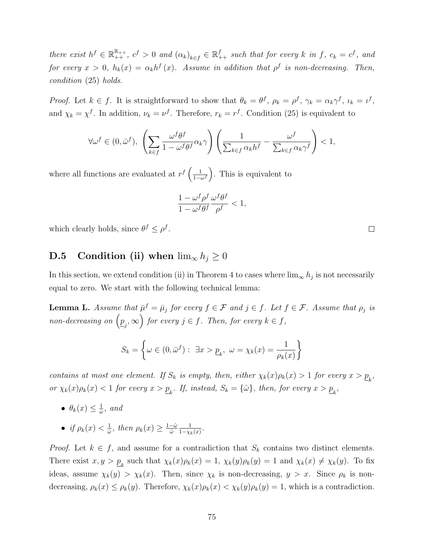there exist  $h^f \in \mathbb{R}_{++}^{\mathbb{R}_{++}}, c^f > 0$  and  $(\alpha_k)_{k \in f} \in \mathbb{R}_{++}^f$  such that for every k in f,  $c_k = c^f$ , and for every  $x > 0$ ,  $h_k(x) = \alpha_k h^f(x)$ . Assume in addition that  $\rho^f$  is non-decreasing. Then, condition (25) holds.

Proof. Let  $k \in f$ . It is straightforward to show that  $\theta_k = \theta^f$ ,  $\rho_k = \rho^f$ ,  $\gamma_k = \alpha_k \gamma^f$ ,  $\iota_k = \iota^f$ , and  $\chi_k = \chi^f$ . In addition,  $\nu_k = \nu^f$ . Therefore,  $r_k = r^f$ . Condition (25) is equivalent to

$$
\forall \omega^f \in (0, \bar{\omega}^f), \ \left(\sum_{k \in f} \frac{\omega^f \theta^f}{1 - \omega^f \theta^f} \alpha_k \gamma\right) \left(\frac{1}{\sum_{k \in f} \alpha_k h^f} - \frac{\omega^f}{\sum_{k \in f} \alpha_k \gamma^f}\right) < 1,
$$

where all functions are evaluated at  $r^f\left(\frac{1}{1-r}\right)$  $\frac{1}{1-\omega^f}$ . This is equivalent to

$$
\frac{1-\omega^f\rho^f}{1-\omega^f\theta^f}\frac{\omega^f\theta^f}{\rho^f}<1,
$$

which clearly holds, since  $\theta^f \leq \rho^f$ .

### **D.5** Condition (ii) when  $\lim_{x \to 0} h_j \geq 0$

In this section, we extend condition (ii) in Theorem 4 to cases where  $\lim_{\infty} h_j$  is not necessarily equal to zero. We start with the following technical lemma:

**Lemma L.** Assume that  $\bar{\mu}^f = \bar{\mu}_j$  for every  $f \in \mathcal{F}$  and  $j \in f$ . Let  $f \in \mathcal{F}$ . Assume that  $\rho_j$  is non-decreasing on  $(p_{j}, \infty)$  for every  $j \in f$ . Then, for every  $k \in f$ ,

$$
S_k = \left\{ \omega \in (0, \bar{\omega}^f) : \exists x > \underline{p}_k, \ \omega = \chi_k(x) = \frac{1}{\rho_k(x)} \right\}
$$

contains at most one element. If  $S_k$  is empty, then, either  $\chi_k(x)\rho_k(x) > 1$  for every  $x > p_k$ , or  $\chi_k(x)\rho_k(x) < 1$  for every  $x > \underline{p}_k$ . If, instead,  $S_k = \{\hat{\omega}\}\$ , then, for every  $x > \underline{p}_k$ ,

- $\bullet$   $\theta_k(x) \leq \frac{1}{\hat{\omega}}$  $\frac{1}{\hat{\omega}}, \text{ and}$
- if  $\rho_k(x) < \frac{1}{\hat{\omega}}$  $\frac{1}{\hat{\omega}},$  then  $\rho_k(x) \geq \frac{1-\hat{\omega}}{\hat{\omega}}$  $\hat{\omega}$ 1  $\frac{1}{1-\chi_k(x)}$ .

*Proof.* Let  $k \in f$ , and assume for a contradiction that  $S_k$  contains two distinct elements. There exist  $x, y > p_k$  such that  $\chi_k(x)\rho_k(x) = 1$ ,  $\chi_k(y)\rho_k(y) = 1$  and  $\chi_k(x) \neq \chi_k(y)$ . To fix ideas, assume  $\chi_k(y) > \chi_k(x)$ . Then, since  $\chi_k$  is non-decreasing,  $y > x$ . Since  $\rho_k$  is nondecreasing,  $\rho_k(x) \leq \rho_k(y)$ . Therefore,  $\chi_k(x)\rho_k(x) < \chi_k(y)\rho_k(y) = 1$ , which is a contradiction.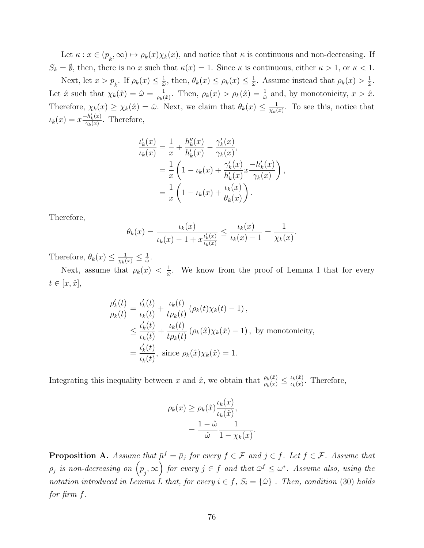Let  $\kappa: x \in (\underline{p}_k, \infty) \mapsto \rho_k(x)\chi_k(x)$ , and notice that  $\kappa$  is continuous and non-decreasing. If  $S_k = \emptyset$ , then, there is no x such that  $\kappa(x) = 1$ . Since  $\kappa$  is continuous, either  $\kappa > 1$ , or  $\kappa < 1$ .

Next, let  $x > p_k$ . If  $\rho_k(x) \leq \frac{1}{\hat{\omega}}$  $\frac{1}{\hat{\omega}}$ , then,  $\theta_k(x) \leq \rho_k(x) \leq \frac{1}{\hat{\omega}}$  $\frac{1}{\hat{\omega}}$ . Assume instead that  $\rho_k(x) > \frac{1}{\hat{\omega}}$  $\frac{1}{\hat{\omega}}$ . Let  $\hat{x}$  such that  $\chi_k(\hat{x}) = \hat{\omega} = \frac{1}{\omega_k}$  $\frac{1}{\rho_k(\hat{x})}$ . Then,  $\rho_k(x) > \rho_k(\hat{x}) = \frac{1}{\hat{\omega}}$  and, by monotonicity,  $x > \hat{x}$ . Therefore,  $\chi_k(x) \geq \chi_k(\hat{x}) = \hat{\omega}$ . Next, we claim that  $\theta_k(x) \leq \frac{1}{\chi_k(x)}$  $\frac{1}{\chi_k(x)}$ . To see this, notice that  $u_k(x) = x \frac{-h'_k(x)}{2h(x)}$  $\frac{\tau_{k}(x)}{\gamma_{k}(x)}$ . Therefore,

$$
\frac{\iota'_k(x)}{\iota_k(x)} = \frac{1}{x} + \frac{h''_k(x)}{h'_k(x)} - \frac{\gamma'_k(x)}{\gamma_k(x)},
$$
  
= 
$$
\frac{1}{x} \left( 1 - \iota_k(x) + \frac{\gamma'_k(x)}{h'_k(x)} x \frac{-h'_k(x)}{\gamma_k(x)} \right),
$$
  
= 
$$
\frac{1}{x} \left( 1 - \iota_k(x) + \frac{\iota_k(x)}{\theta_k(x)} \right).
$$

Therefore,

$$
\theta_k(x) = \frac{\iota_k(x)}{\iota_k(x) - 1 + x \frac{\iota'_k(x)}{\iota_k(x)}} \le \frac{\iota_k(x)}{\iota_k(x) - 1} = \frac{1}{\chi_k(x)}.
$$

Therefore,  $\theta_k(x) \leq \frac{1}{\chi_k(x)} \leq \frac{1}{\hat{\omega}}$  $\frac{1}{\hat{\omega}}.$ 

Next, assume that  $\rho_k(x) < \frac{1}{\hat{\omega}}$  $\frac{1}{\hat{\omega}}$ . We know from the proof of Lemma I that for every  $t \in [x, \hat{x}],$ 

$$
\frac{\rho'_k(t)}{\rho_k(t)} = \frac{\iota'_k(t)}{\iota_k(t)} + \frac{\iota_k(t)}{t\rho_k(t)} (\rho_k(t)\chi_k(t) - 1),
$$
  
\n
$$
\leq \frac{\iota'_k(t)}{\iota_k(t)} + \frac{\iota_k(t)}{t\rho_k(t)} (\rho_k(\hat{x})\chi_k(\hat{x}) - 1), \text{ by monotonicity,}
$$
  
\n
$$
= \frac{\iota'_k(t)}{\iota_k(t)}, \text{ since } \rho_k(\hat{x})\chi_k(\hat{x}) = 1.
$$

Integrating this inequality between x and  $\hat{x}$ , we obtain that  $\frac{\rho_k(\hat{x})}{\rho_k(x)} \leq \frac{\iota_k(\hat{x})}{\iota_k(x)}$  $\frac{\iota_k(x)}{\iota_k(x)}$ . Therefore,

$$
\rho_k(x) \ge \rho_k(\hat{x}) \frac{\iota_k(x)}{\iota_k(\hat{x})},
$$
  
= 
$$
\frac{1 - \hat{\omega}}{\hat{\omega}} \frac{1}{1 - \chi_k(x)}.
$$

**Proposition A.** Assume that  $\bar{\mu}^f = \bar{\mu}_j$  for every  $f \in \mathcal{F}$  and  $j \in f$ . Let  $f \in \mathcal{F}$ . Assume that  $\rho_j$  is non-decreasing on  $\left(\underline{p}_j,\infty\right)$  for every  $j\in f$  and that  $\bar{\omega}^f\leq\omega^*$ . Assume also, using the notation introduced in Lemma L that, for every  $i \in f$ ,  $S_i = {\hat{\omega}}$ . Then, condition (30) holds for firm f.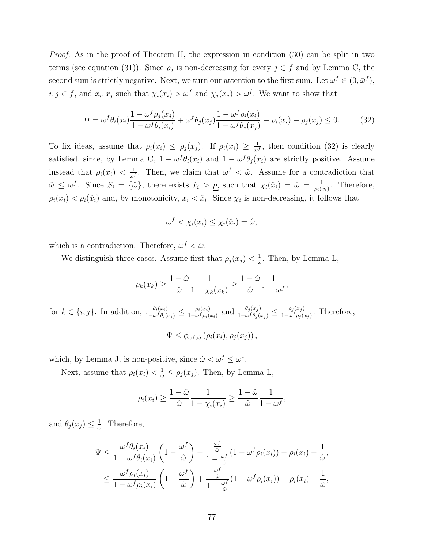Proof. As in the proof of Theorem H, the expression in condition (30) can be split in two terms (see equation (31)). Since  $\rho_j$  is non-decreasing for every  $j \in f$  and by Lemma C, the second sum is strictly negative. Next, we turn our attention to the first sum. Let  $\omega^f \in (0, \bar{\omega}^f)$ ,  $i, j \in f$ , and  $x_i, x_j$  such that  $\chi_i(x_i) > \omega^f$  and  $\chi_j(x_j) > \omega^f$ . We want to show that

$$
\Psi = \omega^f \theta_i(x_i) \frac{1 - \omega^f \rho_j(x_j)}{1 - \omega^f \theta_i(x_i)} + \omega^f \theta_j(x_j) \frac{1 - \omega^f \rho_i(x_i)}{1 - \omega^f \theta_j(x_j)} - \rho_i(x_i) - \rho_j(x_j) \le 0.
$$
 (32)

To fix ideas, assume that  $\rho_i(x_i) \leq \rho_j(x_j)$ . If  $\rho_i(x_i) \geq \frac{1}{\omega_i}$  $\frac{1}{\omega^f}$ , then condition (32) is clearly satisfied, since, by Lemma C,  $1 - \omega^f \theta_i(x_i)$  and  $1 - \omega^f \theta_j(x_i)$  are strictly positive. Assume instead that  $\rho_i(x_i) < \frac{1}{\omega_i}$  $\frac{1}{\omega^f}$ . Then, we claim that  $\omega^f < \hat{\omega}$ . Assume for a contradiction that  $\hat{\omega} \leq \omega^f$ . Since  $S_i = {\hat{\omega}}$ , there exists  $\hat{x}_i > p_i$  such that  $\chi_i(\hat{x}_i) = \hat{\omega} = \frac{1}{\rho_i(\hat{x}_i)}$  $\frac{1}{\rho_i(\hat{x}_i)}$ . Therefore,  $\rho_i(x_i) < \rho_i(\hat{x}_i)$  and, by monotonicity,  $x_i < \hat{x}_i$ . Since  $\chi_i$  is non-decreasing, it follows that

$$
\omega^f < \chi_i(x_i) \leq \chi_i(\hat{x}_i) = \hat{\omega},
$$

which is a contradiction. Therefore,  $\omega^f < \hat{\omega}$ .

We distinguish three cases. Assume first that  $\rho_j(x_j) < \frac{1}{\hat{\omega}}$  $\frac{1}{\hat{\omega}}$ . Then, by Lemma L,

$$
\rho_k(x_k) \ge \frac{1-\hat{\omega}}{\hat{\omega}} \frac{1}{1-\chi_k(x_k)} \ge \frac{1-\hat{\omega}}{\hat{\omega}} \frac{1}{1-\omega^f},
$$
\nfor  $k \in \{i, j\}$ . In addition,  $\frac{\theta_i(x_i)}{1-\omega^f \theta_i(x_i)} \le \frac{\rho_i(x_i)}{1-\omega^f \rho_i(x_i)}$  and  $\frac{\theta_j(x_j)}{1-\omega^f \theta_j(x_j)} \le \frac{\rho_j(x_j)}{1-\omega^f \rho_j(x_j)}$ . Therefore,

\n
$$
\Psi \le \phi_{\omega^f, \hat{\omega}} (\rho_i(x_i), \rho_j(x_j)),
$$

which, by Lemma J, is non-positive, since  $\hat{\omega} < \bar{\omega}^f \leq \omega^*$ .

Next, assume that  $\rho_i(x_i) < \frac{1}{\hat{\omega}} \leq \rho_j(x_j)$ . Then, by Lemma L,

$$
\rho_i(x_i) \ge \frac{1-\hat{\omega}}{\hat{\omega}} \frac{1}{1-\chi_i(x_i)} \ge \frac{1-\hat{\omega}}{\hat{\omega}} \frac{1}{1-\omega^f},
$$

and  $\theta_j(x_j) \leq \frac{1}{\hat{\omega}}$  $\frac{1}{\hat{\omega}}$ . Therefore,

$$
\Psi \leq \frac{\omega^f \theta_i(x_i)}{1 - \omega^f \theta_i(x_i)} \left(1 - \frac{\omega^f}{\hat{\omega}}\right) + \frac{\frac{\omega^f}{\hat{\omega}}}{1 - \frac{\omega^f}{\hat{\omega}}}(1 - \omega^f \rho_i(x_i)) - \rho_i(x_i) - \frac{1}{\hat{\omega}},
$$
\n
$$
\leq \frac{\omega^f \rho_i(x_i)}{1 - \omega^f \rho_i(x_i)} \left(1 - \frac{\omega^f}{\hat{\omega}}\right) + \frac{\frac{\omega^f}{\hat{\omega}}}{1 - \frac{\omega^f}{\hat{\omega}}}(1 - \omega^f \rho_i(x_i)) - \rho_i(x_i) - \frac{1}{\hat{\omega}},
$$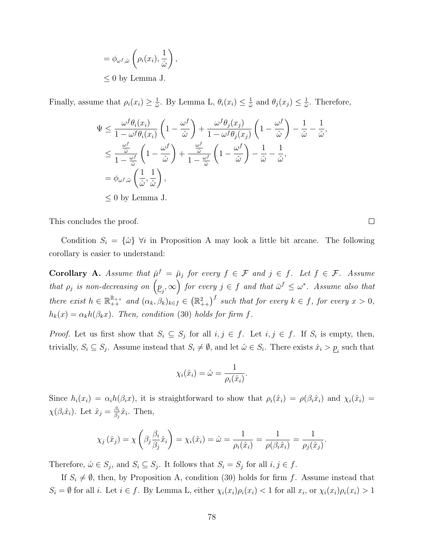$$
= \phi_{\omega^f, \hat{\omega}} \left( \rho_i(x_i), \frac{1}{\hat{\omega}} \right),
$$
  

$$
\leq 0 \text{ by Lemma J.}
$$

Finally, assume that  $\rho_i(x_i) \geq \frac{1}{\hat{\omega}}$  $\frac{1}{\hat{\omega}}$ . By Lemma L,  $\theta_i(x_i) \leq \frac{1}{\hat{\omega}}$  $\frac{1}{\hat{\omega}}$  and  $\theta_j(x_j) \leq \frac{1}{\hat{\omega}}$  $\frac{1}{\hat{\omega}}$ . Therefore,

$$
\Psi \leq \frac{\omega^f \theta_i(x_i)}{1 - \omega^f \theta_i(x_i)} \left(1 - \frac{\omega^f}{\hat{\omega}}\right) + \frac{\omega^f \theta_j(x_j)}{1 - \omega^f \theta_j(x_j)} \left(1 - \frac{\omega^f}{\hat{\omega}}\right) - \frac{1}{\hat{\omega}} - \frac{1}{\hat{\omega}},
$$
\n
$$
\leq \frac{\frac{\omega^f}{\hat{\omega}}}{1 - \frac{\omega^f}{\hat{\omega}}} \left(1 - \frac{\omega^f}{\hat{\omega}}\right) + \frac{\frac{\omega^f}{\hat{\omega}}}{1 - \frac{\omega^f}{\hat{\omega}}} \left(1 - \frac{\omega^f}{\hat{\omega}}\right) - \frac{1}{\hat{\omega}} - \frac{1}{\hat{\omega}},
$$
\n
$$
= \phi_{\omega^f, \hat{\omega}} \left(\frac{1}{\hat{\omega}}, \frac{1}{\hat{\omega}}\right),
$$
\n
$$
\leq 0 \text{ by Lemma J.}
$$

This concludes the proof.

Condition  $S_i = {\hat{\omega}} \ \forall i$  in Proposition A may look a little bit arcane. The following corollary is easier to understand:

**Corollary A.** Assume that  $\bar{\mu}^f = \bar{\mu}_j$  for every  $f \in \mathcal{F}$  and  $j \in f$ . Let  $f \in \mathcal{F}$ . Assume that  $\rho_j$  is non-decreasing on  $(p_j, \infty)$  for every  $j \in f$  and that  $\bar{\omega}^f \leq \omega^*$ . Assume also that there exist  $h \in \mathbb{R}_{++}^{\mathbb{R}_{++}}$  and  $(\alpha_k, \beta_k)_{k \in \mathbb{R}_{++}} \in (\mathbb{R}_{++}^2)^f$  such that for every  $k \in \mathbb{R}_{++}$  for every  $x > 0$ ,  $h_k(x) = \alpha_k h(\beta_k x)$ . Then, condition (30) holds for firm f.

*Proof.* Let us first show that  $S_i \subseteq S_j$  for all  $i, j \in f$ . Let  $i, j \in f$ . If  $S_i$  is empty, then, trivially,  $S_i \subseteq S_j$ . Assume instead that  $S_i \neq \emptyset$ , and let  $\hat{\omega} \in S_i$ . There exists  $\hat{x}_i > \underline{p}_i$  such that

$$
\chi_i(\hat{x}_i) = \hat{\omega} = \frac{1}{\rho_i(\hat{x}_i)}.
$$

Since  $h_i(x_i) = \alpha_i h(\beta_i x)$ , it is straightforward to show that  $\rho_i(\hat{x}_i) = \rho(\beta_i \hat{x}_i)$  and  $\chi_i(\hat{x}_i) =$  $\chi(\beta_i \hat{x}_i)$ . Let  $\hat{x}_j = \frac{\beta_i}{\beta_i}$  $\frac{\beta_i}{\beta_j}\hat{x}_i$ . Then,

$$
\chi_j(\hat{x}_j) = \chi\left(\beta_j \frac{\beta_i}{\beta_j} \hat{x}_i\right) = \chi_i(\hat{x}_i) = \hat{\omega} = \frac{1}{\rho_i(\hat{x}_i)} = \frac{1}{\rho(\beta_i \hat{x}_i)} = \frac{1}{\rho_j(\hat{x}_j)}
$$

Therefore,  $\hat{\omega} \in S_j$ , and  $S_i \subseteq S_j$ . It follows that  $S_i = S_j$  for all  $i, j \in f$ .

If  $S_i \neq \emptyset$ , then, by Proposition A, condition (30) holds for firm f. Assume instead that  $S_i = \emptyset$  for all i. Let  $i \in f$ . By Lemma L, either  $\chi_i(x_i)\rho_i(x_i) < 1$  for all  $x_i$ , or  $\chi_i(x_i)\rho_i(x_i) > 1$ 

 $\Box$ 

.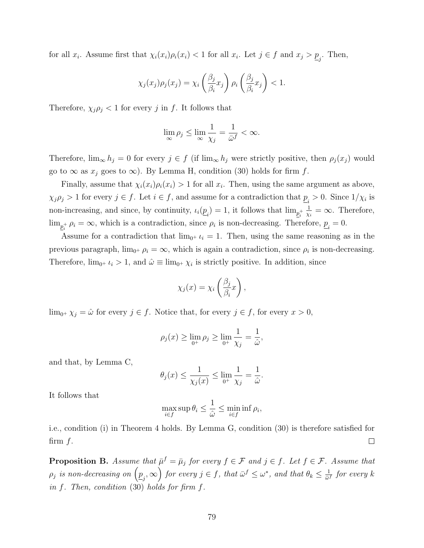for all  $x_i$ . Assume first that  $\chi_i(x_i)\rho_i(x_i) < 1$  for all  $x_i$ . Let  $j \in f$  and  $x_j > \underline{p}_j$ . Then,

$$
\chi_j(x_j)\rho_j(x_j) = \chi_i\left(\frac{\beta_j}{\beta_i}x_j\right)\rho_i\left(\frac{\beta_j}{\beta_i}x_j\right) < 1.
$$

Therefore,  $\chi_j \rho_j < 1$  for every j in f. It follows that

$$
\lim_{\infty} \rho_j \le \lim_{\infty} \frac{1}{\chi_j} = \frac{1}{\bar{\omega}^f} < \infty.
$$

Therefore,  $\lim_{\infty} h_j = 0$  for every  $j \in f$  (if  $\lim_{\infty} h_j$  were strictly positive, then  $\rho_j(x_j)$  would go to  $\infty$  as  $x_i$  goes to  $\infty$ ). By Lemma H, condition (30) holds for firm f.

Finally, assume that  $\chi_i(x_i)\rho_i(x_i) > 1$  for all  $x_i$ . Then, using the same argument as above,  $\chi_j \rho_j > 1$  for every  $j \in f$ . Let  $i \in f$ , and assume for a contradiction that  $\underline{p}_i > 0$ . Since  $1/\chi_i$  is non-increasing, and since, by continuity,  $\iota_i(\underline{p}_i) = 1$ , it follows that  $\lim_{\underline{p}_i^+}$ 1  $\frac{1}{\chi_i} = \infty$ . Therefore,  $\lim_{\underline{p}_i^+} \rho_i = \infty$ , which is a contradiction, since  $\rho_i$  is non-decreasing. Therefore,  $\underline{p}_i = 0$ .

Assume for a contradiction that  $\lim_{0^+} \iota_i = 1$ . Then, using the same reasoning as in the previous paragraph,  $\lim_{0^+} \rho_i = \infty$ , which is again a contradiction, since  $\rho_i$  is non-decreasing. Therefore,  $\lim_{0^+} \iota_i > 1$ , and  $\hat{\omega} \equiv \lim_{0^+} \chi_i$  is strictly positive. In addition, since

$$
\chi_j(x) = \chi_i\left(\frac{\beta_j}{\beta_i}x\right),\,
$$

 $\lim_{0^+} \chi_j = \hat{\omega}$  for every  $j \in f$ . Notice that, for every  $j \in f$ , for every  $x > 0$ ,

$$
\rho_j(x) \ge \lim_{0^+} \rho_j \ge \lim_{0^+} \frac{1}{\chi_j} = \frac{1}{\hat{\omega}},
$$

and that, by Lemma C,

$$
\theta_j(x) \le \frac{1}{\chi_j(x)} \le \lim_{0^+} \frac{1}{\chi_j} = \frac{1}{\hat{\omega}}.
$$

It follows that

$$
\max_{i \in f} \sup \theta_i \le \frac{1}{\hat{\omega}} \le \min_{i \in f} \inf \rho_i,
$$

i.e., condition (i) in Theorem 4 holds. By Lemma G, condition (30) is therefore satisfied for firm  $f$ .  $\Box$ 

**Proposition B.** Assume that  $\bar{\mu}^f = \bar{\mu}_j$  for every  $f \in \mathcal{F}$  and  $j \in f$ . Let  $f \in \mathcal{F}$ . Assume that  $\rho_j$  is non-decreasing on  $\left(\underline{p}_j,\infty\right)$  for every  $j\in f,$  that  $\bar{\omega}^f\leq\omega^*$ , and that  $\theta_k\leq\frac{1}{\bar{\omega}^2}$  $\frac{1}{\bar{\omega}^f}$  for every  $k$ in f. Then, condition (30) holds for firm f.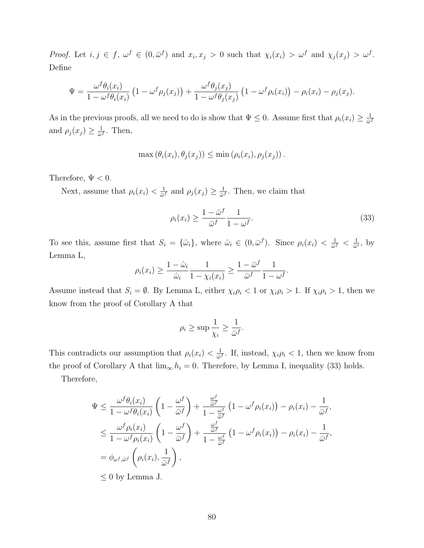Proof. Let  $i, j \in f$ ,  $\omega^f \in (0, \bar{\omega}^f)$  and  $x_i, x_j > 0$  such that  $\chi_i(x_i) > \omega^f$  and  $\chi_j(x_j) > \omega^f$ . Define

$$
\Psi = \frac{\omega^f \theta_i(x_i)}{1 - \omega^f \theta_i(x_i)} \left(1 - \omega^f \rho_j(x_j)\right) + \frac{\omega^f \theta_j(x_j)}{1 - \omega^f \theta_j(x_j)} \left(1 - \omega^f \rho_i(x_i)\right) - \rho_i(x_i) - \rho_j(x_j).
$$

As in the previous proofs, all we need to do is show that  $\Psi \leq 0$ . Assume first that  $\rho_i(x_i) \geq \frac{1}{\omega_i}$  $\bar{\omega}^f$ and  $\rho_j(x_j) \geq \frac{1}{\omega}$  $\frac{1}{\bar{\omega}^f}$ . Then,

$$
\max(\theta_i(x_i), \theta_j(x_j)) \leq \min(\rho_i(x_i), \rho_j(x_j)).
$$

Therefore,  $\Psi < 0$ .

Next, assume that  $\rho_i(x_i) < \frac{1}{\omega_i}$  $\frac{1}{\bar{\omega}^f}$  and  $\rho_j(x_j) \geq \frac{1}{\bar{\omega}^j}$  $\frac{1}{\bar{\omega}^f}$ . Then, we claim that

$$
\rho_i(x_i) \ge \frac{1 - \bar{\omega}^f}{\bar{\omega}^f} \frac{1}{1 - \omega^f}.
$$
\n(33)

To see this, assume first that  $S_i = {\hat{\omega}_i}$ , where  $\hat{\omega}_i \in (0, \bar{\omega}^f)$ . Since  $\rho_i(x_i) < \frac{1}{\hat{\omega}_i}$  $\frac{1}{\bar{\omega}^f} < \frac{1}{\hat{\omega}}$  $\frac{1}{\hat{\omega}^i}$ , by Lemma L,

$$
\rho_i(x_i) \ge \frac{1 - \hat{\omega}_i}{\hat{\omega}_i} \frac{1}{1 - \chi_i(x_i)} \ge \frac{1 - \bar{\omega}^f}{\bar{\omega}^f} \frac{1}{1 - \omega^f}.
$$

Assume instead that  $S_i = \emptyset$ . By Lemma L, either  $\chi_i \rho_i < 1$  or  $\chi_i \rho_i > 1$ . If  $\chi_i \rho_i > 1$ , then we know from the proof of Corollary A that

$$
\rho_i \ge \sup \frac{1}{\chi_i} \ge \frac{1}{\bar{\omega}^f}.
$$

This contradicts our assumption that  $\rho_i(x_i) < \frac{1}{\omega_i}$  $\frac{1}{\omega}$ . If, instead,  $\chi_i \rho_i < 1$ , then we know from the proof of Corollary A that  $\lim_{\infty} h_i = 0$ . Therefore, by Lemma I, inequality (33) holds.

Therefore,

$$
\Psi \leq \frac{\omega^f \theta_i(x_i)}{1 - \omega^f \theta_i(x_i)} \left(1 - \frac{\omega^f}{\bar{\omega}^f}\right) + \frac{\frac{\omega^f}{\bar{\omega}^f}}{1 - \frac{\omega^f}{\bar{\omega}^f}} \left(1 - \omega^f \rho_i(x_i)\right) - \rho_i(x_i) - \frac{1}{\bar{\omega}^f},
$$
\n
$$
\leq \frac{\omega^f \rho_i(x_i)}{1 - \omega^f \rho_i(x_i)} \left(1 - \frac{\omega^f}{\bar{\omega}^f}\right) + \frac{\frac{\omega^f}{\bar{\omega}^f}}{1 - \frac{\omega^f}{\bar{\omega}^f}} \left(1 - \omega^f \rho_i(x_i)\right) - \rho_i(x_i) - \frac{1}{\bar{\omega}^f},
$$
\n
$$
= \phi_{\omega^f, \bar{\omega}^f} \left(\rho_i(x_i), \frac{1}{\bar{\omega}^f}\right),
$$
\n
$$
\leq 0 \text{ by Lemma J.}
$$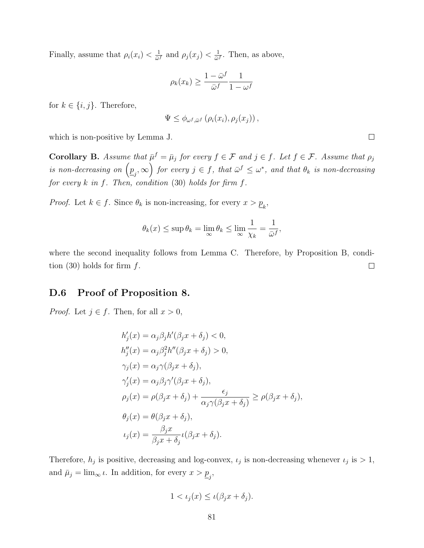Finally, assume that  $\rho_i(x_i) < \frac{1}{\omega_i}$  $\frac{1}{\bar{\omega}^f}$  and  $\rho_j(x_j) < \frac{1}{\bar{\omega}}$ .  $\frac{1}{\bar{\omega}^f}$ . Then, as above,

$$
\rho_k(x_k) \ge \frac{1 - \bar{\omega}^f}{\bar{\omega}^f} \frac{1}{1 - \omega^f}
$$

for  $k \in \{i, j\}$ . Therefore,

$$
\Psi \leq \phi_{\omega^f, \bar{\omega}^f} \left( \rho_i(x_i), \rho_j(x_j) \right),
$$

which is non-positive by Lemma J.

**Corollary B.** Assume that  $\bar{\mu}^f = \bar{\mu}_j$  for every  $f \in \mathcal{F}$  and  $j \in f$ . Let  $f \in \mathcal{F}$ . Assume that  $\rho_j$ is non-decreasing on  $(p_j, \infty)$  for every  $j \in f$ , that  $\bar{\omega}^f \leq \omega^*$ , and that  $\theta_k$  is non-decreasing for every  $k$  in  $f$ . Then, condition (30) holds for firm  $f$ .

*Proof.* Let  $k \in f$ . Since  $\theta_k$  is non-increasing, for every  $x > \underline{p}_k$ ,

$$
\theta_k(x) \le \sup \theta_k = \lim_{\infty} \theta_k \le \lim_{\infty} \frac{1}{\chi_k} = \frac{1}{\bar{\omega}^f},
$$

where the second inequality follows from Lemma C. Therefore, by Proposition B, condition (30) holds for firm  $f$ .  $\Box$ 

#### D.6 Proof of Proposition 8.

*Proof.* Let  $j \in f$ . Then, for all  $x > 0$ ,

$$
h'_{j}(x) = \alpha_{j}\beta_{j}h'(\beta_{j}x + \delta_{j}) < 0,
$$
  
\n
$$
h''_{j}(x) = \alpha_{j}\beta_{j}^{2}h''(\beta_{j}x + \delta_{j}) > 0,
$$
  
\n
$$
\gamma_{j}(x) = \alpha_{j}\gamma(\beta_{j}x + \delta_{j}),
$$
  
\n
$$
\gamma'_{j}(x) = \alpha_{j}\beta_{j}\gamma'(\beta_{j}x + \delta_{j}),
$$
  
\n
$$
\rho_{j}(x) = \rho(\beta_{j}x + \delta_{j}) + \frac{\epsilon_{j}}{\alpha_{j}\gamma(\beta_{j}x + \delta_{j})} \ge \rho(\beta_{j}x + \delta_{j}),
$$
  
\n
$$
\theta_{j}(x) = \theta(\beta_{j}x + \delta_{j}),
$$
  
\n
$$
\iota_{j}(x) = \frac{\beta_{j}x}{\beta_{j}x + \delta_{j}}\iota(\beta_{j}x + \delta_{j}).
$$

Therefore,  $h_j$  is positive, decreasing and log-convex,  $\iota_j$  is non-decreasing whenever  $\iota_j$  is  $> 1$ , and  $\bar{\mu}_j = \lim_{\infty} \iota$ . In addition, for every  $x > \underline{p}_j$ ,

$$
1 < \iota_j(x) \le \iota(\beta_j x + \delta_j).
$$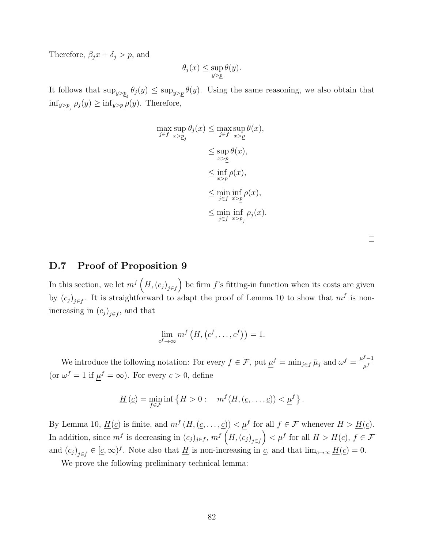Therefore,  $\beta_j x + \delta_j > p$ , and

$$
\theta_j(x) \le \sup_{y > p} \theta(y).
$$

It follows that  $\sup_{y>\underline{p}_j} \theta_j(y) \leq \sup_{y>\underline{p}} \theta(y)$ . Using the same reasoning, we also obtain that  $\inf_{y>\underline{p}_j} \rho_j(y) \ge \inf_{y>\underline{p}} \rho(y)$ . Therefore,

$$
\max_{j \in f} \sup_{x > p_j} \theta_j(x) \leq \max_{j \in f} \sup_{x > p} \theta(x),
$$
  

$$
\leq \sup_{x > p} \theta(x),
$$
  

$$
\leq \inf_{x > p} \rho(x),
$$
  

$$
\leq \min_{j \in f} \inf_{x > p} \rho(x),
$$
  

$$
\leq \min_{j \in f} \inf_{x > p_j} \rho_j(x).
$$

| ł |  |  |
|---|--|--|
|   |  |  |
|   |  |  |
|   |  |  |

#### D.7 Proof of Proposition 9

In this section, we let  $m^{f} (H,(c_j)_{j\in f})$  be firm f's fitting-in function when its costs are given by  $(c_j)_{j \in f}$ . It is straightforward to adapt the proof of Lemma 10 to show that  $m^f$  is nonincreasing in  $(c_j)_{j \in f}$ , and that

$$
\lim_{c^f \to \infty} m^f\left(H, (c^f, \ldots, c^f)\right) = 1.
$$

We introduce the following notation: For every  $f \in \mathcal{F}$ , put  $\mu^f = \min_{j \in f} \bar{\mu}_j$  and  $\underline{\omega}^f = \frac{\mu^f - 1}{\mu^f}$  $\overline{\mu^f}$ (or  $\underline{\omega}^f = 1$  if  $\mu^f = \infty$ ). For every  $\underline{c} > 0$ , define

$$
\underline{H}(\underline{c}) = \min_{f \in \mathcal{F}} \inf \left\{ H > 0 : \quad m^f(H, (\underline{c}, \dots, \underline{c})) < \underline{\mu}^f \right\}.
$$

By Lemma 10,  $\underline{H}(\underline{c})$  is finite, and  $m^f(H, (\underline{c}, \ldots, \underline{c})) < \mu^f$  for all  $f \in \mathcal{F}$  whenever  $H > \underline{H}(\underline{c})$ . In addition, since  $m^f$  is decreasing in  $(c_j)_{j\in f}$ ,  $m^f\left(H,(c_j)_{j\in f}\right) < \underline{\mu}^f$  for all  $H > \underline{H}(c)$ ,  $f \in \mathcal{F}$ and  $(c_j)_{j\in f} \in [\underline{c}, \infty)^f$ . Note also that  $\underline{H}$  is non-increasing in  $\underline{c}$ , and that  $\lim_{\underline{c}\to\infty} \underline{H}(\underline{c}) = 0$ .

We prove the following preliminary technical lemma: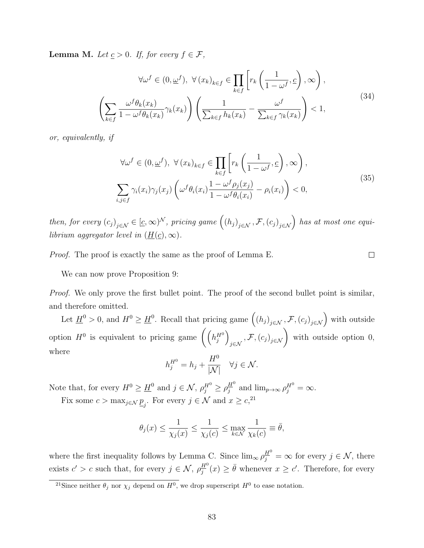**Lemma M.** Let  $\underline{c} > 0$ . If, for every  $f \in \mathcal{F}$ ,

$$
\forall \omega^f \in (0, \underline{\omega}^f), \ \forall (x_k)_{k \in f} \in \prod_{k \in f} \left[ r_k \left( \frac{1}{1 - \omega^f}, \underline{c} \right), \infty \right),
$$

$$
\left( \sum_{k \in f} \frac{\omega^f \theta_k(x_k)}{1 - \omega^f \theta_k(x_k)} \gamma_k(x_k) \right) \left( \frac{1}{\sum_{k \in f} h_k(x_k)} - \frac{\omega^f}{\sum_{k \in f} \gamma_k(x_k)} \right) < 1,
$$
\n(34)

or, equivalently, if

$$
\forall \omega^f \in (0, \underline{\omega}^f), \ \forall (x_k)_{k \in f} \in \prod_{k \in f} \left[ r_k \left( \frac{1}{1 - \omega^f}, \underline{c} \right), \infty \right),
$$
  

$$
\sum_{i,j \in f} \gamma_i(x_i) \gamma_j(x_j) \left( \omega^f \theta_i(x_i) \frac{1 - \omega^f \rho_j(x_j)}{1 - \omega^f \theta_i(x_i)} - \rho_i(x_i) \right) < 0,
$$
 (35)

 $\Box$ 

then, for every  $(c_j)_{j \in \mathcal{N}} \in [\underline{c}, \infty)^{\mathcal{N}}$ , pricing game  $((h_j)_{j \in \mathcal{N}}, \mathcal{F}, (c_j)_{j \in \mathcal{N}})$  has at most one equilibrium aggregator level in  $(\underline{H}(\underline{c}), \infty)$ .

Proof. The proof is exactly the same as the proof of Lemma E.

We can now prove Proposition 9:

Proof. We only prove the first bullet point. The proof of the second bullet point is similar, and therefore omitted.

Let  $\underline{H}^0 > 0$ , and  $H^0 \ge \underline{H}^0$ . Recall that pricing game  $((h_j)_{j \in \mathcal{N}}, \mathcal{F}, (c_j)_{j \in \mathcal{N}})$  with outside option  $H^0$  is equivalent to pricing game  $((h_j^{H^0})$  $\left( \mathcal{F}, \left( c_j \right)_{j \in \mathcal{N}} \right)$  with outside option 0, where

$$
h_j^{H^0} = h_j + \frac{H^0}{|\mathcal{N}|} \quad \forall j \in \mathcal{N}.
$$

Note that, for every  $H^0 \ge \underline{H}^0$  and  $j \in \mathcal{N}$ ,  $\rho_j^{H^0} \ge \rho_j^{H^0}$  $\frac{H^0}{j}$  and  $\lim_{p\to\infty} \rho_j^{H^0} = \infty$ .

Fix some  $c > \max_{j \in \mathcal{N}} \underline{p}_j$ . For every  $j \in \mathcal{N}$  and  $x \ge c^{21}$ ,

$$
\theta_j(x) \le \frac{1}{\chi_j(x)} \le \frac{1}{\chi_j(c)} \le \max_{k \in \mathcal{N}} \frac{1}{\chi_k(c)} \equiv \bar{\theta},
$$

where the first inequality follows by Lemma C. Since  $\lim_{\infty} \rho_j^{\underline{H}^0} = \infty$  for every  $j \in \mathcal{N}$ , there exists  $c' > c$  such that, for every  $j \in \mathcal{N}$ ,  $\rho_i^{\underline{H}^0}$  $\frac{H^0}{j}(x) \geq \bar{\theta}$  whenever  $x \geq c'$ . Therefore, for every

<sup>&</sup>lt;sup>21</sup>Since neither  $\theta_j$  nor  $\chi_j$  depend on  $H^0$ , we drop superscript  $H^0$  to ease notation.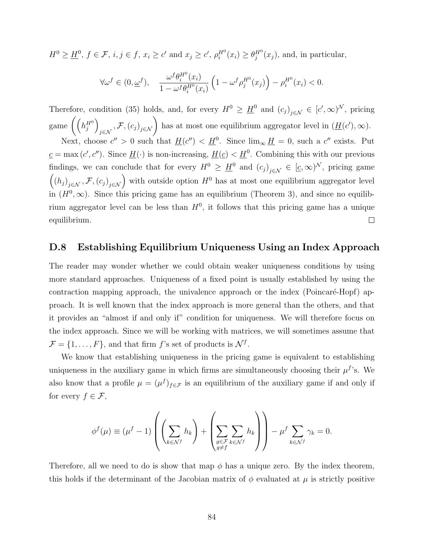$H^0 \geq \underline{H}^0$ ,  $f \in \mathcal{F}$ ,  $i, j \in f$ ,  $x_i \geq c'$  and  $x_j \geq c'$ ,  $\rho_i^{H^0}(x_i) \geq \theta_j^{H^0}(x_j)$ , and, in particular,

$$
\forall \omega^f \in (0, \underline{\omega}^f), \quad \frac{\omega^f \theta_i^{H^0}(x_i)}{1 - \omega^f \theta_i^{H^0}(x_i)} \left(1 - \omega^f \rho_j^{H^0}(x_j)\right) - \rho_i^{H^0}(x_i) < 0.
$$

Therefore, condition (35) holds, and, for every  $H^0 \geq \underline{H}^0$  and  $(c_j)_{j \in \mathcal{N}} \in [c', \infty)^{\mathcal{N}}$ , pricing game  $\left(\left(h_j^{H^0}\right)\right)$  $\left(\mathcal{F},\left(c_j\right)_{j\in\mathcal{N}}\right)$  has at most one equilibrium aggregator level in  $(\underline{H}(c'),\infty)$ .

Next, choose  $c'' > 0$  such that  $\underline{H}(c'') < \underline{H}^0$ . Since  $\lim_{\infty} \underline{H} = 0$ , such a  $c''$  exists. Put  $c = \max(c', c'')$ . Since  $\underline{H}(\cdot)$  is non-increasing,  $\underline{H}(c) < \underline{H}^0$ . Combining this with our previous findings, we can conclude that for every  $H^0 \geq \underline{H}^0$  and  $(c_j)_{j \in \mathcal{N}} \in [\underline{c}, \infty)^{\mathcal{N}}$ , pricing game  $((h_j)_{j\in\mathcal{N}},\mathcal{F},(c_j)_{j\in\mathcal{N}})$  with outside option  $H^0$  has at most one equilibrium aggregator level in  $(H^0, \infty)$ . Since this pricing game has an equilibrium (Theorem 3), and since no equilibrium aggregator level can be less than  $H^0$ , it follows that this pricing game has a unique equilibrium.  $\Box$ 

#### D.8 Establishing Equilibrium Uniqueness Using an Index Approach

The reader may wonder whether we could obtain weaker uniqueness conditions by using more standard approaches. Uniqueness of a fixed point is usually established by using the contraction mapping approach, the univalence approach or the index (Poincaré-Hopf) approach. It is well known that the index approach is more general than the others, and that it provides an "almost if and only if" condition for uniqueness. We will therefore focus on the index approach. Since we will be working with matrices, we will sometimes assume that  $\mathcal{F} = \{1, \ldots, F\}$ , and that firm f's set of products is  $\mathcal{N}^f$ .

We know that establishing uniqueness in the pricing game is equivalent to establishing uniqueness in the auxiliary game in which firms are simultaneously choosing their  $\mu^f$ 's. We also know that a profile  $\mu = (\mu^f)_{f \in \mathcal{F}}$  is an equilibrium of the auxiliary game if and only if for every  $f \in \mathcal{F}$ ,

$$
\phi^f(\mu) \equiv (\mu^f - 1) \left( \left( \sum_{k \in \mathcal{N}^f} h_k \right) + \left( \sum_{\substack{g \in \mathcal{F} \\ g \neq f}} \sum_{k \in \mathcal{N}^f} h_k \right) \right) - \mu^f \sum_{k \in \mathcal{N}^f} \gamma_k = 0.
$$

Therefore, all we need to do is show that map  $\phi$  has a unique zero. By the index theorem, this holds if the determinant of the Jacobian matrix of  $\phi$  evaluated at  $\mu$  is strictly positive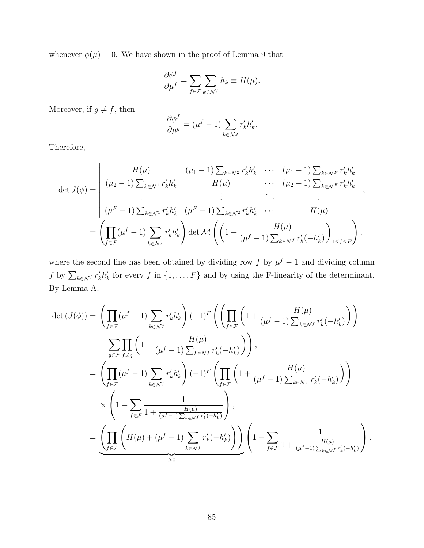whenever  $\phi(\mu) = 0$ . We have shown in the proof of Lemma 9 that

$$
\frac{\partial \phi^f}{\partial \mu^f} = \sum_{f \in \mathcal{F}} \sum_{k \in \mathcal{N}^f} h_k \equiv H(\mu).
$$

Moreover, if  $g \neq f$ , then

$$
\frac{\partial \phi^f}{\partial \mu^g} = (\mu^f - 1) \sum_{k \in \mathcal{N}^g} r'_k h'_k.
$$

 $\mathbf{I}$ 

Therefore,

$$
\det J(\phi) = \begin{vmatrix} H(\mu) & (\mu_1 - 1) \sum_{k \in \mathcal{N}^2} r'_k h'_k & \cdots & (\mu_1 - 1) \sum_{k \in \mathcal{N}^F} r'_k h'_k \\ (\mu_2 - 1) \sum_{k \in \mathcal{N}^1} r'_k h'_k & H(\mu) & \cdots & (\mu_2 - 1) \sum_{k \in \mathcal{N}^F} r'_k h'_k \\ \vdots & \vdots & \ddots & \vdots \\ (\mu^F - 1) \sum_{k \in \mathcal{N}^1} r'_k h'_k & (\mu^F - 1) \sum_{k \in \mathcal{N}^2} r'_k h'_k & \cdots & H(\mu) \\ \prod_{f \in \mathcal{F}} (\mu^f - 1) \sum_{k \in \mathcal{N}^f} r'_k h'_k \end{vmatrix} \det \mathcal{M} \left( \left( 1 + \frac{H(\mu)}{(\mu^f - 1) \sum_{k \in \mathcal{N}^f} r'_k (-h'_k)} \right)_{1 \le f \le F} \right),
$$

where the second line has been obtained by dividing row f by  $\mu^f - 1$  and dividing column f by  $\sum_{k \in \mathcal{N}} r'_k h'_k$  for every f in  $\{1, \ldots, F\}$  and by using the F-linearity of the determinant. By Lemma A,

$$
\det\left(J(\phi)\right) = \left(\prod_{f\in\mathcal{F}} (\mu^f - 1) \sum_{k\in\mathcal{N}^f} r'_k h'_k\right) (-1)^F \left(\left(\prod_{f\in\mathcal{F}} \left(1 + \frac{H(\mu)}{(\mu^f - 1) \sum_{k\in\mathcal{N}^f} r'_k(-h'_k)}\right)\right)\right)
$$

$$
-\sum_{g\in\mathcal{F}} \prod_{f\neq g} \left(1 + \frac{H(\mu)}{(\mu^f - 1) \sum_{k\in\mathcal{N}^f} r'_k(-h'_k)}\right)\right),
$$

$$
= \left(\prod_{f\in\mathcal{F}} (\mu^f - 1) \sum_{k\in\mathcal{N}^f} r'_k h'_k\right) (-1)^F \left(\prod_{f\in\mathcal{F}} \left(1 + \frac{H(\mu)}{(\mu^f - 1) \sum_{k\in\mathcal{N}^f} r'_k(-h'_k)}\right)\right)
$$

$$
\times \left(1 - \sum_{f\in\mathcal{F}} \frac{1}{1 + \frac{H(\mu)}{(\mu^f - 1) \sum_{k\in\mathcal{N}^f} r'_k(-h'_k)}}\right),
$$

$$
= \underbrace{\left(\prod_{f\in\mathcal{F}} \left(H(\mu) + (\mu^f - 1) \sum_{k\in\mathcal{N}^f} r'_k(-h'_k)\right)\right)}_{>0} \left(1 - \sum_{f\in\mathcal{F}} \frac{1}{1 + \frac{H(\mu)}{(\mu^f - 1) \sum_{k\in\mathcal{N}^f} r'_k(-h'_k)}}\right).
$$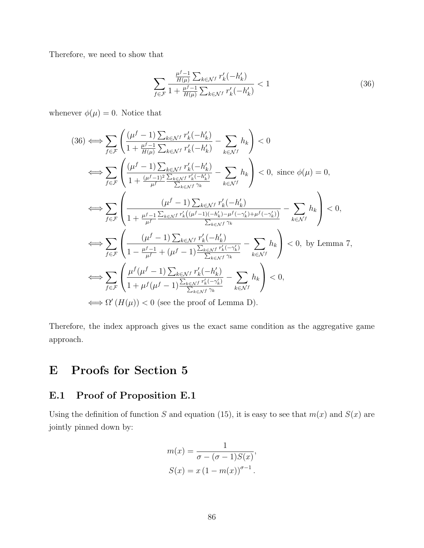Therefore, we need to show that

$$
\sum_{f \in \mathcal{F}} \frac{\frac{\mu^{f-1}}{H(\mu)} \sum_{k \in \mathcal{N}^f} r'_k(-h'_k)}{1 + \frac{\mu^{f-1}}{H(\mu)} \sum_{k \in \mathcal{N}^f} r'_k(-h'_k)} < 1 \tag{36}
$$

whenever  $\phi(\mu) = 0$ . Notice that

$$
(36) \iff \sum_{f \in \mathcal{F}} \left( \frac{(\mu^f - 1) \sum_{k \in \mathcal{N}^f} r'_k(-h'_k)}{1 + \frac{\mu^f - 1}{H(\mu)} \sum_{k \in \mathcal{N}^f} r'_k(-h'_k)} - \sum_{k \in \mathcal{N}^f} h_k \right) < 0
$$
  
\n
$$
\iff \sum_{f \in \mathcal{F}} \left( \frac{(\mu^f - 1) \sum_{k \in \mathcal{N}^f} r'_k(-h'_k)}{1 + \frac{(\mu^f - 1)^2 \sum_{k \in \mathcal{N}^f} r'_k(-h'_k)}{\sum_{k \in \mathcal{N}^f} \gamma_k}} - \sum_{k \in \mathcal{N}^f} h_k \right) < 0, \text{ since } \phi(\mu) = 0,
$$
  
\n
$$
\iff \sum_{f \in \mathcal{F}} \left( \frac{(\mu^f - 1) \sum_{k \in \mathcal{N}^f} r'_k(-h'_k)}{1 + \frac{\mu^f - 1}{\mu^f} \sum_{k \in \mathcal{N}^f} r'_k((\mu^f - 1)(-h'_k) - \mu^f(-\gamma'_k) + \mu^f(-\gamma'_k))}} - \sum_{k \in \mathcal{N}^f} h_k \right) < 0,
$$
  
\n
$$
\iff \sum_{f \in \mathcal{F}} \left( \frac{(\mu^f - 1) \sum_{k \in \mathcal{N}^f} r'_k(-h'_k)}{1 - \frac{\mu^f - 1}{\mu^f} + (\mu^f - 1) \frac{\sum_{k \in \mathcal{N}^f} r'_k(-\gamma'_k)}{\sum_{k \in \mathcal{N}^f} \gamma_k}} - \sum_{k \in \mathcal{N}^f} h_k \right) < 0, \text{ by Lemma 7,}
$$
  
\n
$$
\iff \sum_{f \in \mathcal{F}} \left( \frac{\mu^f(\mu^f - 1) \sum_{k \in \mathcal{N}^f} r'_k(-h'_k)}{1 + \mu^f(\mu^f - 1) \frac{\sum_{k \in \mathcal{N}^f} r'_k(-\gamma'_k)}{\sum_{k \in \mathcal{N}^f} \gamma_k}} - \sum_{k \in \mathcal{N}^f} h_k \right) < 0,
$$
  
\n $$ 

Therefore, the index approach gives us the exact same condition as the aggregative game approach.

# E Proofs for Section 5

# E.1 Proof of Proposition E.1

Using the definition of function S and equation (15), it is easy to see that  $m(x)$  and  $S(x)$  are jointly pinned down by:

$$
m(x) = \frac{1}{\sigma - (\sigma - 1)S(x)},
$$
  

$$
S(x) = x(1 - m(x))^{\sigma - 1}.
$$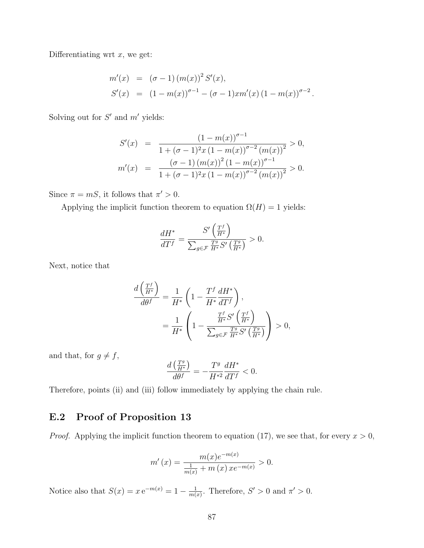Differentiating wrt  $x$ , we get:

$$
m'(x) = (\sigma - 1) (m(x))^{2} S'(x),
$$
  
\n
$$
S'(x) = (1 - m(x))^{\sigma - 1} - (\sigma - 1) x m'(x) (1 - m(x))^{\sigma - 2}.
$$

Solving out for  $S'$  and  $m'$  yields:

$$
S'(x) = \frac{(1 - m(x))^{\sigma - 1}}{1 + (\sigma - 1)^2 x (1 - m(x))^{\sigma - 2} (m(x))^2} > 0,
$$
  

$$
m'(x) = \frac{(\sigma - 1) (m(x))^2 (1 - m(x))^{\sigma - 1}}{1 + (\sigma - 1)^2 x (1 - m(x))^{\sigma - 2} (m(x))^2} > 0.
$$

Since  $\pi = mS$ , it follows that  $\pi' > 0$ .

Applying the implicit function theorem to equation  $\Omega(H) = 1$  yields:

$$
\frac{dH^*}{dT^f} = \frac{S'\left(\frac{T^f}{H^*}\right)}{\sum_{g \in \mathcal{F}} \frac{T^g}{H^*} S'\left(\frac{T^g}{H^*}\right)} > 0.
$$

Next, notice that

$$
\frac{d\left(\frac{T^f}{H^*}\right)}{d\theta^f} = \frac{1}{H^*} \left(1 - \frac{T^f}{H^*} \frac{dH^*}{dT^f}\right),
$$
\n
$$
= \frac{1}{H^*} \left(1 - \frac{\frac{T^f}{H^*} S'\left(\frac{T^f}{H^*}\right)}{\sum_{g \in \mathcal{F}} \frac{T^g}{H^*} S'\left(\frac{T^g}{H^*}\right)}\right) > 0,
$$

and that, for  $g \neq f$ ,

$$
\frac{d\left(\frac{T^g}{H^*}\right)}{d\theta^f} = -\frac{T^g}{H^{*2}}\frac{dH^*}{dT^f} < 0.
$$

Therefore, points (ii) and (iii) follow immediately by applying the chain rule.

### E.2 Proof of Proposition 13

*Proof.* Applying the implicit function theorem to equation (17), we see that, for every  $x > 0$ ,

$$
m'(x) = \frac{m(x)e^{-m(x)}}{\frac{1}{m(x)} + m(x)xe^{-m(x)}} > 0.
$$

Notice also that  $S(x) = x e^{-m(x)} = 1 - \frac{1}{m(x)}$  $\frac{1}{m(x)}$ . Therefore,  $S' > 0$  and  $\pi' > 0$ .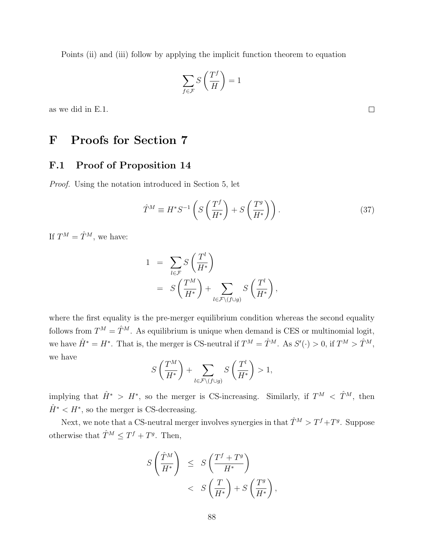Points (ii) and (iii) follow by applying the implicit function theorem to equation

$$
\sum_{f \in \mathcal{F}} S\left(\frac{T^f}{H}\right) = 1
$$

as we did in E.1.

# F Proofs for Section 7

### F.1 Proof of Proposition 14

Proof. Using the notation introduced in Section 5, let

$$
\hat{T}^{M} \equiv H^* S^{-1} \left( S \left( \frac{T^f}{H^*} \right) + S \left( \frac{T^g}{H^*} \right) \right). \tag{37}
$$

If  $T^M = \hat{T}^M$ , we have:

$$
1 = \sum_{l \in \mathcal{F}} S\left(\frac{T^l}{H^*}\right)
$$
  
= 
$$
S\left(\frac{T^M}{H^*}\right) + \sum_{l \in \mathcal{F}\backslash (f \cup g)} S\left(\frac{T^l}{H^*}\right),
$$

where the first equality is the pre-merger equilibrium condition whereas the second equality follows from  $T^M = \hat{T}^M$ . As equilibrium is unique when demand is CES or multinomial logit, we have  $\hat{H}^* = H^*$ . That is, the merger is CS-neutral if  $T^M = \hat{T}^M$ . As  $S'(\cdot) > 0$ , if  $T^M > \hat{T}^M$ , we have

$$
S\left(\frac{T^M}{H^*}\right) + \sum_{l \in \mathcal{F} \setminus (f \cup g)} S\left(\frac{T^l}{H^*}\right) > 1,
$$

implying that  $\hat{H}^* > H^*$ , so the merger is CS-increasing. Similarly, if  $T^M < \hat{T}^M$ , then  $\hat{H}^*$  <  $H^*$ , so the merger is CS-decreasing.

Next, we note that a CS-neutral merger involves synergies in that  $\hat{T}^M > T^f + T^g$ . Suppose otherwise that  $\hat{T}^M \leq T^f + T^g$ . Then,

$$
S\left(\frac{\hat{T}^{M}}{H^{*}}\right) \leq S\left(\frac{T^{f} + T^{g}}{H^{*}}\right) < S\left(\frac{T}{H^{*}}\right) + S\left(\frac{T^{g}}{H^{*}}\right),
$$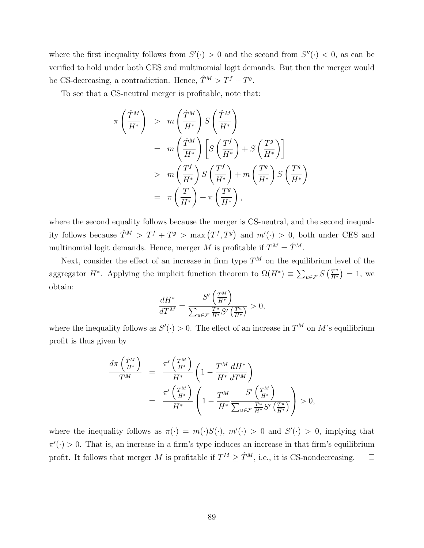where the first inequality follows from  $S'(\cdot) > 0$  and the second from  $S''(\cdot) < 0$ , as can be verified to hold under both CES and multinomial logit demands. But then the merger would be CS-decreasing, a contradiction. Hence,  $\hat{T}^M > T^f + T^g$ .

To see that a CS-neutral merger is profitable, note that:

$$
\pi \left( \frac{\hat{T}^{M}}{H^{*}} \right) > m \left( \frac{\hat{T}^{M}}{H^{*}} \right) S \left( \frac{\hat{T}^{M}}{H^{*}} \right)
$$
  
\n
$$
= m \left( \frac{\hat{T}^{M}}{H^{*}} \right) \left[ S \left( \frac{T^{f}}{H^{*}} \right) + S \left( \frac{T^{g}}{H^{*}} \right) \right]
$$
  
\n
$$
> m \left( \frac{T^{f}}{H^{*}} \right) S \left( \frac{T^{f}}{H^{*}} \right) + m \left( \frac{T^{g}}{H^{*}} \right) S \left( \frac{T^{g}}{H^{*}} \right)
$$
  
\n
$$
= \pi \left( \frac{T}{H^{*}} \right) + \pi \left( \frac{T^{g}}{H^{*}} \right),
$$

where the second equality follows because the merger is CS-neutral, and the second inequality follows because  $\hat{T}^M > T^f + T^g > \max(T^f, T^g)$  and  $m'(\cdot) > 0$ , both under CES and multinomial logit demands. Hence, merger M is profitable if  $T^M = \hat{T}^M$ .

Next, consider the effect of an increase in firm type  $T^M$  on the equilibrium level of the aggregator H<sup>\*</sup>. Applying the implicit function theorem to  $\Omega(H^*) \equiv \sum_{u \in \mathcal{F}} S\left(\frac{T^u}{H^*}\right)$  $\frac{T^u}{H^*}$ ) = 1, we obtain:

$$
\frac{dH^*}{dT^M} = \frac{S'\left(\frac{T^M}{H^*}\right)}{\sum_{u \in \mathcal{F}} \frac{T^u}{H^*} S'\left(\frac{T^u}{H^*}\right)} > 0,
$$

where the inequality follows as  $S'(\cdot) > 0$ . The effect of an increase in  $T^M$  on M's equilibrium profit is thus given by

$$
\frac{d\pi \left(\frac{\hat{T}^M}{H^*}\right)}{T^M} = \frac{\pi' \left(\frac{T^M}{H^*}\right)}{H^*} \left(1 - \frac{T^M}{H^*} \frac{dH^*}{dT^M}\right)
$$

$$
= \frac{\pi' \left(\frac{T^M}{H^*}\right)}{H^*} \left(1 - \frac{T^M}{H^*} \frac{S' \left(\frac{T^M}{H^*}\right)}{\sum_{u \in \mathcal{F}} \frac{T^u}{H^*} S' \left(\frac{T^u}{H^*}\right)}\right) > 0,
$$

where the inequality follows as  $\pi(\cdot) = m(\cdot)S(\cdot)$ ,  $m'(\cdot) > 0$  and  $S'(\cdot) > 0$ , implying that  $\pi'(\cdot) > 0$ . That is, an increase in a firm's type induces an increase in that firm's equilibrium profit. It follows that merger M is profitable if  $T^M \geq \hat{T}^M$ , i.e., it is CS-nondecreasing.  $\Box$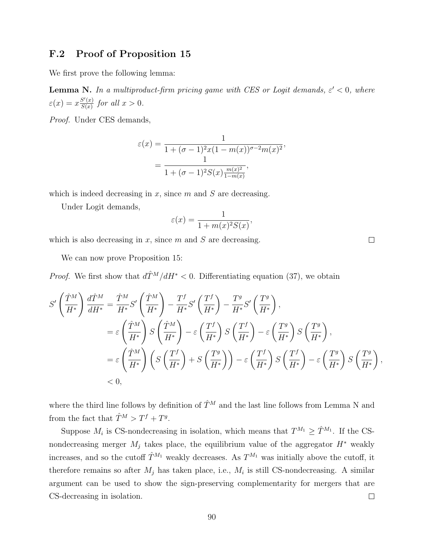#### F.2 Proof of Proposition 15

We first prove the following lemma:

**Lemma N.** In a multiproduct-firm pricing game with CES or Logit demands,  $\varepsilon' < 0$ , where  $\varepsilon(x) = x \frac{S'(x)}{S(x)}$  $\frac{S'(x)}{S(x)}$  for all  $x > 0$ .

Proof. Under CES demands,

$$
\varepsilon(x) = \frac{1}{1 + (\sigma - 1)^2 x (1 - m(x))^{\sigma - 2} m(x)^2},
$$

$$
= \frac{1}{1 + (\sigma - 1)^2 S(x) \frac{m(x)^2}{1 - m(x)}},
$$

which is indeed decreasing in  $x$ , since  $m$  and  $S$  are decreasing.

Under Logit demands,

$$
\varepsilon(x) = \frac{1}{1 + m(x)^2 S(x)},
$$

which is also decreasing in  $x$ , since  $m$  and  $S$  are decreasing.

We can now prove Proposition 15:

*Proof.* We first show that  $d\hat{T}^M/dH^* < 0$ . Differentiating equation (37), we obtain

$$
S'\left(\frac{\hat{T}^{M}}{H^{*}}\right) \frac{d\hat{T}^{M}}{dH^{*}} = \frac{\hat{T}^{M}}{H^{*}} S'\left(\frac{\hat{T}^{M}}{H^{*}}\right) - \frac{T^{f}}{H^{*}} S'\left(\frac{T^{f}}{H^{*}}\right) - \frac{T^{g}}{H^{*}} S'\left(\frac{T^{g}}{H^{*}}\right),
$$
  
\n
$$
= \varepsilon \left(\frac{\hat{T}^{M}}{H^{*}}\right) S\left(\frac{\hat{T}^{M}}{H^{*}}\right) - \varepsilon \left(\frac{T^{f}}{H^{*}}\right) S\left(\frac{T^{f}}{H^{*}}\right) - \varepsilon \left(\frac{T^{g}}{H^{*}}\right) S\left(\frac{T^{g}}{H^{*}}\right),
$$
  
\n
$$
= \varepsilon \left(\frac{\hat{T}^{M}}{H^{*}}\right) \left(S\left(\frac{T^{f}}{H^{*}}\right) + S\left(\frac{T^{g}}{H^{*}}\right)\right) - \varepsilon \left(\frac{T^{f}}{H^{*}}\right) S\left(\frac{T^{f}}{H^{*}}\right) - \varepsilon \left(\frac{T^{g}}{H^{*}}\right) S\left(\frac{T^{g}}{H^{*}}\right),
$$
  
\n
$$
< 0,
$$

where the third line follows by definition of  $\hat{T}^M$  and the last line follows from Lemma N and from the fact that  $\hat{T}^M > T^f + T^g$ .

Suppose  $M_i$  is CS-nondecreasing in isolation, which means that  $T^{M_1} \geq \hat{T}^{M_1}$ . If the CSnondecreasing merger  $M_j$  takes place, the equilibrium value of the aggregator  $H^*$  weakly increases, and so the cutoff  $\hat{T}^{M_1}$  weakly decreases. As  $T^{M_1}$  was initially above the cutoff, it therefore remains so after  $M_j$  has taken place, i.e.,  $M_i$  is still CS-nondecreasing. A similar argument can be used to show the sign-preserving complementarity for mergers that are  $\Box$ CS-decreasing in isolation.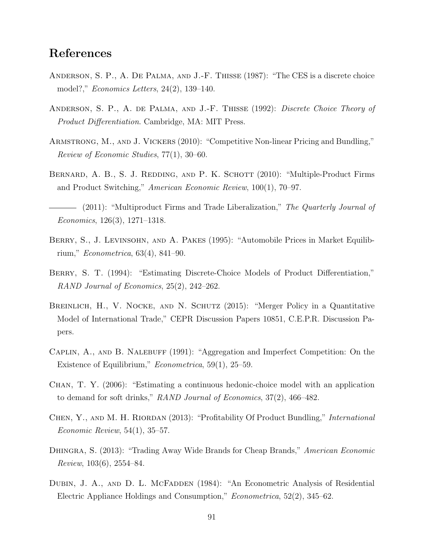# References

- Anderson, S. P., A. De Palma, and J.-F. Thisse (1987): "The CES is a discrete choice model?," Economics Letters, 24(2), 139–140.
- ANDERSON, S. P., A. DE PALMA, AND J.-F. THISSE (1992): *Discrete Choice Theory of* Product Differentiation. Cambridge, MA: MIT Press.
- Armstrong, M., and J. Vickers (2010): "Competitive Non-linear Pricing and Bundling," Review of Economic Studies, 77(1), 30–60.
- BERNARD, A. B., S. J. REDDING, AND P. K. SCHOTT (2010): "Multiple-Product Firms and Product Switching," American Economic Review, 100(1), 70–97.
- $-$  (2011): "Multiproduct Firms and Trade Liberalization," The Quarterly Journal of Economics, 126(3), 1271–1318.
- BERRY, S., J. LEVINSOHN, AND A. PAKES (1995): "Automobile Prices in Market Equilibrium," Econometrica, 63(4), 841–90.
- BERRY, S. T. (1994): "Estimating Discrete-Choice Models of Product Differentiation," RAND Journal of Economics, 25(2), 242–262.
- Breinlich, H., V. Nocke, and N. Schutz (2015): "Merger Policy in a Quantitative Model of International Trade," CEPR Discussion Papers 10851, C.E.P.R. Discussion Papers.
- Caplin, A., and B. Nalebuff (1991): "Aggregation and Imperfect Competition: On the Existence of Equilibrium," Econometrica, 59(1), 25–59.
- Chan, T. Y. (2006): "Estimating a continuous hedonic-choice model with an application to demand for soft drinks," RAND Journal of Economics, 37(2), 466–482.
- CHEN, Y., AND M. H. RIORDAN (2013): "Profitability Of Product Bundling," *International* Economic Review, 54(1), 35–57.
- DHINGRA, S. (2013): "Trading Away Wide Brands for Cheap Brands," American Economic  $Review, 103(6), 2554-84.$
- DUBIN, J. A., AND D. L. MCFADDEN (1984): "An Econometric Analysis of Residential Electric Appliance Holdings and Consumption," Econometrica, 52(2), 345–62.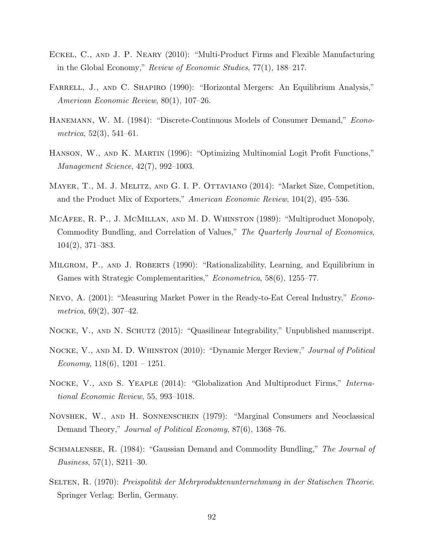- Eckel, C., and J. P. Neary (2010): "Multi-Product Firms and Flexible Manufacturing in the Global Economy," Review of Economic Studies, 77(1), 188–217.
- FARRELL, J., AND C. SHAPIRO (1990): "Horizontal Mergers: An Equilibrium Analysis," American Economic Review, 80(1), 107–26.
- HANEMANN, W. M. (1984): "Discrete-Continuous Models of Consumer Demand," *Econometrica*,  $52(3)$ ,  $541-61$ .
- Hanson, W., and K. Martin (1996): "Optimizing Multinomial Logit Profit Functions," Management Science, 42(7), 992–1003.
- Mayer, T., M. J. Melitz, and G. I. P. Ottaviano (2014): "Market Size, Competition, and the Product Mix of Exporters," American Economic Review, 104(2), 495–536.
- McAfee, R. P., J. McMillan, and M. D. Whinston (1989): "Multiproduct Monopoly, Commodity Bundling, and Correlation of Values," The Quarterly Journal of Economics, 104(2), 371–383.
- MILGROM, P., AND J. ROBERTS (1990): "Rationalizability, Learning, and Equilibrium in Games with Strategic Complementarities," Econometrica, 58(6), 1255–77.
- Nevo, A. (2001): "Measuring Market Power in the Ready-to-Eat Cereal Industry," Econometrica, 69(2), 307–42.
- NOCKE, V., AND N. SCHUTZ (2015): "Quasilinear Integrability," Unpublished manuscript.
- NOCKE, V., AND M. D. WHINSTON (2010): "Dynamic Merger Review," Journal of Political Economy,  $118(6)$ ,  $1201 - 1251$ .
- NOCKE, V., AND S. YEAPLE (2014): "Globalization And Multiproduct Firms," International Economic Review, 55, 993–1018.
- Novshek, W., and H. Sonnenschein (1979): "Marginal Consumers and Neoclassical Demand Theory," *Journal of Political Economy*, 87(6), 1368–76.
- SCHMALENSEE, R. (1984): "Gaussian Demand and Commodity Bundling," The Journal of *Business*,  $57(1)$ ,  $S211-30$ .
- Selten, R. (1970): Preispolitik der Mehrproduktenunternehmung in der Statischen Theorie. Springer Verlag: Berlin, Germany.